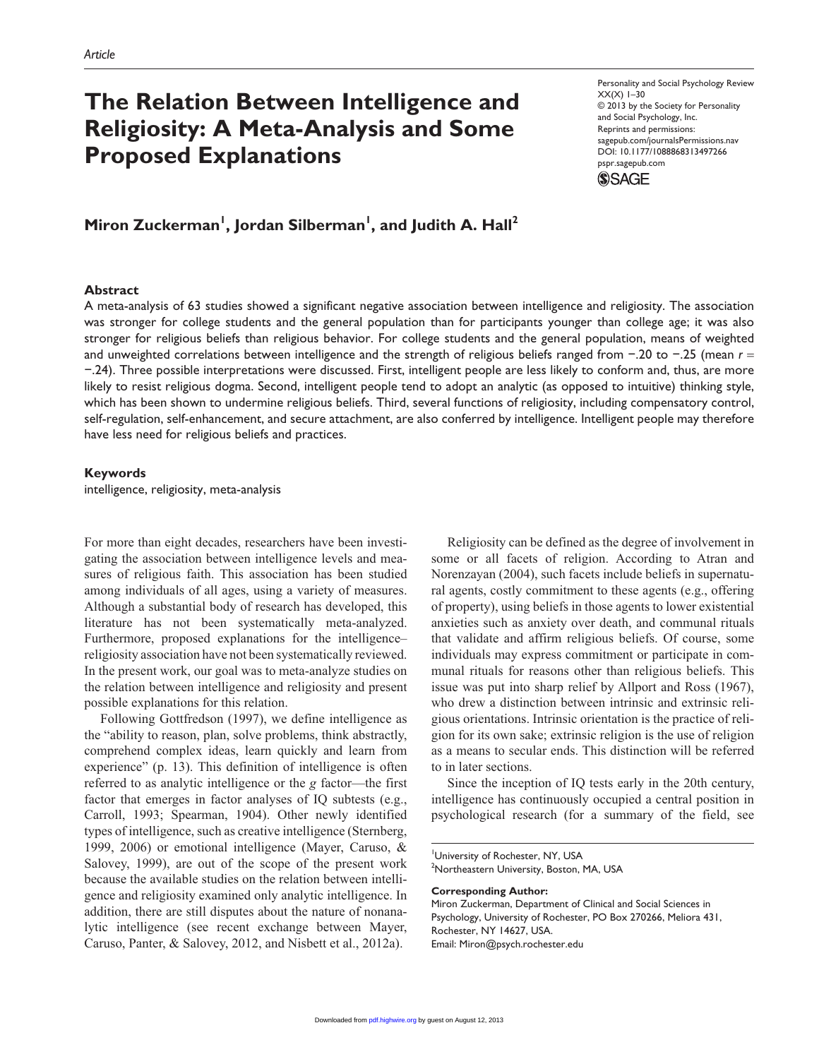# **The Relation Between Intelligence and Religiosity: A Meta-Analysis and Some Proposed Explanations**

Personality and Social Psychology Review XX(X) 1–30 © 2013 by the Society for Personality and Social Psychology, Inc. Reprints and permissions: sagepub.com/journalsPermissions.nav DOI: 10.1177/1088868313497266 pspr.sagepub.com



# <code>Miron</code> <code>Zuckerman $^{\mathsf{I}}$ , Jordan Silberman $^{\mathsf{I}}$ , and Judith A. Hall $^{\mathsf{2}}$ </code>

#### **Abstract**

A meta-analysis of 63 studies showed a significant negative association between intelligence and religiosity. The association was stronger for college students and the general population than for participants younger than college age; it was also stronger for religious beliefs than religious behavior. For college students and the general population, means of weighted and unweighted correlations between intelligence and the strength of religious beliefs ranged from −.20 to −.25 (mean *r* = −.24). Three possible interpretations were discussed. First, intelligent people are less likely to conform and, thus, are more likely to resist religious dogma. Second, intelligent people tend to adopt an analytic (as opposed to intuitive) thinking style, which has been shown to undermine religious beliefs. Third, several functions of religiosity, including compensatory control, self-regulation, self-enhancement, and secure attachment, are also conferred by intelligence. Intelligent people may therefore have less need for religious beliefs and practices.

#### **Keywords**

intelligence, religiosity, meta-analysis

For more than eight decades, researchers have been investigating the association between intelligence levels and measures of religious faith. This association has been studied among individuals of all ages, using a variety of measures. Although a substantial body of research has developed, this literature has not been systematically meta-analyzed. Furthermore, proposed explanations for the intelligence– religiosity association have not been systematically reviewed. In the present work, our goal was to meta-analyze studies on the relation between intelligence and religiosity and present possible explanations for this relation.

Following Gottfredson (1997), we define intelligence as the "ability to reason, plan, solve problems, think abstractly, comprehend complex ideas, learn quickly and learn from experience" (p. 13). This definition of intelligence is often referred to as analytic intelligence or the *g* factor—the first factor that emerges in factor analyses of IQ subtests (e.g., Carroll, 1993; Spearman, 1904). Other newly identified types of intelligence, such as creative intelligence (Sternberg, 1999, 2006) or emotional intelligence (Mayer, Caruso, & Salovey, 1999), are out of the scope of the present work because the available studies on the relation between intelligence and religiosity examined only analytic intelligence. In addition, there are still disputes about the nature of nonanalytic intelligence (see recent exchange between Mayer, Caruso, Panter, & Salovey, 2012, and Nisbett et al., 2012a).

Religiosity can be defined as the degree of involvement in some or all facets of religion. According to Atran and Norenzayan (2004), such facets include beliefs in supernatural agents, costly commitment to these agents (e.g., offering of property), using beliefs in those agents to lower existential anxieties such as anxiety over death, and communal rituals that validate and affirm religious beliefs. Of course, some individuals may express commitment or participate in communal rituals for reasons other than religious beliefs. This issue was put into sharp relief by Allport and Ross (1967), who drew a distinction between intrinsic and extrinsic religious orientations. Intrinsic orientation is the practice of religion for its own sake; extrinsic religion is the use of religion as a means to secular ends. This distinction will be referred to in later sections.

Since the inception of IQ tests early in the 20th century, intelligence has continuously occupied a central position in psychological research (for a summary of the field, see

#### **Corresponding Author:**

Miron Zuckerman, Department of Clinical and Social Sciences in Psychology, University of Rochester, PO Box 270266, Meliora 431, Rochester, NY 14627, USA. Email: Miron@psych.rochester.edu

University of Rochester, NY, USA 2 Northeastern University, Boston, MA, USA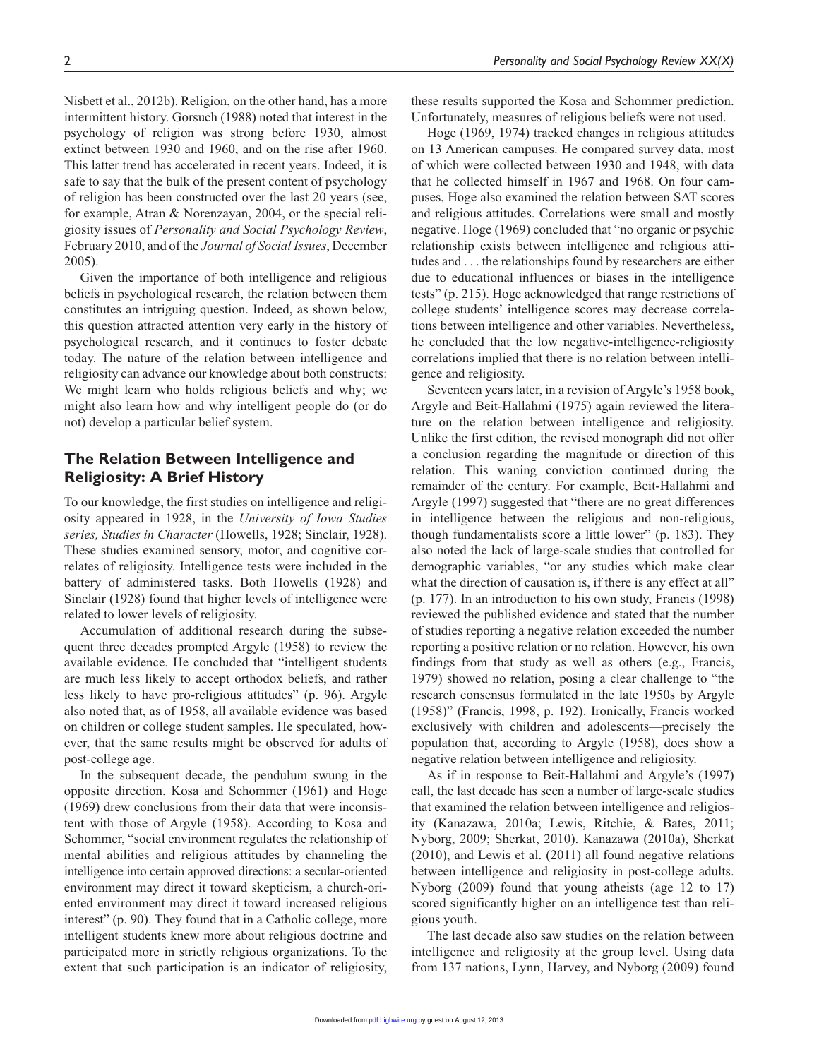Nisbett et al., 2012b). Religion, on the other hand, has a more intermittent history. Gorsuch (1988) noted that interest in the psychology of religion was strong before 1930, almost extinct between 1930 and 1960, and on the rise after 1960. This latter trend has accelerated in recent years. Indeed, it is safe to say that the bulk of the present content of psychology of religion has been constructed over the last 20 years (see, for example, Atran & Norenzayan, 2004, or the special religiosity issues of *Personality and Social Psychology Review*, February 2010, and of the *Journal of Social Issues*, December 2005).

Given the importance of both intelligence and religious beliefs in psychological research, the relation between them constitutes an intriguing question. Indeed, as shown below, this question attracted attention very early in the history of psychological research, and it continues to foster debate today. The nature of the relation between intelligence and religiosity can advance our knowledge about both constructs: We might learn who holds religious beliefs and why; we might also learn how and why intelligent people do (or do not) develop a particular belief system.

# **The Relation Between Intelligence and Religiosity: A Brief History**

To our knowledge, the first studies on intelligence and religiosity appeared in 1928, in the *University of Iowa Studies series, Studies in Character* (Howells, 1928; Sinclair, 1928). These studies examined sensory, motor, and cognitive correlates of religiosity. Intelligence tests were included in the battery of administered tasks. Both Howells (1928) and Sinclair (1928) found that higher levels of intelligence were related to lower levels of religiosity.

Accumulation of additional research during the subsequent three decades prompted Argyle (1958) to review the available evidence. He concluded that "intelligent students are much less likely to accept orthodox beliefs, and rather less likely to have pro-religious attitudes" (p. 96). Argyle also noted that, as of 1958, all available evidence was based on children or college student samples. He speculated, however, that the same results might be observed for adults of post-college age.

In the subsequent decade, the pendulum swung in the opposite direction. Kosa and Schommer (1961) and Hoge (1969) drew conclusions from their data that were inconsistent with those of Argyle (1958). According to Kosa and Schommer, "social environment regulates the relationship of mental abilities and religious attitudes by channeling the intelligence into certain approved directions: a secular-oriented environment may direct it toward skepticism, a church-oriented environment may direct it toward increased religious interest" (p. 90). They found that in a Catholic college, more intelligent students knew more about religious doctrine and participated more in strictly religious organizations. To the extent that such participation is an indicator of religiosity,

these results supported the Kosa and Schommer prediction. Unfortunately, measures of religious beliefs were not used.

Hoge (1969, 1974) tracked changes in religious attitudes on 13 American campuses. He compared survey data, most of which were collected between 1930 and 1948, with data that he collected himself in 1967 and 1968. On four campuses, Hoge also examined the relation between SAT scores and religious attitudes. Correlations were small and mostly negative. Hoge (1969) concluded that "no organic or psychic relationship exists between intelligence and religious attitudes and . . . the relationships found by researchers are either due to educational influences or biases in the intelligence tests" (p. 215). Hoge acknowledged that range restrictions of college students' intelligence scores may decrease correlations between intelligence and other variables. Nevertheless, he concluded that the low negative-intelligence-religiosity correlations implied that there is no relation between intelligence and religiosity.

Seventeen years later, in a revision of Argyle's 1958 book, Argyle and Beit-Hallahmi (1975) again reviewed the literature on the relation between intelligence and religiosity. Unlike the first edition, the revised monograph did not offer a conclusion regarding the magnitude or direction of this relation. This waning conviction continued during the remainder of the century. For example, Beit-Hallahmi and Argyle (1997) suggested that "there are no great differences in intelligence between the religious and non-religious, though fundamentalists score a little lower" (p. 183). They also noted the lack of large-scale studies that controlled for demographic variables, "or any studies which make clear what the direction of causation is, if there is any effect at all" (p. 177). In an introduction to his own study, Francis (1998) reviewed the published evidence and stated that the number of studies reporting a negative relation exceeded the number reporting a positive relation or no relation. However, his own findings from that study as well as others (e.g., Francis, 1979) showed no relation, posing a clear challenge to "the research consensus formulated in the late 1950s by Argyle (1958)" (Francis, 1998, p. 192). Ironically, Francis worked exclusively with children and adolescents—precisely the population that, according to Argyle (1958), does show a negative relation between intelligence and religiosity.

As if in response to Beit-Hallahmi and Argyle's (1997) call, the last decade has seen a number of large-scale studies that examined the relation between intelligence and religiosity (Kanazawa, 2010a; Lewis, Ritchie, & Bates, 2011; Nyborg, 2009; Sherkat, 2010). Kanazawa (2010a), Sherkat (2010), and Lewis et al. (2011) all found negative relations between intelligence and religiosity in post-college adults. Nyborg (2009) found that young atheists (age 12 to 17) scored significantly higher on an intelligence test than religious youth.

The last decade also saw studies on the relation between intelligence and religiosity at the group level. Using data from 137 nations, Lynn, Harvey, and Nyborg (2009) found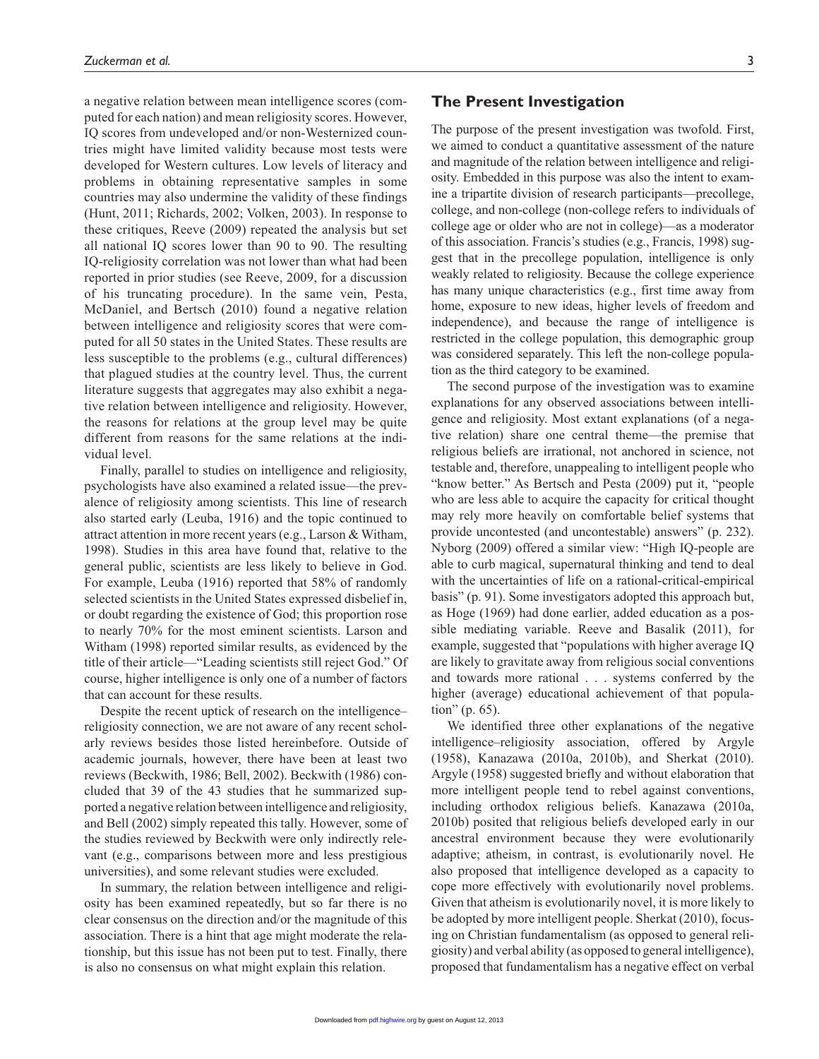a negative relation between mean intelligence scores (computed for each nation) and mean religiosity scores. However, IQ scores from undeveloped and/or non-Westernized countries might have limited validity because most tests were developed for Western cultures. Low levels of literacy and problems in obtaining representative samples in some countries may also undermine the validity of these findings (Hunt, 2011; Richards, 2002; Volken, 2003). In response to these critiques, Reeve (2009) repeated the analysis but set all national IQ scores lower than 90 to 90. The resulting IQ-religiosity correlation was not lower than what had been reported in prior studies (see Reeve, 2009, for a discussion of his truncating procedure). In the same vein, Pesta, McDaniel, and Bertsch (2010) found a negative relation between intelligence and religiosity scores that were computed for all 50 states in the United States. These results are less susceptible to the problems (e.g., cultural differences) that plagued studies at the country level. Thus, the current literature suggests that aggregates may also exhibit a negative relation between intelligence and religiosity. However, the reasons for relations at the group level may be quite different from reasons for the same relations at the individual level.

Finally, parallel to studies on intelligence and religiosity, psychologists have also examined a related issue—the prevalence of religiosity among scientists. This line of research also started early (Leuba, 1916) and the topic continued to attract attention in more recent years (e.g., Larson & Witham, 1998). Studies in this area have found that, relative to the general public, scientists are less likely to believe in God. For example, Leuba (1916) reported that 58% of randomly selected scientists in the United States expressed disbelief in, or doubt regarding the existence of God; this proportion rose to nearly 70% for the most eminent scientists. Larson and Witham (1998) reported similar results, as evidenced by the title of their article—"Leading scientists still reject God." Of course, higher intelligence is only one of a number of factors that can account for these results.

Despite the recent uptick of research on the intelligence– religiosity connection, we are not aware of any recent scholarly reviews besides those listed hereinbefore. Outside of academic journals, however, there have been at least two reviews (Beckwith, 1986; Bell, 2002). Beckwith (1986) concluded that 39 of the 43 studies that he summarized supported a negative relation between intelligence and religiosity, and Bell (2002) simply repeated this tally. However, some of the studies reviewed by Beckwith were only indirectly relevant (e.g., comparisons between more and less prestigious universities), and some relevant studies were excluded.

In summary, the relation between intelligence and religiosity has been examined repeatedly, but so far there is no clear consensus on the direction and/or the magnitude of this association. There is a hint that age might moderate the relationship, but this issue has not been put to test. Finally, there is also no consensus on what might explain this relation.

# **The Present Investigation**

The purpose of the present investigation was twofold. First, we aimed to conduct a quantitative assessment of the nature and magnitude of the relation between intelligence and religiosity. Embedded in this purpose was also the intent to examine a tripartite division of research participants—precollege, college, and non-college (non-college refers to individuals of college age or older who are not in college)—as a moderator of this association. Francis's studies (e.g., Francis, 1998) suggest that in the precollege population, intelligence is only weakly related to religiosity. Because the college experience has many unique characteristics (e.g., first time away from home, exposure to new ideas, higher levels of freedom and independence), and because the range of intelligence is restricted in the college population, this demographic group was considered separately. This left the non-college population as the third category to be examined.

The second purpose of the investigation was to examine explanations for any observed associations between intelligence and religiosity. Most extant explanations (of a negative relation) share one central theme—the premise that religious beliefs are irrational, not anchored in science, not testable and, therefore, unappealing to intelligent people who "know better." As Bertsch and Pesta (2009) put it, "people who are less able to acquire the capacity for critical thought may rely more heavily on comfortable belief systems that provide uncontested (and uncontestable) answers" (p. 232). Nyborg (2009) offered a similar view: "High IQ-people are able to curb magical, supernatural thinking and tend to deal with the uncertainties of life on a rational-critical-empirical basis" (p. 91). Some investigators adopted this approach but, as Hoge (1969) had done earlier, added education as a possible mediating variable. Reeve and Basalik (2011), for example, suggested that "populations with higher average IQ are likely to gravitate away from religious social conventions and towards more rational . . . systems conferred by the higher (average) educational achievement of that population" (p. 65).

We identified three other explanations of the negative intelligence–religiosity association, offered by Argyle (1958), Kanazawa (2010a, 2010b), and Sherkat (2010). Argyle (1958) suggested briefly and without elaboration that more intelligent people tend to rebel against conventions, including orthodox religious beliefs. Kanazawa (2010a, 2010b) posited that religious beliefs developed early in our ancestral environment because they were evolutionarily adaptive; atheism, in contrast, is evolutionarily novel. He also proposed that intelligence developed as a capacity to cope more effectively with evolutionarily novel problems. Given that atheism is evolutionarily novel, it is more likely to be adopted by more intelligent people. Sherkat (2010), focusing on Christian fundamentalism (as opposed to general religiosity) and verbal ability (as opposed to general intelligence), proposed that fundamentalism has a negative effect on verbal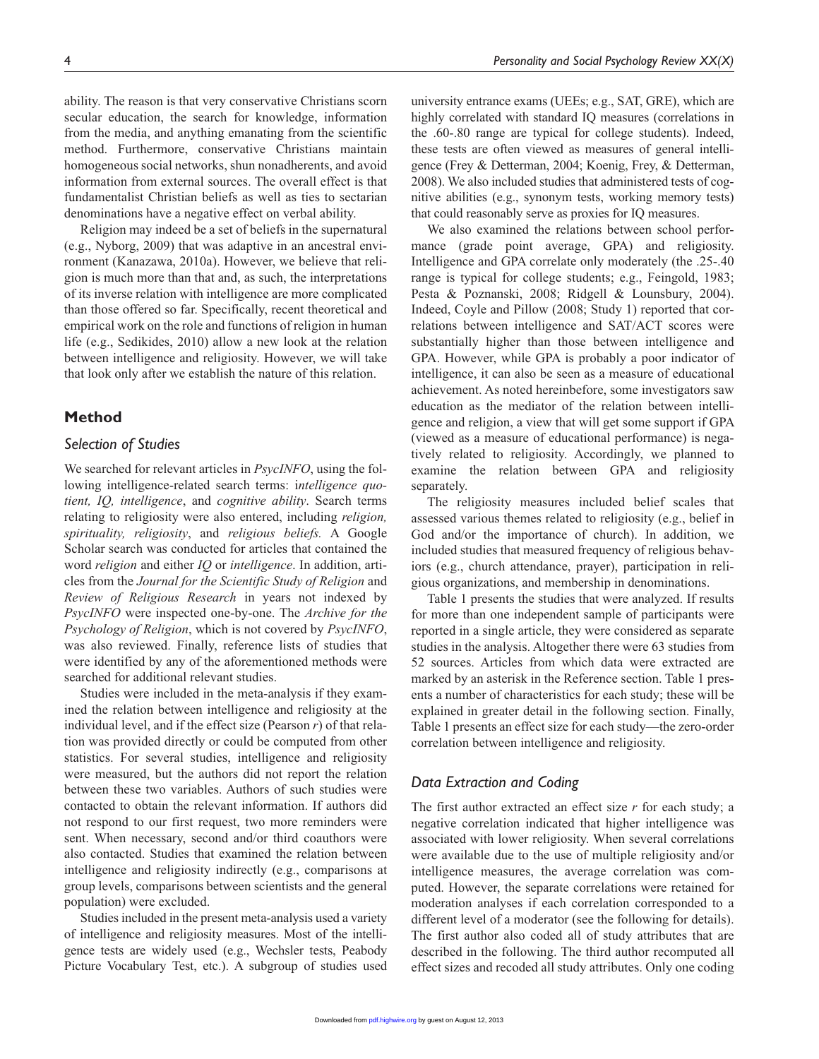ability. The reason is that very conservative Christians scorn secular education, the search for knowledge, information from the media, and anything emanating from the scientific method. Furthermore, conservative Christians maintain homogeneous social networks, shun nonadherents, and avoid information from external sources. The overall effect is that fundamentalist Christian beliefs as well as ties to sectarian denominations have a negative effect on verbal ability.

Religion may indeed be a set of beliefs in the supernatural (e.g., Nyborg, 2009) that was adaptive in an ancestral environment (Kanazawa, 2010a). However, we believe that religion is much more than that and, as such, the interpretations of its inverse relation with intelligence are more complicated than those offered so far. Specifically, recent theoretical and empirical work on the role and functions of religion in human life (e.g., Sedikides, 2010) allow a new look at the relation between intelligence and religiosity. However, we will take that look only after we establish the nature of this relation.

# **Method**

# *Selection of Studies*

We searched for relevant articles in *PsycINFO*, using the following intelligence-related search terms: i*ntelligence quotient, IQ, intelligence*, and *cognitive ability*. Search terms relating to religiosity were also entered, including *religion, spirituality, religiosity*, and *religious beliefs.* A Google Scholar search was conducted for articles that contained the word *religion* and either *IQ* or *intelligence*. In addition, articles from the *Journal for the Scientific Study of Religion* and *Review of Religious Research* in years not indexed by *PsycINFO* were inspected one-by-one. The *Archive for the Psychology of Religion*, which is not covered by *PsycINFO*, was also reviewed. Finally, reference lists of studies that were identified by any of the aforementioned methods were searched for additional relevant studies.

Studies were included in the meta-analysis if they examined the relation between intelligence and religiosity at the individual level, and if the effect size (Pearson *r*) of that relation was provided directly or could be computed from other statistics. For several studies, intelligence and religiosity were measured, but the authors did not report the relation between these two variables. Authors of such studies were contacted to obtain the relevant information. If authors did not respond to our first request, two more reminders were sent. When necessary, second and/or third coauthors were also contacted. Studies that examined the relation between intelligence and religiosity indirectly (e.g., comparisons at group levels, comparisons between scientists and the general population) were excluded.

Studies included in the present meta-analysis used a variety of intelligence and religiosity measures. Most of the intelligence tests are widely used (e.g., Wechsler tests, Peabody Picture Vocabulary Test, etc.). A subgroup of studies used

university entrance exams (UEEs; e.g., SAT, GRE), which are highly correlated with standard IQ measures (correlations in the .60-.80 range are typical for college students). Indeed, these tests are often viewed as measures of general intelligence (Frey & Detterman, 2004; Koenig, Frey, & Detterman, 2008). We also included studies that administered tests of cognitive abilities (e.g., synonym tests, working memory tests) that could reasonably serve as proxies for IQ measures.

We also examined the relations between school performance (grade point average, GPA) and religiosity. Intelligence and GPA correlate only moderately (the .25-.40 range is typical for college students; e.g., Feingold, 1983; Pesta & Poznanski, 2008; Ridgell & Lounsbury, 2004). Indeed, Coyle and Pillow (2008; Study 1) reported that correlations between intelligence and SAT/ACT scores were substantially higher than those between intelligence and GPA. However, while GPA is probably a poor indicator of intelligence, it can also be seen as a measure of educational achievement. As noted hereinbefore, some investigators saw education as the mediator of the relation between intelligence and religion, a view that will get some support if GPA (viewed as a measure of educational performance) is negatively related to religiosity. Accordingly, we planned to examine the relation between GPA and religiosity separately.

The religiosity measures included belief scales that assessed various themes related to religiosity (e.g., belief in God and/or the importance of church). In addition, we included studies that measured frequency of religious behaviors (e.g., church attendance, prayer), participation in religious organizations, and membership in denominations.

Table 1 presents the studies that were analyzed. If results for more than one independent sample of participants were reported in a single article, they were considered as separate studies in the analysis. Altogether there were 63 studies from 52 sources. Articles from which data were extracted are marked by an asterisk in the Reference section. Table 1 presents a number of characteristics for each study; these will be explained in greater detail in the following section. Finally, Table 1 presents an effect size for each study—the zero-order correlation between intelligence and religiosity.

#### *Data Extraction and Coding*

The first author extracted an effect size *r* for each study; a negative correlation indicated that higher intelligence was associated with lower religiosity. When several correlations were available due to the use of multiple religiosity and/or intelligence measures, the average correlation was computed. However, the separate correlations were retained for moderation analyses if each correlation corresponded to a different level of a moderator (see the following for details). The first author also coded all of study attributes that are described in the following. The third author recomputed all effect sizes and recoded all study attributes. Only one coding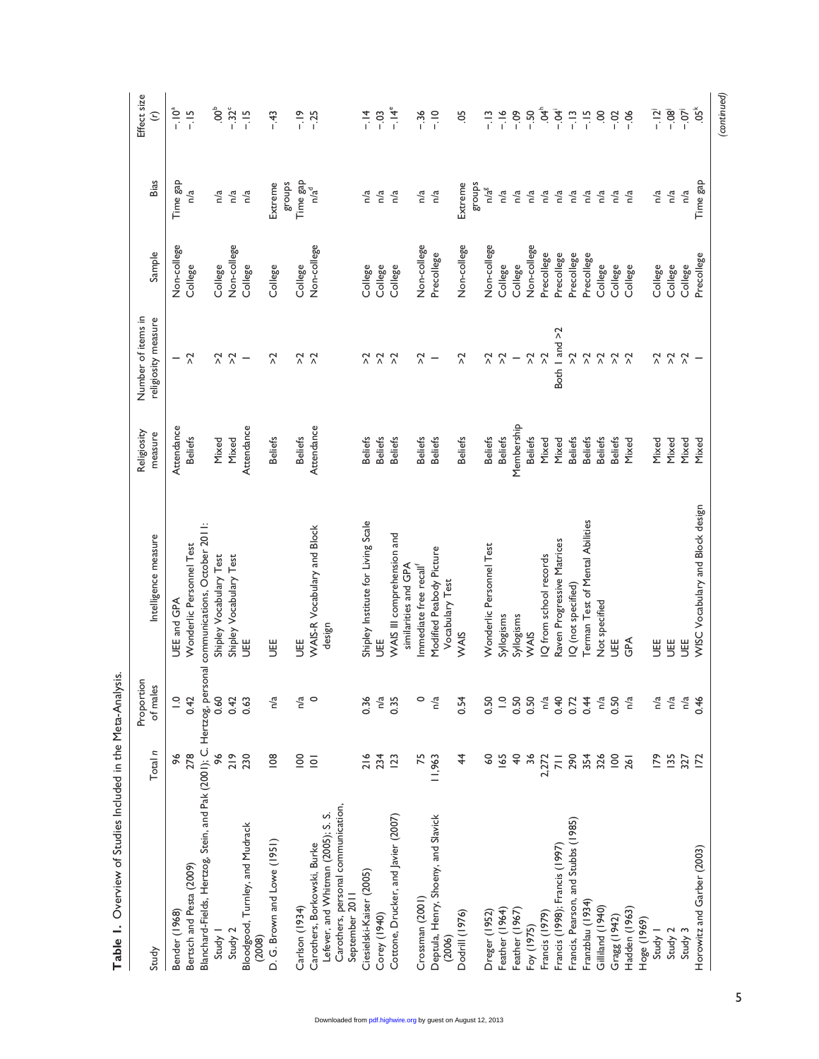| Study                                                                                      | Total n         | Proportion<br>of males | Intelligence measure                               | Religiosity<br>measure | Number of items in<br>religiosity measure                   | Sample      | Bias              | Effect size<br>$\epsilon$   |
|--------------------------------------------------------------------------------------------|-----------------|------------------------|----------------------------------------------------|------------------------|-------------------------------------------------------------|-------------|-------------------|-----------------------------|
| Bender (1968)                                                                              | $\frac{6}{2}$   | $\frac{1}{2}$          | UEE and GPA                                        | Attendance             | -                                                           | Non-college | Time gap          | $-10^{a}$                   |
| Bertsch and Pesta (2009)                                                                   | 278             | 0.42                   | Wonderlic Personnel Test                           | <b>Beliefs</b>         | $\tilde{c}$                                                 | College     | n/a               | $\frac{15}{1}$              |
| Blanchard-Fields, Hertzog, Stein, and Pak (2001); C. Hertzog, personal                     | 96              |                        | communications, October 2011:                      |                        |                                                             |             |                   | $500^{\circ}$               |
| Study 1                                                                                    |                 | 0.60                   | Shipley Vocabulary Test                            | Mixed                  | $\tilde{\gamma}$                                            | College     | n/a               |                             |
| Study 2                                                                                    | 219             | 0.42                   | Shipley Vocabulary Test                            | Mixed                  | $\tilde{\lambda}$                                           | Non-college | n/a               | $-32^{c}$                   |
| Bloodgood, Turnley, and Mudrack<br>(2008)                                                  | 230             | 0.63                   | 当                                                  | Attendance             |                                                             | College     | n/a               | $\frac{15}{1}$              |
| D. G. Brown and Lowe (1951)                                                                | 108             | n/a                    | Ë                                                  | <b>Beliefs</b>         | $\tilde{c}$                                                 | College     | groups<br>Extreme | $-43$                       |
| Carlson (1934)                                                                             | $\overline{0}$  | n/a                    | 当                                                  | <b>Beliefs</b>         | $\lambda$                                                   | College     | Time gap          | $\frac{6}{1}$               |
| Carothers, Borkowski, Burke                                                                | $\overline{a}$  | $\circ$                | WAIS-R Vocabulary and Block                        | Attendance             | $\lambda$                                                   | Non-college | $n/a^d$           | $-25$                       |
| Carothers, personal communication,<br>Lefever, and Whitman (2005); S. S.<br>September 2011 |                 |                        | design                                             |                        |                                                             |             |                   |                             |
| Ciesielski-Kaiser (2005)                                                                   | 216             | 0.36                   | Shipley Institute for Living Scale                 | <b>Beliefs</b>         | $\tilde{\mathcal{L}}$                                       | College     | n/a               | $\frac{4}{1}$               |
| Corey (1940)                                                                               | 234             | n/a                    | 当                                                  | <b>Beliefs</b>         | $\frac{2}{2}$ $\frac{2}{2}$                                 | College     | n/a               | $-0.3$                      |
| Cottone, Drucker, and Javier (2007)                                                        | 123             | 0.35                   | WAIS III comprehension and<br>similarities and GPA | <b>Beliefs</b>         |                                                             | College     | n/a               | $-14^{\circ}$               |
| Crossman (2001)                                                                            | 75              | 0                      | Immediate free recall                              | <b>Beliefs</b>         | <sub>ک</sub> ر                                              | Non-college | n/a               | $-36$                       |
| Deptula, Henry, Shoeny, and Slavick<br>(2006)                                              | 11,963          | n/a                    | Modified Peabody Picture<br>Vocabulary Test        | <b>Beliefs</b>         |                                                             | Precollege  | n/a               | $\frac{1}{1}$               |
| Dodrill (1976)                                                                             | $\frac{4}{4}$   | 0.54                   | WAIS                                               | <b>Beliefs</b>         | $\tilde{c}$                                                 | Non-college | groups<br>Extreme | 50                          |
| Dreger (1952)                                                                              | SO              | 0.50                   | Wonderlic Personnel Test                           | <b>Beliefs</b>         | Σ,                                                          | Non-college | $n/a^g$           | $-13$                       |
| Feather (1964)                                                                             | 165             | $\frac{1}{2}$          | Syllogisms                                         | <b>Beliefs</b>         | $\tilde{\lambda}$                                           | College     | n/a               | $-16$                       |
| Feather (1967)                                                                             | $\overline{4}$  | 0.50                   | Syllogisms                                         | Membership             |                                                             | College     | n/a               | $-0.09$                     |
| Foy (1975)                                                                                 | 36              | 0.50                   | WAIS                                               | <b>Beliefs</b>         | $\stackrel{\textstyle _{\textstyle \sim}}{\textstyle \sim}$ | Non-college | n/a               | $-50$                       |
| Francis (1979)                                                                             | 2,272           | n/a                    | IQ from school records                             | Mixed                  | $\tilde{\lambda}$                                           | Precollege  | n/a               | $\mathcal{A}^{\mathcal{C}}$ |
| Francis (1998); Francis (1997)                                                             | $\overline{7}$  | 0.40                   | Raven Progressive Matrices                         | Mixed                  | Both I and >2                                               | Precollege  | n/a               | $-0.4$                      |
| Francis, Pearson, and Stubbs (1985)                                                        | 290             | 0.72                   | IQ (not specified)                                 | <b>Beliefs</b>         | $\tilde{\gamma}$                                            | Precollege  | n/a               | $-13$                       |
| Franzblau (1934)                                                                           | 354             | 0.44                   | Terman Test of Mental Abilities                    | <b>Beliefs</b>         | $\tilde{\lambda}$                                           | Precollege  | n/a               | $-15$                       |
| Gilliland (1940)                                                                           | 326             | n/a                    | Not specified                                      | <b>Beliefs</b>         | $\tilde{\lambda}$                                           | College     | n/a               | S.                          |
| Gragg (1942)                                                                               | $\frac{8}{100}$ | 0.50                   | 当                                                  | <b>Beliefs</b>         | Σ,                                                          | College     | n/a               | $-0.02$                     |
| Hadden (1963)                                                                              | 261             | n/a                    | $\mathcal{E}_{\Theta}^{\mathsf{A}}$                | Mixed                  | $\tilde{c}$                                                 | College     | n/a               | $-06$                       |
| Hoge (1969)                                                                                |                 |                        |                                                    |                        |                                                             |             |                   |                             |
| Study 1                                                                                    | I79             | n/a                    | 買                                                  | Mixed                  | ۷,                                                          | College     | n/a               | $-12^{i}$                   |
| Study 2                                                                                    | 135             | n/a                    | 当                                                  | Mixed                  | $\lesssim$                                                  | College     | n/a               | $-0.80$                     |
| Study 3                                                                                    | 327             | n/a                    | 買                                                  | Mixed                  | $\lambda$                                                   | College     | n/a               | $-0$ 7                      |
| Horowitz and Garber (2003)                                                                 | 172             | 0.46                   | WISC Vocabulary and Block design                   | Mixed                  |                                                             | Precollege  | Time gap          | Ď                           |
|                                                                                            |                 |                        |                                                    |                        |                                                             |             |                   | (continued)                 |

Table 1. Overview of Studies Included in the Meta-Analysis. **Table 1.** Overview of Studies Included in the Meta-Analysis.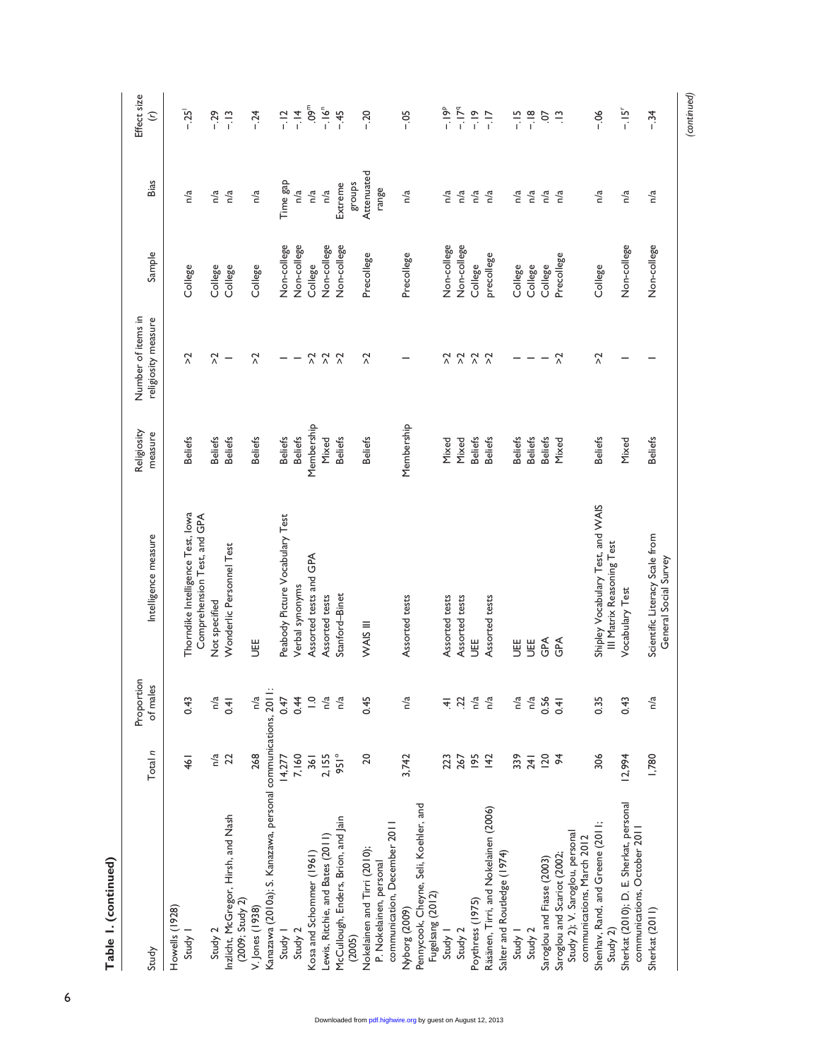| Study                                                                   | Total n         | Proportion<br>of males | Intelligence measure                                             | Religiosity<br>measure | Number of items in<br>religiosity measure                      | Sample      | Bias                | Effect size<br>$\mathfrak{S}$ |
|-------------------------------------------------------------------------|-----------------|------------------------|------------------------------------------------------------------|------------------------|----------------------------------------------------------------|-------------|---------------------|-------------------------------|
| Howells (1928)<br>Study 1                                               | 461             | 0.43                   | Thorndike Intelligence Test, Iowa<br>Comprehension Test, and GPA | <b>Beliefs</b>         | $\tilde{\lambda}$                                              | College     | n/a                 | $-25$                         |
| Study 2                                                                 | n/a             | n/a                    | Not specified                                                    | <b>Beliefs</b>         | Σζ                                                             | College     | n/a                 | $-29$                         |
| Inzlicht, McGregor, Hirsh, and Nash<br>(2009; Study 2)                  | 22              | $\overline{4}$         | Wonderlic Personnel Test                                         | <b>Beliefs</b>         | $\overline{\phantom{0}}$                                       | College     | n/a                 | $\frac{1}{1}$                 |
| $V.$ Jones $(1938)$                                                     | 268             | n/a                    | 当                                                                | <b>Beliefs</b>         | $\tilde{\lambda}$                                              | College     | n/a                 | $-24$                         |
| Kanazawa (2010a); S. Kanazawa, personal communications, 2011            |                 |                        |                                                                  |                        |                                                                |             |                     |                               |
| Study 1                                                                 | 14,277          | 0.47                   | Peabody Picture Vocabulary Test                                  | <b>Beliefs</b>         |                                                                | Non-college | Time gap            | $-12$                         |
| Study 2                                                                 | 7,160           | 0.44                   | Verbal synonyms                                                  | <b>Beliefs</b>         |                                                                | Non-college | n/a                 | $-14$                         |
| Kosa and Schommer (1961)                                                | 361             | $\overline{a}$         | Assorted tests and GPA                                           | Membership             | $\stackrel{\textstyle _{\textstyle \sim}}{_{\textstyle \sim}}$ | College     | n/a                 | .09m                          |
| Lewis, Ritchie, and Bates (2011)                                        | 2,155           | n/a                    | Assorted tests                                                   | Mixed                  | $\frac{2}{2}$                                                  | Non-college | n/a                 | $\frac{5}{1}$                 |
| McCullough, Enders, Brion, and Jain<br>(2005)                           | $951^{\circ}$   | n/a                    | Stanford-Binet                                                   | <b>Beliefs</b>         |                                                                | Non-college | Extreme             | $-45$                         |
|                                                                         |                 |                        |                                                                  |                        |                                                                |             | groups              |                               |
| Nokelainen and Tirri (2010);<br>P. Nokelainen, personal                 | 20              | 0.45                   | WAIS III                                                         | <b>Beliefs</b>         | $\tilde{\lambda}$                                              | Precollege  | Attenuated<br>range | $-20$                         |
| communication, December 2011                                            |                 |                        |                                                                  |                        |                                                                |             |                     |                               |
| Nyborg (2009)                                                           | 3,742           | n/a                    | Assorted tests                                                   | Membership             |                                                                | Precollege  | n/a                 | $-0.5$                        |
| Pennycook, Cheyne, Seli, Koehler, and<br>Fugelsang (2012)               |                 |                        |                                                                  |                        |                                                                |             |                     |                               |
| Study 1                                                                 | 223             | $\overline{4}$         | Assorted tests                                                   | Mixed                  | Σζ                                                             | Non-college | n/a                 | $-19^{\circ}$                 |
| Study 2                                                                 | 267             | 22                     | Assorted tests                                                   | Mixed                  | $\stackrel{\textstyle\scriptstyle\wedge}{\scriptstyle\sim}$    | Non-college | n/a                 | $\sum_{i=1}^{n}$              |
| Poythress (1975)                                                        | <b>195</b>      | n/a                    | 当                                                                | <b>Beliefs</b>         | $\tilde{\lambda}$                                              | College     | n/a                 | $-19$                         |
| Räsänen, Tirri, and Nokelainen (2006)                                   | 42              | n/a                    | Assorted tests                                                   | <b>Beliefs</b>         | $\tilde{c}$                                                    | precollege  | n/a                 | $-17$                         |
| Salter and Routledge (1974)                                             |                 |                        |                                                                  |                        |                                                                |             |                     |                               |
| Study 1                                                                 | 339             | n/a                    | 当                                                                | <b>Beliefs</b>         |                                                                | College     | n/a                 | $\frac{15}{1}$                |
| Study 2                                                                 | 241             | n/a                    | 当                                                                | <b>Beliefs</b>         |                                                                | College     | n/a                 | $\frac{8}{1}$                 |
| Saroglou and Fiasse (2003)                                              | 120             | 0.56                   | GPA                                                              | <b>Beliefs</b>         |                                                                | College     | n/a                 | S.                            |
| Saroglou and Scariot (2002;                                             | $\frac{2}{\pi}$ | 0.41                   | ι<br>ΘΑ                                                          | Mixed                  | $\lesssim$                                                     | Precollege  | n/a                 | $\tilde{=}$                   |
| Study 2); V. Saroglou, personal<br>communications, March 2012           |                 |                        |                                                                  |                        |                                                                |             |                     |                               |
| Shenhav, Rand, and Greene (2011;<br>Study 2)                            | 306             | 0.35                   | Shipley Vocabulary Test, and WAIS<br>III Matrix Reasoning Test   | <b>Beliefs</b>         | $\tilde{\lambda}$                                              | College     | n/a                 | $-06$                         |
| Sherkat (2010); D. E. Sherkat, personal<br>communications, October 2011 | 12,994          | 0.43                   | Vocabulary Test                                                  | Mixed                  |                                                                | Non-college | n/a                 | $-15$                         |
| Sherkat (2011)                                                          | 1,780           | n/a                    | Scientific Literacy Scale from<br>General Social Survey          | <b>Beliefs</b>         |                                                                | Non-college | n/a                 | $-34$                         |

*(continued)*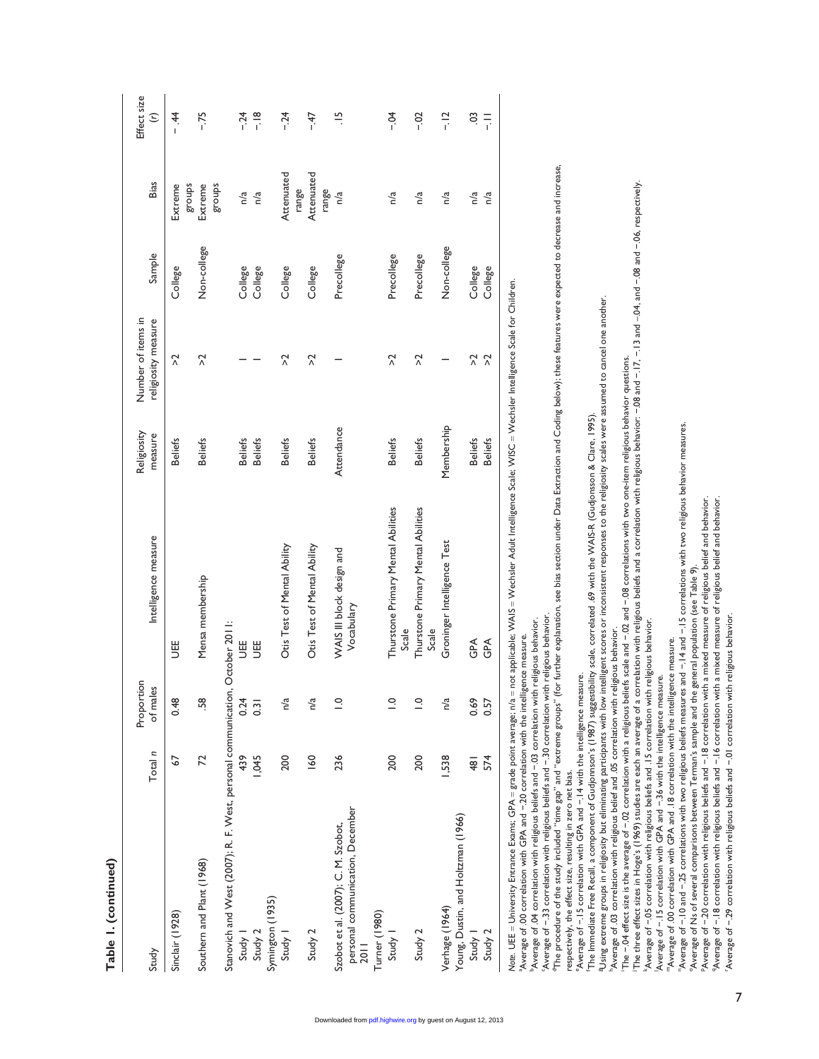| ١ |
|---|
|   |
|   |
|   |
|   |
|   |
|   |
| Ξ |
|   |
|   |
|   |
|   |
|   |
|   |
| ı |
|   |
|   |
|   |
|   |
|   |
|   |
| т |
|   |
|   |

| Study                                                                                            | Total n        | Proportion<br>of males | Intelligence measure                                                                                                                     | Religiosity<br>measure | Number of items in<br>religiosity measure | Sample      | <b>Bias</b>         | Effect size<br>$\mathfrak{S}$ |
|--------------------------------------------------------------------------------------------------|----------------|------------------------|------------------------------------------------------------------------------------------------------------------------------------------|------------------------|-------------------------------------------|-------------|---------------------|-------------------------------|
| Sinclair (1928)                                                                                  | 29             | 0.48                   | 当                                                                                                                                        | <b>Beliefs</b>         | ۷,                                        | College     | stonbs<br>Extreme   | 4.<br>$\overline{1}$          |
| Southern and Plant (1968)                                                                        | 72             | 38                     | Mensa membership                                                                                                                         | <b>Beliefs</b>         | $\tilde{\mathcal{L}}$                     | Non-college | Extreme             | $-75$                         |
| Stanovich and West (2007); R. F. West, personal communication, October 2011:                     |                |                        |                                                                                                                                          |                        |                                           |             | groups              |                               |
| Study 1                                                                                          | 439            | 0.24                   | 当                                                                                                                                        | <b>Beliefs</b>         |                                           | College     | n/a                 | $-24$                         |
| Symington (1935)<br>Study 2                                                                      | 1,045          | 0.31                   | Ë                                                                                                                                        | <b>Beliefs</b>         |                                           | College     | n/a                 | $-18$                         |
| Study 1                                                                                          | 200            | n/a                    | Otis Test of Mental Ability                                                                                                              | <b>Beliefs</b>         | ۷,                                        | College     | Attenuated<br>range | $-24$                         |
| Study 2                                                                                          | 160            | n/a                    | Otis Test of Mental Ability                                                                                                              | <b>Beliefs</b>         | λ                                         | College     | Attenuated<br>range | $-47$                         |
| personal communication, December<br>Szobot et al. (2007); C. M. Szobot,<br>Turner (1980)<br>2011 | 236            | $\frac{1}{2}$          | WAIS III block design and<br>Vocabulary                                                                                                  | Attendance             |                                           | Precollege  | n/a                 | $\frac{5}{1}$                 |
| Study 1                                                                                          | 200            | $\frac{1}{2}$          | Thurstone Primary Mental Abilities<br>Scale                                                                                              | <b>Beliefs</b>         | λ                                         | Precollege  | n/a                 | $-0.4$                        |
| Study 2                                                                                          | 200            | $\overline{0}$         | Thurstone Primary Mental Abilities<br>Scale                                                                                              | <b>Beliefs</b>         | <sup>×</sup>                              | Precollege  | n/a                 | $-02$                         |
| Young, Dustin, and Holtzman (1966)<br>Verhage (1964)                                             | 1,538          | n/a                    | Groninger Intelligence Test                                                                                                              | Membership             |                                           | Non-college | n/a                 | $-12$                         |
| Study 1                                                                                          | $\overline{a}$ | 0.69                   | GPA                                                                                                                                      | <b>Beliefs</b>         | λ                                         | College     | n/a                 | CO.                           |
| Study 2                                                                                          | 574            | 0.57                   | GPA                                                                                                                                      | <b>Beliefs</b>         | Σ                                         | College     | n/a                 | 두                             |
|                                                                                                  |                |                        | Nate       França Entrença Evant CBA — amda point avant annic na anticha (a Wachelar Adult Intelligence Solo Nachelligence Solo Grildren |                        |                                           |             |                     |                               |

Adult vechsler

Note. UEE – University Entrance Exams; GPA – grade point average; n/a – not applicable; WAIS – Wechsler Adult Intelligence Scale; WAISC – Wechsler Intelligence Scale for Children.<br>"Average of .00 correlation with GPA and – Note. UEE – University Entrance Exams; GPA – grade point average; n/a – not applicable; WAIS<br>"Average of .00 correlation with GPA and – 20 correlation with the intelligence measure.

Average of .04 correlation with religious beliets and -.03 correlation with religious behavior. bAverage of .04 correlation with religious beliefs and −.03 correlation with religious behavior.

Average of -.33 correlation with religious beliefs and -.30 correlation with religious behavior. cAverage of −.33 correlation with religious beliefs and −.30 correlation with religious behavior.

The procedure of the study included "time gap" and "extreme groups" (for further explanation, see bias section under Data Extraction and Coding below); these features were expected to decrease and increase, <sup>d</sup>The procedure of the study included "time gap" and "extreme groups" (for further explanation, see bias section under Data Extraction and Coding below); these features were expected to decrease and increase,

'Average of -.15 correlation with GPA and -.14 with the intelligence measure. respectively, the effect size, resulting in zero net bias. respectively, the effect size, resulting in zero net bias.

The Immediate Free Recall, a component of Gudjonnson's (1987) suggestibility scale, correlated .69 with the WAIS-R (Gudjonsson & Clare, 1995). eAverage of −.15 correlation with GPA and −.14 with the intelligence measure.

Using extreme groups in religiosity but eliminating participants with low intelligent scores or inconsistent responses to the religiosity scales were assumed to cancel one another. 'The Immediate Free Recall, a component of Gudjonnson's (1987) suggestibility scale, correlated .69 with the WAIS-R (Gudjonsson & Clare, 1995).<br>"Using extreme groups in religiosity but eliminating participants with low int

Average of 03 correlation with religious belief and 05 correlation with religious behavior. hAverage of .03 correlation with religious belief and .05 correlation with religious behavior.

The –.04 effect size is the average of –.02 correlation with a religious beliefs scale and –.02 and –.08 and correlations with two one-item religious behavior questions.<br>The three effect sizes in Hoge's (1969) studies are The -.04 effect size is the average of -.02 correlation with a religious beliefs scale and -.02 and -.08 correlations with two one-item religious behavior questions.

The three effect sizes in Hoge's (1969) studies are each an average of a correlation with religious beliefs and a correlation with religious behavior: –.08 and –.17, –.13 and –.04, and –.06, respectively. 'Average of -.05 correlation with religious beliefs and .15 correlation with religious behavior. kAverage of −.05 correlation with religious beliefs and .15 correlation with religious behavior.

Average of -. IS correlation with GPA and -.36 with the intelligence measure. lAverage of −.15 correlation with GPA and −.36 with the intelligence measure.

"Average of .00 correlation with GPA and .18 correlation with the intelligence measure. mAverage of .00 correlation with GPA and .18 correlation with the intelligence measure.

'Average of - 10 and - 25 correlations with two religious beliefs measures and -. 14 and -. 15 correlations with two religious behavior measures. nAverage of −.10 and −.25 correlations with two religious beliefs measures and −.14 and −.15 correlations with two religious behavior measures.

'Average of Ns of several comparisons between Terman's sample and the general population (see Table 9).  $^\circ$ Average of Ns of several comparisons between Terman's sample and the general population (see Table 9).

'Average of – 20 correlation with religious beliefs and – 18 correlation with a mixed measure of religious belief and behavior. pAverage of −.20 correlation with religious beliefs and −.18 correlation with a mixed measure of religious belief and behavior.

'Average of – 18 correlation with religious beliefs and – 16 correlation with a mixed measure of religious belief and behavior. qAverage of −.18 correlation with religious beliefs and −.16 correlation with a mixed measure of religious belief and behavior.

Average of -. 29 correlation with religious beliefs and -. 01 correlation with religious behavior. rAverage of −.29 correlation with religious beliefs and −.01 correlation with religious behavior.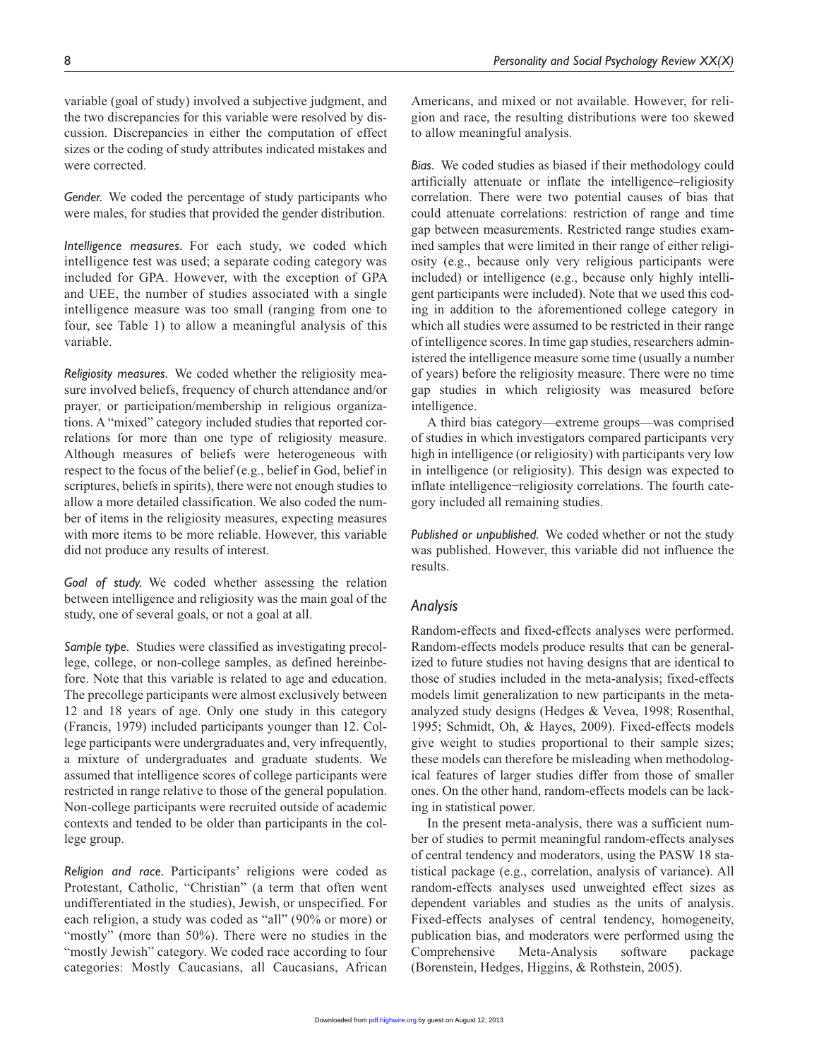variable (goal of study) involved a subjective judgment, and the two discrepancies for this variable were resolved by discussion. Discrepancies in either the computation of effect sizes or the coding of study attributes indicated mistakes and were corrected.

*Gender.* We coded the percentage of study participants who were males, for studies that provided the gender distribution.

*Intelligence measures.* For each study, we coded which intelligence test was used; a separate coding category was included for GPA. However, with the exception of GPA and UEE, the number of studies associated with a single intelligence measure was too small (ranging from one to four, see Table 1) to allow a meaningful analysis of this variable.

*Religiosity measures.* We coded whether the religiosity measure involved beliefs, frequency of church attendance and/or prayer, or participation/membership in religious organizations. A "mixed" category included studies that reported correlations for more than one type of religiosity measure. Although measures of beliefs were heterogeneous with respect to the focus of the belief (e.g., belief in God, belief in scriptures, beliefs in spirits), there were not enough studies to allow a more detailed classification. We also coded the number of items in the religiosity measures, expecting measures with more items to be more reliable. However, this variable did not produce any results of interest.

*Goal of study.* We coded whether assessing the relation between intelligence and religiosity was the main goal of the study, one of several goals, or not a goal at all.

*Sample type.* Studies were classified as investigating precollege, college, or non-college samples, as defined hereinbefore. Note that this variable is related to age and education. The precollege participants were almost exclusively between 12 and 18 years of age. Only one study in this category (Francis, 1979) included participants younger than 12. College participants were undergraduates and, very infrequently, a mixture of undergraduates and graduate students. We assumed that intelligence scores of college participants were restricted in range relative to those of the general population. Non-college participants were recruited outside of academic contexts and tended to be older than participants in the college group.

*Religion and race.* Participants' religions were coded as Protestant, Catholic, "Christian" (a term that often went undifferentiated in the studies), Jewish, or unspecified. For each religion, a study was coded as "all" (90% or more) or "mostly" (more than 50%). There were no studies in the "mostly Jewish" category. We coded race according to four categories: Mostly Caucasians, all Caucasians, African

Americans, and mixed or not available. However, for religion and race, the resulting distributions were too skewed to allow meaningful analysis.

*Bias.* We coded studies as biased if their methodology could artificially attenuate or inflate the intelligence–religiosity correlation. There were two potential causes of bias that could attenuate correlations: restriction of range and time gap between measurements. Restricted range studies examined samples that were limited in their range of either religiosity (e.g., because only very religious participants were included) or intelligence (e.g., because only highly intelligent participants were included). Note that we used this coding in addition to the aforementioned college category in which all studies were assumed to be restricted in their range of intelligence scores. In time gap studies, researchers administered the intelligence measure some time (usually a number of years) before the religiosity measure. There were no time gap studies in which religiosity was measured before intelligence.

A third bias category—extreme groups—was comprised of studies in which investigators compared participants very high in intelligence (or religiosity) with participants very low in intelligence (or religiosity). This design was expected to inflate intelligence−religiosity correlations. The fourth category included all remaining studies.

*Published or unpublished.* We coded whether or not the study was published. However, this variable did not influence the results.

# *Analysis*

Random-effects and fixed-effects analyses were performed. Random-effects models produce results that can be generalized to future studies not having designs that are identical to those of studies included in the meta-analysis; fixed-effects models limit generalization to new participants in the metaanalyzed study designs (Hedges & Vevea, 1998; Rosenthal, 1995; Schmidt, Oh, & Hayes, 2009). Fixed-effects models give weight to studies proportional to their sample sizes; these models can therefore be misleading when methodological features of larger studies differ from those of smaller ones. On the other hand, random-effects models can be lacking in statistical power.

In the present meta-analysis, there was a sufficient number of studies to permit meaningful random-effects analyses of central tendency and moderators, using the PASW 18 statistical package (e.g., correlation, analysis of variance). All random-effects analyses used unweighted effect sizes as dependent variables and studies as the units of analysis. Fixed-effects analyses of central tendency, homogeneity, publication bias, and moderators were performed using the Comprehensive Meta-Analysis software package (Borenstein, Hedges, Higgins, & Rothstein, 2005).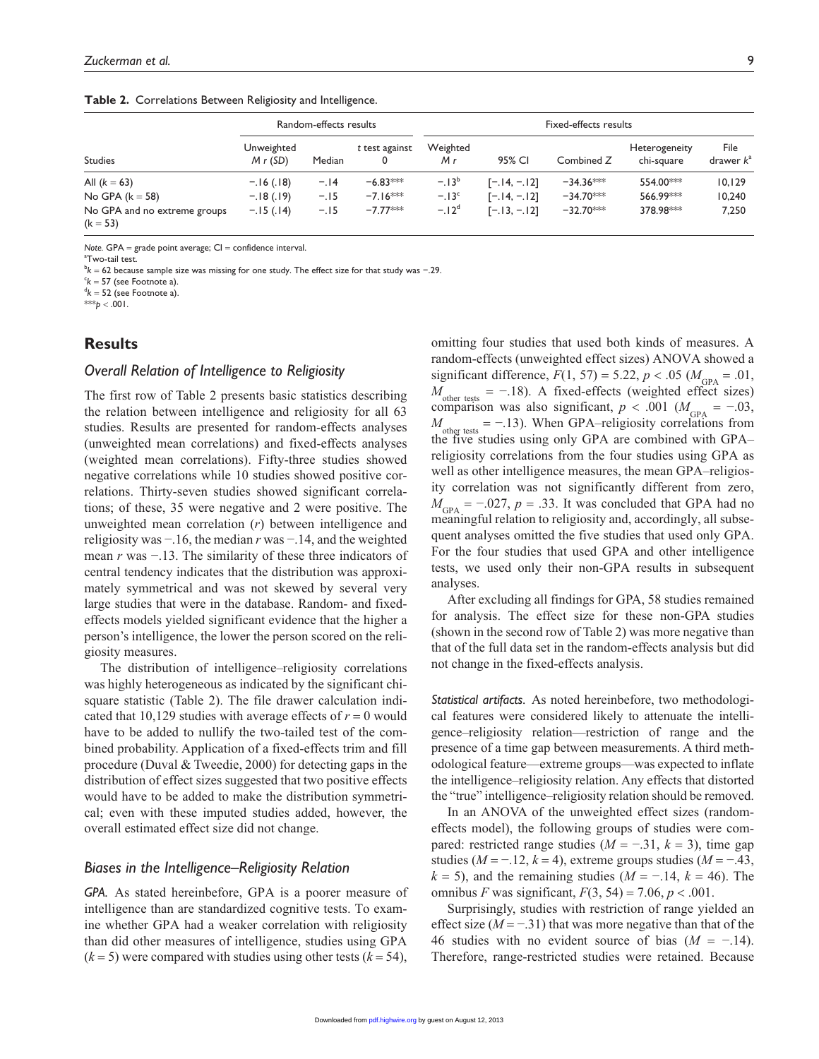|  | Table 2. Correlations Between Religiosity and Intelligence. |  |  |  |  |
|--|-------------------------------------------------------------|--|--|--|--|
|--|-------------------------------------------------------------|--|--|--|--|

|                                            |                       | Random-effects results |                  |                |                | Fixed-effects results |                             |                      |
|--------------------------------------------|-----------------------|------------------------|------------------|----------------|----------------|-----------------------|-----------------------------|----------------------|
| <b>Studies</b>                             | Unweighted<br>M r(SD) | Median                 | $t$ test against | Weighted<br>Мr | 95% CI         | Combined Z            | Heterogeneity<br>chi-square | File<br>drawer $k^a$ |
| All $(k = 63)$                             | $-16(18)$             | $-.14$                 | $-6.83***$       | $-.13^{b}$     | $[-.14, -.12]$ | $-34.36***$           | 554.00***                   | 10.129               |
| No GPA $(k = 58)$                          | $-.18(.19)$           | $-.15$                 | $-7.16***$       | $-.13c$        | $[-.14, -.12]$ | $-34.70***$           | 566.99***                   | 10,240               |
| No GPA and no extreme groups<br>$(k = 53)$ | $-.15(.14)$           | $-.15$                 | $-7.77***$       | $-.12d$        | $[-.13, -.12]$ | $-32.70***$           | 378.98***                   | 7,250                |

*Note.* GPA = grade point average; CI = confidence interval.

<sup>a</sup>Two-tail test.

b *k* = 62 because sample size was missing for one study. The effect size for that study was −.29.

 $c<sup>c</sup>k = 57$  (see Footnote a).

 $\mathrm{d}_k$  = 52 (see Footnote a).

\*\**p* < .001.

# **Results**

### *Overall Relation of Intelligence to Religiosity*

The first row of Table 2 presents basic statistics describing the relation between intelligence and religiosity for all 63 studies. Results are presented for random-effects analyses (unweighted mean correlations) and fixed-effects analyses (weighted mean correlations). Fifty-three studies showed negative correlations while 10 studies showed positive correlations. Thirty-seven studies showed significant correlations; of these, 35 were negative and 2 were positive. The unweighted mean correlation (*r*) between intelligence and religiosity was −.16, the median *r* was −.14, and the weighted mean *r* was −.13. The similarity of these three indicators of central tendency indicates that the distribution was approximately symmetrical and was not skewed by several very large studies that were in the database. Random- and fixedeffects models yielded significant evidence that the higher a person's intelligence, the lower the person scored on the religiosity measures.

The distribution of intelligence–religiosity correlations was highly heterogeneous as indicated by the significant chisquare statistic (Table 2). The file drawer calculation indicated that 10,129 studies with average effects of  $r = 0$  would have to be added to nullify the two-tailed test of the combined probability. Application of a fixed-effects trim and fill procedure (Duval & Tweedie, 2000) for detecting gaps in the distribution of effect sizes suggested that two positive effects would have to be added to make the distribution symmetrical; even with these imputed studies added, however, the overall estimated effect size did not change.

# *Biases in the Intelligence–Religiosity Relation*

*GPA.* As stated hereinbefore, GPA is a poorer measure of intelligence than are standardized cognitive tests. To examine whether GPA had a weaker correlation with religiosity than did other measures of intelligence, studies using GPA  $(k = 5)$  were compared with studies using other tests  $(k = 54)$ ,

omitting four studies that used both kinds of measures. A random-effects (unweighted effect sizes) ANOVA showed a significant difference,  $F(1, 57) = 5.22, p < .05$  ( $M_{CPA} = .01$ ,  $M_{\text{other tests}} = -.18$ ). A fixed-effects (weighted effect sizes) comparison was also significant,  $p < .001$  ( $M_{GPA} = -.03$ ,  $M_{\text{other tests}} = -.13$ ). When GPA–religiosity correlations from the five studies using only GPA are combined with GPA– religiosity correlations from the four studies using GPA as well as other intelligence measures, the mean GPA–religiosity correlation was not significantly different from zero,  $M_{\text{GPA}} = -0.027$ ,  $p = 0.33$ . It was concluded that GPA had no meaningful relation to religiosity and, accordingly, all subsequent analyses omitted the five studies that used only GPA. For the four studies that used GPA and other intelligence tests, we used only their non-GPA results in subsequent analyses.

After excluding all findings for GPA, 58 studies remained for analysis. The effect size for these non-GPA studies (shown in the second row of Table 2) was more negative than that of the full data set in the random-effects analysis but did not change in the fixed-effects analysis.

*Statistical artifacts.* As noted hereinbefore, two methodological features were considered likely to attenuate the intelligence–religiosity relation—restriction of range and the presence of a time gap between measurements. A third methodological feature—extreme groups—was expected to inflate the intelligence–religiosity relation. Any effects that distorted the "true" intelligence–religiosity relation should be removed.

In an ANOVA of the unweighted effect sizes (randomeffects model), the following groups of studies were compared: restricted range studies ( $M = -0.31$ ,  $k = 3$ ), time gap studies ( $M = -12$ ,  $k = 4$ ), extreme groups studies ( $M = -143$ ,  $k = 5$ ), and the remaining studies ( $M = -0.14$ ,  $k = 46$ ). The omnibus *F* was significant,  $F(3, 54) = 7.06$ ,  $p < .001$ .

Surprisingly, studies with restriction of range yielded an effect size  $(M = -31)$  that was more negative than that of the 46 studies with no evident source of bias (*M* = −.14). Therefore, range-restricted studies were retained. Because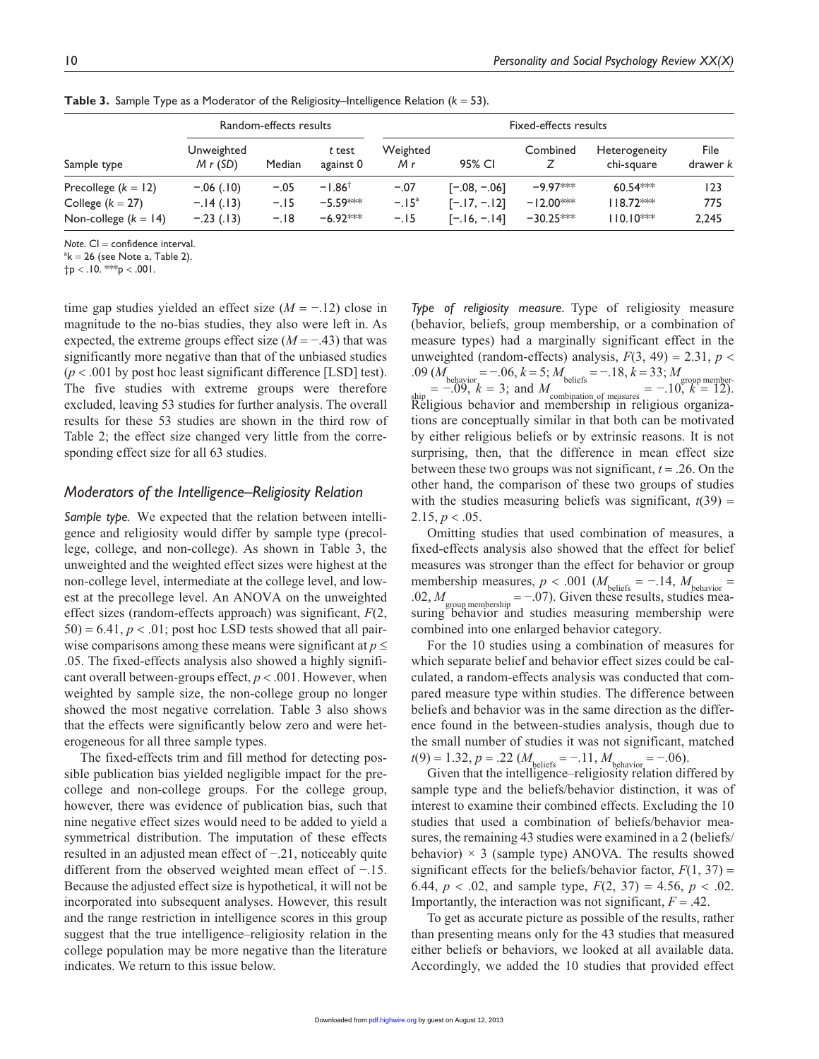|                                              |                            | Random-effects results |                          |                   |                                  | Fixed-effects results      |                             |                  |
|----------------------------------------------|----------------------------|------------------------|--------------------------|-------------------|----------------------------------|----------------------------|-----------------------------|------------------|
| Sample type                                  | Unweighted<br>M r(SD)      | Median                 | t test<br>against 0      | Weighted<br>M r   | 95% CI                           | Combined                   | Heterogeneity<br>chi-square | File<br>drawer k |
| Precollege $(k = 12)$                        | $-.06(.10)$                | $-.05$                 | $-1.86^{\dagger}$        | $-.07$            | [-.08, -.06]                     | $-9.97***$                 | $60.54***$                  | 123              |
| College $(k = 27)$<br>Non-college $(k = 14)$ | $-.14(.13)$<br>$-.23(.13)$ | $-.15$<br>$-.18$       | $-5.59***$<br>$-6.92***$ | $-.15a$<br>$-.15$ | $[-.17, -.12]$<br>$[-.16, -.14]$ | $-12.00***$<br>$-30.25***$ | $118.72***$<br>$110.10***$  | 775<br>2,245     |

**Table 3.** Sample Type as a Moderator of the Religiosity–Intelligence Relation (*k* = 53).

*Note.* CI = confidence interval.

 $a^2$ k = 26 (see Note a, Table 2).

 ${\rm tp} < .10.$ \*\*\* ${\rm p} < .001.$ 

time gap studies yielded an effect size (*M* = −.12) close in magnitude to the no-bias studies, they also were left in. As expected, the extreme groups effect size  $(M = -0.43)$  that was significantly more negative than that of the unbiased studies (*p* < .001 by post hoc least significant difference [LSD] test). The five studies with extreme groups were therefore excluded, leaving 53 studies for further analysis. The overall results for these 53 studies are shown in the third row of Table 2; the effect size changed very little from the corresponding effect size for all 63 studies.

### *Moderators of the Intelligence–Religiosity Relation*

*Sample type.* We expected that the relation between intelligence and religiosity would differ by sample type (precollege, college, and non-college). As shown in Table 3, the unweighted and the weighted effect sizes were highest at the non-college level, intermediate at the college level, and lowest at the precollege level. An ANOVA on the unweighted effect sizes (random-effects approach) was significant, *F*(2,  $50$ ) = 6.41,  $p < 0.01$ ; post hoc LSD tests showed that all pairwise comparisons among these means were significant at  $p \leq$ .05. The fixed-effects analysis also showed a highly significant overall between-groups effect, *p* < .001. However, when weighted by sample size, the non-college group no longer showed the most negative correlation. Table 3 also shows that the effects were significantly below zero and were heterogeneous for all three sample types.

The fixed-effects trim and fill method for detecting possible publication bias yielded negligible impact for the precollege and non-college groups. For the college group, however, there was evidence of publication bias, such that nine negative effect sizes would need to be added to yield a symmetrical distribution. The imputation of these effects resulted in an adjusted mean effect of −.21, noticeably quite different from the observed weighted mean effect of −.15. Because the adjusted effect size is hypothetical, it will not be incorporated into subsequent analyses. However, this result and the range restriction in intelligence scores in this group suggest that the true intelligence–religiosity relation in the college population may be more negative than the literature indicates. We return to this issue below.

*Type of religiosity measure.* Type of religiosity measure (behavior, beliefs, group membership, or a combination of measure types) had a marginally significant effect in the unweighted (random-effects) analysis,  $F(3, 49) = 2.31$ ,  $p <$ .09 ( $M_{\text{behavior}} = -.06, k = 5; M_{\text{belief}} = -.18, k = 33; M_{\text{group member}}$  $s_{\text{ship}} = -.09$ ,  $k = 3$ ; and  $M_{\text{combination of measures}} = -.10$ ,  $k = 12$ ). Religious behavior and membership in religious organizations are conceptually similar in that both can be motivated by either religious beliefs or by extrinsic reasons. It is not surprising, then, that the difference in mean effect size between these two groups was not significant, *t* = .26. On the other hand, the comparison of these two groups of studies with the studies measuring beliefs was significant,  $t(39)$  =  $2.15, p < .05.$ 

Omitting studies that used combination of measures, a fixed-effects analysis also showed that the effect for belief measures was stronger than the effect for behavior or group membership measures,  $p < .001$  ( $M_{\text{beliefs}} = -.14$ ,  $M_{\text{behavior}} =$  $.02, M_{\text{group membership}} = -.07$ . Given these results, studies measuring behavior and studies measuring membership were combined into one enlarged behavior category.

For the 10 studies using a combination of measures for which separate belief and behavior effect sizes could be calculated, a random-effects analysis was conducted that compared measure type within studies. The difference between beliefs and behavior was in the same direction as the difference found in the between-studies analysis, though due to the small number of studies it was not significant, matched  $t(9) = 1.32, p = .22$  ( $M_{\text{beliefs}} = -.11, M_{\text{behavior}} = -.06$ ).

Given that the intelligence–religiosity relation differed by sample type and the beliefs/behavior distinction, it was of interest to examine their combined effects. Excluding the 10 studies that used a combination of beliefs/behavior measures, the remaining 43 studies were examined in a 2 (beliefs/ behavior)  $\times$  3 (sample type) ANOVA. The results showed significant effects for the beliefs/behavior factor,  $F(1, 37) =$ 6.44,  $p < .02$ , and sample type,  $F(2, 37) = 4.56$ ,  $p < .02$ . Importantly, the interaction was not significant,  $F = .42$ .

To get as accurate picture as possible of the results, rather than presenting means only for the 43 studies that measured either beliefs or behaviors, we looked at all available data. Accordingly, we added the 10 studies that provided effect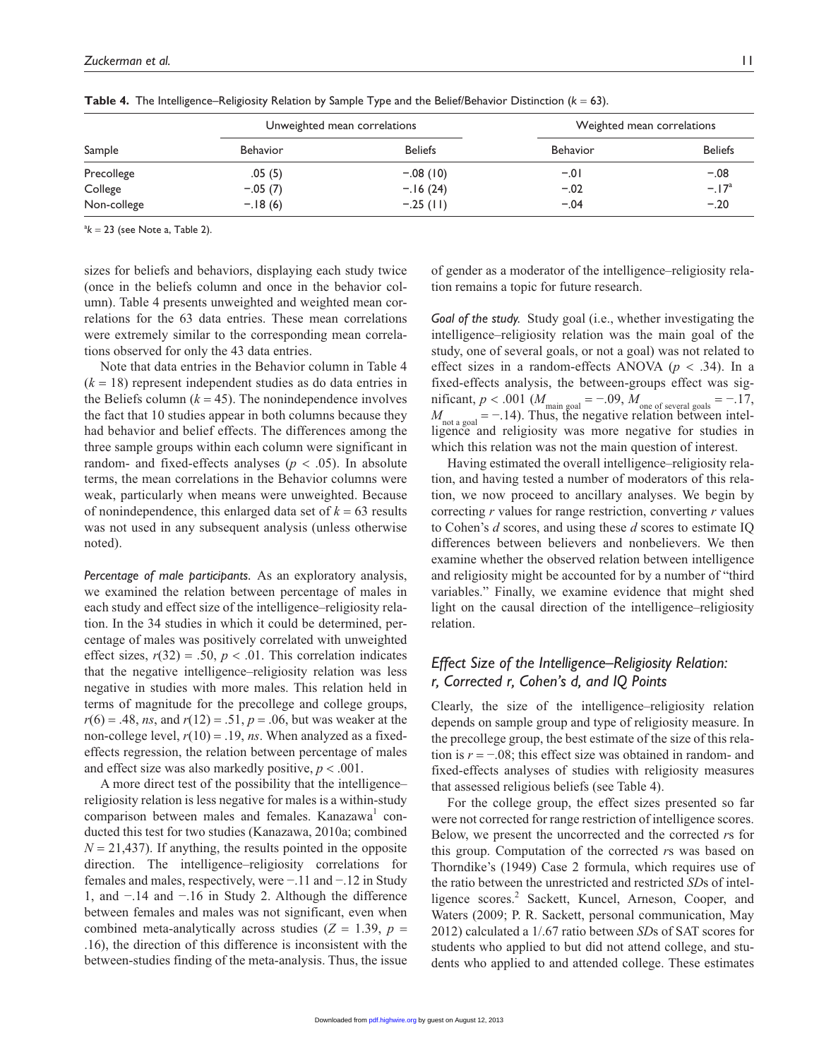|             | Unweighted mean correlations |                | Weighted mean correlations |                |
|-------------|------------------------------|----------------|----------------------------|----------------|
| Sample      | <b>Behavior</b>              | <b>Beliefs</b> | <b>Behavior</b>            | <b>Beliefs</b> |
| Precollege  | .05(5)                       | $-.08(10)$     | $-.01$                     | $-.08$         |
| College     | $-.05(7)$                    | $-.16(24)$     | $-.02$                     | $-17^{a}$      |
| Non-college | $-.18(6)$                    | $-.25(11)$     | $-.04$                     | $-.20$         |

**Table 4.** The Intelligence–Religiosity Relation by Sample Type and the Belief/Behavior Distinction (*k* = 63).

 $a^2k = 23$  (see Note a, Table 2).

sizes for beliefs and behaviors, displaying each study twice (once in the beliefs column and once in the behavior column). Table 4 presents unweighted and weighted mean correlations for the 63 data entries. These mean correlations were extremely similar to the corresponding mean correlations observed for only the 43 data entries.

Note that data entries in the Behavior column in Table 4  $(k = 18)$  represent independent studies as do data entries in the Beliefs column  $(k = 45)$ . The nonindependence involves the fact that 10 studies appear in both columns because they had behavior and belief effects. The differences among the three sample groups within each column were significant in random- and fixed-effects analyses ( $p < .05$ ). In absolute terms, the mean correlations in the Behavior columns were weak, particularly when means were unweighted. Because of nonindependence, this enlarged data set of  $k = 63$  results was not used in any subsequent analysis (unless otherwise noted).

*Percentage of male participants.* As an exploratory analysis, we examined the relation between percentage of males in each study and effect size of the intelligence–religiosity relation. In the 34 studies in which it could be determined, percentage of males was positively correlated with unweighted effect sizes,  $r(32) = .50$ ,  $p < .01$ . This correlation indicates that the negative intelligence–religiosity relation was less negative in studies with more males. This relation held in terms of magnitude for the precollege and college groups,  $r(6) = .48$ , *ns*, and  $r(12) = .51$ ,  $p = .06$ , but was weaker at the non-college level, *r*(10) = .19, *ns*. When analyzed as a fixedeffects regression, the relation between percentage of males and effect size was also markedly positive,  $p < .001$ .

A more direct test of the possibility that the intelligence– religiosity relation is less negative for males is a within-study comparison between males and females. Kanazawa<sup>1</sup> conducted this test for two studies (Kanazawa, 2010a; combined  $N = 21,437$ . If anything, the results pointed in the opposite direction. The intelligence–religiosity correlations for females and males, respectively, were −.11 and −.12 in Study 1, and −.14 and −.16 in Study 2. Although the difference between females and males was not significant, even when combined meta-analytically across studies ( $Z = 1.39$ ,  $p =$ .16), the direction of this difference is inconsistent with the between-studies finding of the meta-analysis. Thus, the issue of gender as a moderator of the intelligence–religiosity relation remains a topic for future research.

*Goal of the study.* Study goal (i.e., whether investigating the intelligence–religiosity relation was the main goal of the study, one of several goals, or not a goal) was not related to effect sizes in a random-effects ANOVA ( $p < .34$ ). In a fixed-effects analysis, the between-groups effect was significant,  $p < .001$  ( $M_{\text{main goal}} = -.09$ ,  $M_{\text{one of several goals}} = -.17$ ,  $M_{\text{not a goal}} = -.14$ ). Thus, the negative relation between intelligence and religiosity was more negative for studies in which this relation was not the main question of interest.

Having estimated the overall intelligence–religiosity relation, and having tested a number of moderators of this relation, we now proceed to ancillary analyses. We begin by correcting *r* values for range restriction, converting *r* values to Cohen's *d* scores, and using these *d* scores to estimate IQ differences between believers and nonbelievers. We then examine whether the observed relation between intelligence and religiosity might be accounted for by a number of "third variables." Finally, we examine evidence that might shed light on the causal direction of the intelligence–religiosity relation.

# *Effect Size of the Intelligence–Religiosity Relation: r, Corrected r, Cohen's d, and IQ Points*

Clearly, the size of the intelligence–religiosity relation depends on sample group and type of religiosity measure. In the precollege group, the best estimate of the size of this relation is *r* = −.08; this effect size was obtained in random- and fixed-effects analyses of studies with religiosity measures that assessed religious beliefs (see Table 4).

For the college group, the effect sizes presented so far were not corrected for range restriction of intelligence scores. Below, we present the uncorrected and the corrected *r*s for this group. Computation of the corrected *r*s was based on Thorndike's (1949) Case 2 formula, which requires use of the ratio between the unrestricted and restricted *SD*s of intelligence scores.<sup>2</sup> Sackett, Kuncel, Arneson, Cooper, and Waters (2009; P. R. Sackett, personal communication, May 2012) calculated a 1/.67 ratio between *SD*s of SAT scores for students who applied to but did not attend college, and students who applied to and attended college. These estimates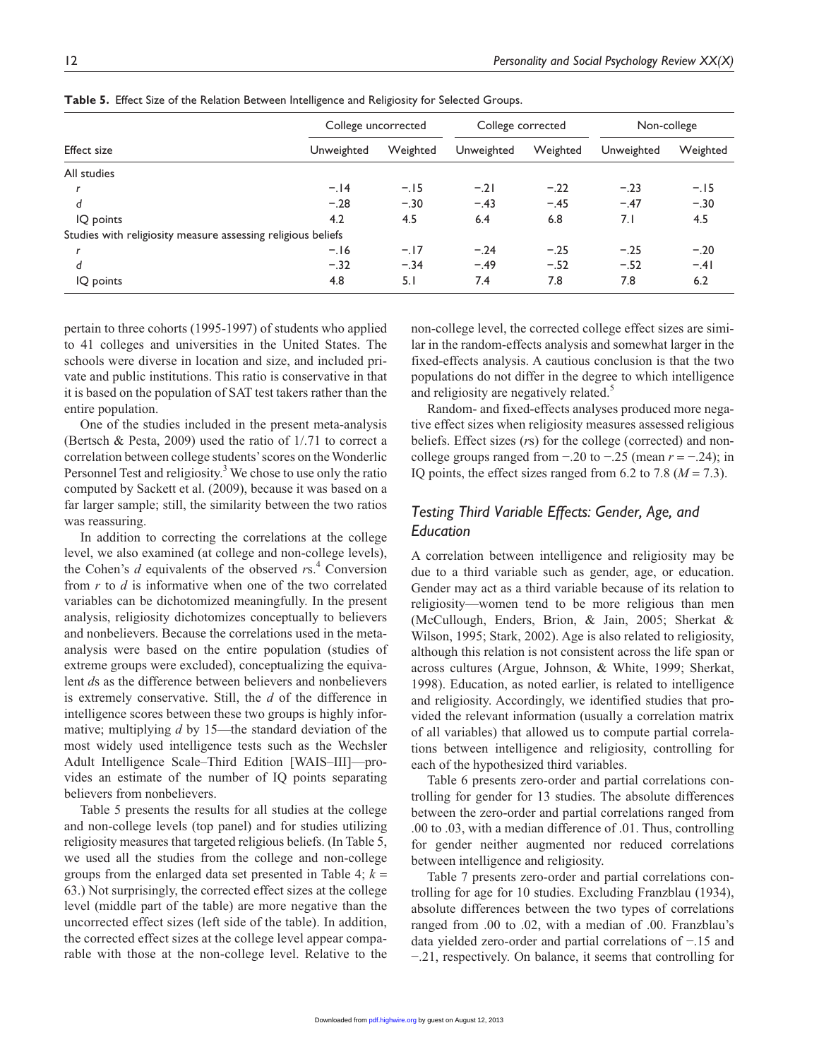|                                                              | College uncorrected |          | College corrected |          | Non-college |          |
|--------------------------------------------------------------|---------------------|----------|-------------------|----------|-------------|----------|
| Effect size                                                  | Unweighted          | Weighted | Unweighted        | Weighted | Unweighted  | Weighted |
| All studies                                                  |                     |          |                   |          |             |          |
|                                                              | $-.14$              | $-.15$   | $-.21$            | $-.22$   | $-.23$      | $-.15$   |
| d                                                            | $-.28$              | $-.30$   | $-.43$            | $-.45$   | $-.47$      | $-.30$   |
| IQ points                                                    | 4.2                 | 4.5      | 6.4               | 6.8      | 7.1         | 4.5      |
| Studies with religiosity measure assessing religious beliefs |                     |          |                   |          |             |          |
|                                                              | $-.16$              | $-.17$   | $-.24$            | $-.25$   | $-.25$      | $-.20$   |
| d                                                            | $-.32$              | $-.34$   | $-.49$            | $-.52$   | $-.52$      | $-.41$   |
| IQ points                                                    | 4.8                 | 5.1      | 7.4               | 7.8      | 7.8         | 6.2      |

**Table 5.** Effect Size of the Relation Between Intelligence and Religiosity for Selected Groups.

pertain to three cohorts (1995-1997) of students who applied to 41 colleges and universities in the United States. The schools were diverse in location and size, and included private and public institutions. This ratio is conservative in that it is based on the population of SAT test takers rather than the entire population.

One of the studies included in the present meta-analysis (Bertsch & Pesta, 2009) used the ratio of 1/.71 to correct a correlation between college students' scores on the Wonderlic Personnel Test and religiosity.<sup>3</sup> We chose to use only the ratio computed by Sackett et al. (2009), because it was based on a far larger sample; still, the similarity between the two ratios was reassuring.

In addition to correcting the correlations at the college level, we also examined (at college and non-college levels), the Cohen's *d* equivalents of the observed *r*s.<sup>4</sup> Conversion from *r* to *d* is informative when one of the two correlated variables can be dichotomized meaningfully. In the present analysis, religiosity dichotomizes conceptually to believers and nonbelievers. Because the correlations used in the metaanalysis were based on the entire population (studies of extreme groups were excluded), conceptualizing the equivalent *d*s as the difference between believers and nonbelievers is extremely conservative. Still, the *d* of the difference in intelligence scores between these two groups is highly informative; multiplying *d* by 15—the standard deviation of the most widely used intelligence tests such as the Wechsler Adult Intelligence Scale–Third Edition [WAIS–III]—provides an estimate of the number of IQ points separating believers from nonbelievers.

Table 5 presents the results for all studies at the college and non-college levels (top panel) and for studies utilizing religiosity measures that targeted religious beliefs. (In Table 5, we used all the studies from the college and non-college groups from the enlarged data set presented in Table 4;  $k =$ 63.) Not surprisingly, the corrected effect sizes at the college level (middle part of the table) are more negative than the uncorrected effect sizes (left side of the table). In addition, the corrected effect sizes at the college level appear comparable with those at the non-college level. Relative to the

non-college level, the corrected college effect sizes are similar in the random-effects analysis and somewhat larger in the fixed-effects analysis. A cautious conclusion is that the two populations do not differ in the degree to which intelligence and religiosity are negatively related.<sup>5</sup>

Random- and fixed-effects analyses produced more negative effect sizes when religiosity measures assessed religious beliefs. Effect sizes (*r*s) for the college (corrected) and noncollege groups ranged from −.20 to −.25 (mean *r* = −.24); in IQ points, the effect sizes ranged from 6.2 to 7.8 (*M* = 7.3).

# *Testing Third Variable Effects: Gender, Age, and Education*

A correlation between intelligence and religiosity may be due to a third variable such as gender, age, or education. Gender may act as a third variable because of its relation to religiosity—women tend to be more religious than men (McCullough, Enders, Brion, & Jain, 2005; Sherkat & Wilson, 1995; Stark, 2002). Age is also related to religiosity, although this relation is not consistent across the life span or across cultures (Argue, Johnson, & White, 1999; Sherkat, 1998). Education, as noted earlier, is related to intelligence and religiosity. Accordingly, we identified studies that provided the relevant information (usually a correlation matrix of all variables) that allowed us to compute partial correlations between intelligence and religiosity, controlling for each of the hypothesized third variables.

Table 6 presents zero-order and partial correlations controlling for gender for 13 studies. The absolute differences between the zero-order and partial correlations ranged from .00 to .03, with a median difference of .01. Thus, controlling for gender neither augmented nor reduced correlations between intelligence and religiosity.

Table 7 presents zero-order and partial correlations controlling for age for 10 studies. Excluding Franzblau (1934), absolute differences between the two types of correlations ranged from .00 to .02, with a median of .00. Franzblau's data yielded zero-order and partial correlations of −.15 and −.21, respectively. On balance, it seems that controlling for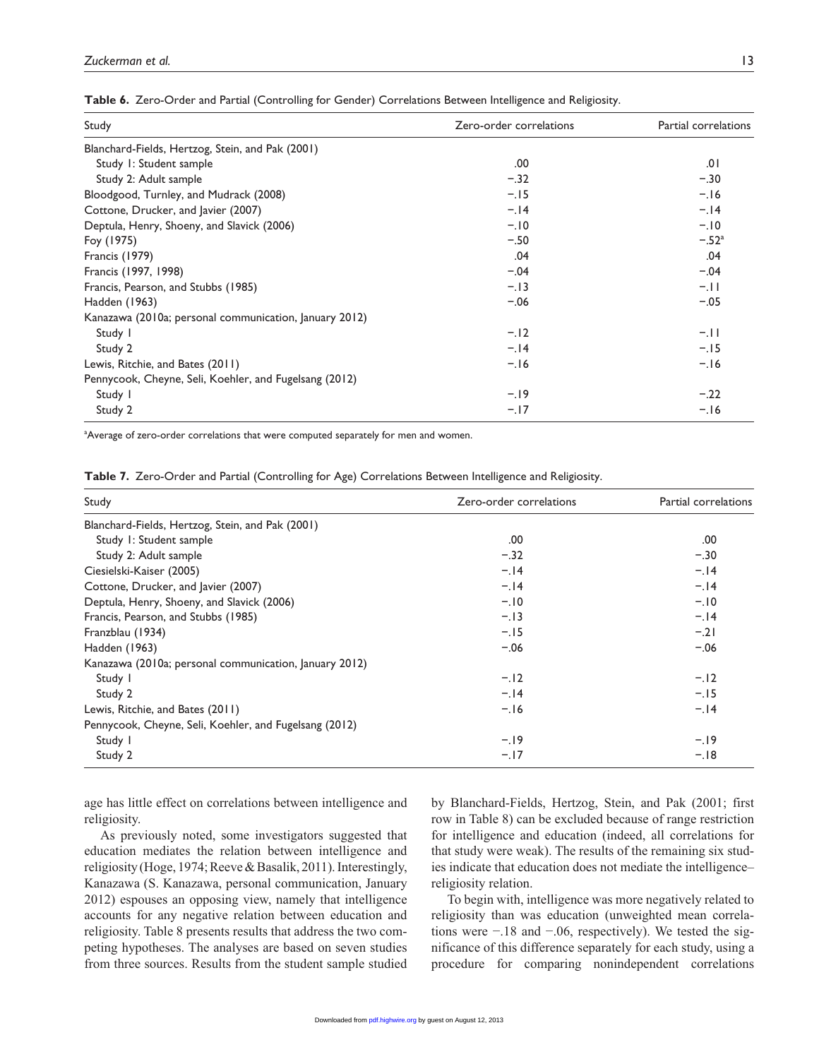| Study                                                  | Zero-order correlations | Partial correlations |
|--------------------------------------------------------|-------------------------|----------------------|
| Blanchard-Fields, Hertzog, Stein, and Pak (2001)       |                         |                      |
| Study 1: Student sample                                | .00                     | .01                  |
| Study 2: Adult sample                                  | $-.32$                  | $-.30$               |
| Bloodgood, Turnley, and Mudrack (2008)                 | $-.15$                  | $-.16$               |
| Cottone, Drucker, and Javier (2007)                    | $-.14$                  | $-.14$               |
| Deptula, Henry, Shoeny, and Slavick (2006)             | $-.10$                  | $-.10$               |
| Foy (1975)                                             | $-.50$                  | $-.52a$              |
| Francis (1979)                                         | .04                     | .04                  |
| Francis (1997, 1998)                                   | $-.04$                  | $-.04$               |
| Francis, Pearson, and Stubbs (1985)                    | $-.13$                  | $-.11$               |
| Hadden (1963)                                          | $-.06$                  | $-.05$               |
| Kanazawa (2010a; personal communication, January 2012) |                         |                      |
| Study I                                                | $-.12$                  | $-.11$               |
| Study 2                                                | $-.14$                  | $-.15$               |
| Lewis, Ritchie, and Bates (2011)                       | $-.16$                  | $-.16$               |
| Pennycook, Cheyne, Seli, Koehler, and Fugelsang (2012) |                         |                      |
| Study I                                                | $-.19$                  | $-.22$               |
| Study 2                                                | $-.17$                  | $-.16$               |

**Table 6.** Zero-Order and Partial (Controlling for Gender) Correlations Between Intelligence and Religiosity.

<sup>a</sup>Average of zero-order correlations that were computed separately for men and women.

| Table 7. Zero-Order and Partial (Controlling for Age) Correlations Between Intelligence and Religiosity. |  |  |  |  |
|----------------------------------------------------------------------------------------------------------|--|--|--|--|
|----------------------------------------------------------------------------------------------------------|--|--|--|--|

| Study                                                  | Zero-order correlations | Partial correlations |
|--------------------------------------------------------|-------------------------|----------------------|
| Blanchard-Fields, Hertzog, Stein, and Pak (2001)       |                         |                      |
| Study 1: Student sample                                | .00                     | .00                  |
| Study 2: Adult sample                                  | $-.32$                  | $-.30$               |
| Ciesielski-Kaiser (2005)                               | $-.14$                  | $-.14$               |
| Cottone, Drucker, and Javier (2007)                    | $-.14$                  | $-.14$               |
| Deptula, Henry, Shoeny, and Slavick (2006)             | $-.10$                  | $-.10$               |
| Francis, Pearson, and Stubbs (1985)                    | $-.13$                  | $-.14$               |
| Franzblau (1934)                                       | $-.15$                  | $-.21$               |
| Hadden (1963)                                          | $-.06$                  | $-.06$               |
| Kanazawa (2010a; personal communication, January 2012) |                         |                      |
| Study I                                                | $-.12$                  | $-.12$               |
| Study 2                                                | $-.14$                  | $-.15$               |
| Lewis, Ritchie, and Bates (2011)                       | $-.16$                  | $-.14$               |
| Pennycook, Cheyne, Seli, Koehler, and Fugelsang (2012) |                         |                      |
| Study I                                                | $-19$                   | $-.19$               |
| Study 2                                                | $-.17$                  | $-.18$               |

age has little effect on correlations between intelligence and religiosity.

As previously noted, some investigators suggested that education mediates the relation between intelligence and religiosity (Hoge, 1974; Reeve & Basalik, 2011). Interestingly, Kanazawa (S. Kanazawa, personal communication, January 2012) espouses an opposing view, namely that intelligence accounts for any negative relation between education and religiosity. Table 8 presents results that address the two competing hypotheses. The analyses are based on seven studies from three sources. Results from the student sample studied

by Blanchard-Fields, Hertzog, Stein, and Pak (2001; first row in Table 8) can be excluded because of range restriction for intelligence and education (indeed, all correlations for that study were weak). The results of the remaining six studies indicate that education does not mediate the intelligence– religiosity relation.

To begin with, intelligence was more negatively related to religiosity than was education (unweighted mean correlations were −.18 and −.06, respectively). We tested the significance of this difference separately for each study, using a procedure for comparing nonindependent correlations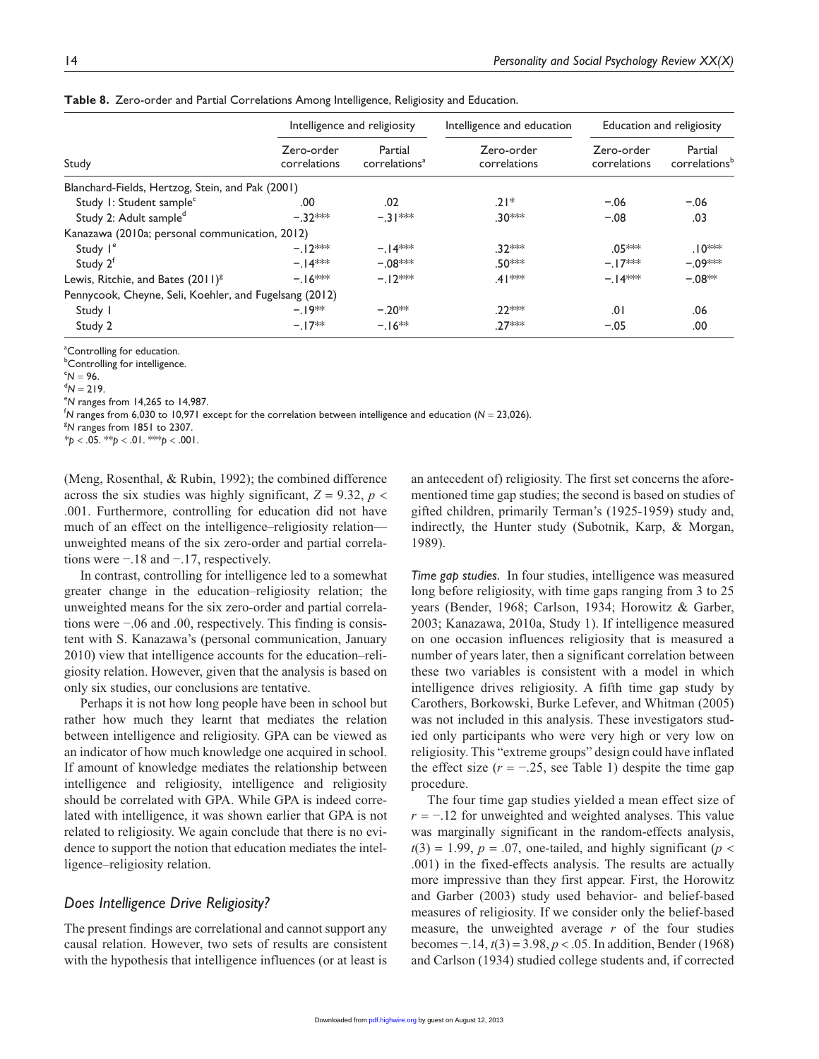|                                                        |                            | Intelligence and religiosity         | Intelligence and education | Education and religiosity  |                                      |  |
|--------------------------------------------------------|----------------------------|--------------------------------------|----------------------------|----------------------------|--------------------------------------|--|
| Study                                                  | Zero-order<br>correlations | Partial<br>correlations <sup>a</sup> | Zero-order<br>correlations | Zero-order<br>correlations | Partial<br>correlations <sup>b</sup> |  |
| Blanchard-Fields, Hertzog, Stein, and Pak (2001)       |                            |                                      |                            |                            |                                      |  |
| Study 1: Student sample <sup>c</sup>                   | .00                        | .02                                  | $.21*$                     | $-.06$                     | $-.06$                               |  |
| Study 2: Adult sample <sup>d</sup>                     | $-32***$                   | $-31***$                             | .30 <sup>***</sup>         | $-.08$                     | .03                                  |  |
| Kanazawa (2010a; personal communication, 2012)         |                            |                                      |                            |                            |                                      |  |
| Study I <sup>e</sup>                                   | $-12***$                   | $-14$ <sup>***</sup>                 | $.32***$                   | $.05***$                   | .10 <sup>***</sup>                   |  |
| Study 2 <sup>t</sup>                                   | $-14$ **                   | $-08$ **                             | $.50***$                   | $-17$ **                   | $-09***$                             |  |
| Lewis, Ritchie, and Bates $(2011)^8$                   | $-16$ **                   | $-12***$                             | $41***$                    | $-14$ **                   | $-0.08**$                            |  |
| Pennycook, Cheyne, Seli, Koehler, and Fugelsang (2012) |                            |                                      |                            |                            |                                      |  |
| Study I                                                | $-19**$                    | $-20**$                              | .22 ***                    | 0١.                        | .06                                  |  |
| Study 2                                                | $-17**$                    | $-.16***$                            | .27***                     | $-.05$                     | .00                                  |  |

**Table 8.** Zero-order and Partial Correlations Among Intelligence, Religiosity and Education.

<sup>a</sup> Controlling for education.

**Controlling** for intelligence.

 ${}^{c}N = 96.$ 

 ${}^{d}N = 219.$ 

e *N* ranges from 14,265 to 14,987.

f *N* ranges from 6,030 to 10,971 except for the correlation between intelligence and education (*N* = 23,026).

g *N* ranges from 1851 to 2307.

*\*p* < .05. \*\**p* < .01. \*\*\**p* < .001.

(Meng, Rosenthal, & Rubin, 1992); the combined difference across the six studies was highly significant,  $Z = 9.32$ ,  $p <$ .001. Furthermore, controlling for education did not have much of an effect on the intelligence–religiosity relation unweighted means of the six zero-order and partial correlations were −.18 and −.17, respectively.

In contrast, controlling for intelligence led to a somewhat greater change in the education–religiosity relation; the unweighted means for the six zero-order and partial correlations were −.06 and .00, respectively. This finding is consistent with S. Kanazawa's (personal communication, January 2010) view that intelligence accounts for the education–religiosity relation. However, given that the analysis is based on only six studies, our conclusions are tentative.

Perhaps it is not how long people have been in school but rather how much they learnt that mediates the relation between intelligence and religiosity. GPA can be viewed as an indicator of how much knowledge one acquired in school. If amount of knowledge mediates the relationship between intelligence and religiosity, intelligence and religiosity should be correlated with GPA. While GPA is indeed correlated with intelligence, it was shown earlier that GPA is not related to religiosity. We again conclude that there is no evidence to support the notion that education mediates the intelligence–religiosity relation.

#### *Does Intelligence Drive Religiosity?*

The present findings are correlational and cannot support any causal relation. However, two sets of results are consistent with the hypothesis that intelligence influences (or at least is an antecedent of) religiosity. The first set concerns the aforementioned time gap studies; the second is based on studies of gifted children, primarily Terman's (1925-1959) study and, indirectly, the Hunter study (Subotnik, Karp, & Morgan, 1989).

*Time gap studies.* In four studies, intelligence was measured long before religiosity, with time gaps ranging from 3 to 25 years (Bender, 1968; Carlson, 1934; Horowitz & Garber, 2003; Kanazawa, 2010a, Study 1). If intelligence measured on one occasion influences religiosity that is measured a number of years later, then a significant correlation between these two variables is consistent with a model in which intelligence drives religiosity. A fifth time gap study by Carothers, Borkowski, Burke Lefever, and Whitman (2005) was not included in this analysis. These investigators studied only participants who were very high or very low on religiosity. This "extreme groups" design could have inflated the effect size  $(r = -.25, \text{ see Table 1})$  despite the time gap procedure.

The four time gap studies yielded a mean effect size of *r* = −.12 for unweighted and weighted analyses. This value was marginally significant in the random-effects analysis,  $t(3) = 1.99$ ,  $p = .07$ , one-tailed, and highly significant ( $p <$ .001) in the fixed-effects analysis. The results are actually more impressive than they first appear. First, the Horowitz and Garber (2003) study used behavior- and belief-based measures of religiosity. If we consider only the belief-based measure, the unweighted average *r* of the four studies becomes −.14, *t*(3) = 3.98, *p* < .05. In addition, Bender (1968) and Carlson (1934) studied college students and, if corrected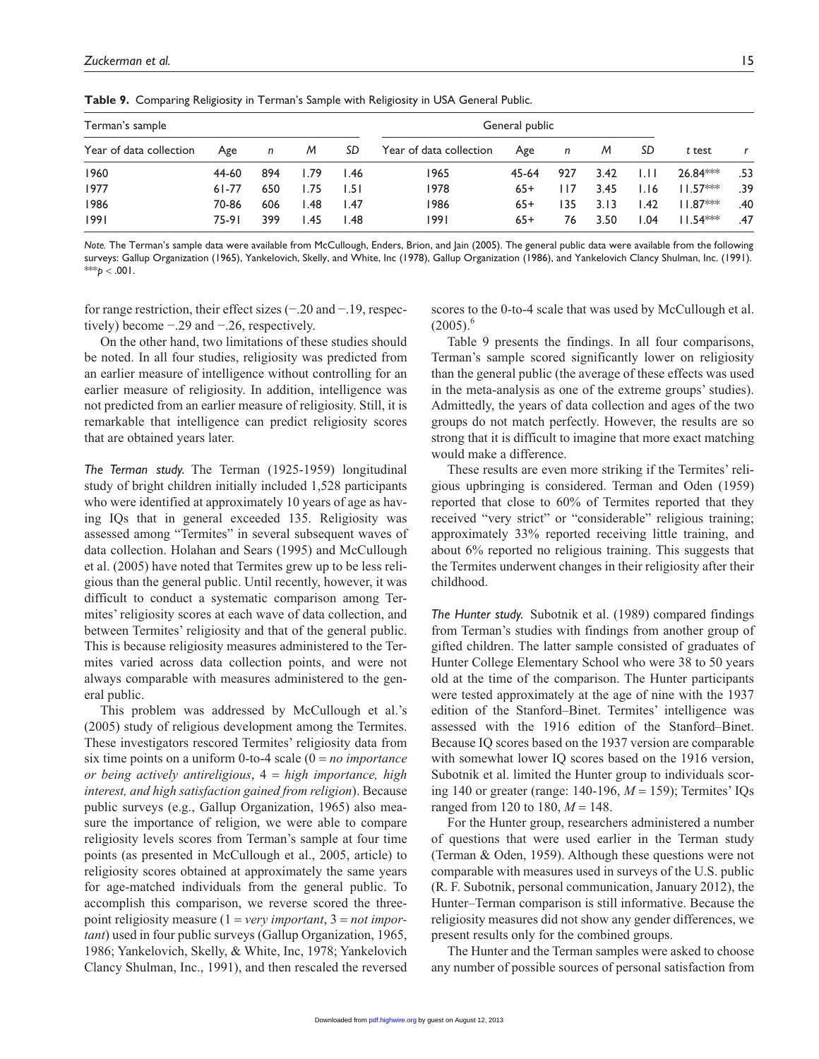| Terman's sample         |                |              | General public         |              |                         |                |              |              |              |                          |            |
|-------------------------|----------------|--------------|------------------------|--------------|-------------------------|----------------|--------------|--------------|--------------|--------------------------|------------|
| Year of data collection | Age            | $\mathsf{n}$ | M                      | SD.          | Year of data collection | Age            | $\mathsf{n}$ | M            | SD           | t test                   | r          |
| 1960                    | 44-60          | 894          | I.79                   | 1.46         | 1965                    | 45-64          | 927          | 3.42         | 1.11         | $26.84***$               | .53        |
| 1977                    | $61 - 77$      | 650          | I.75                   | 1.51         | 1978                    | $65+$          | 117          | 3.45         | 1.16         | $11.57***$               | .39        |
| 1986<br>1991            | 70-86<br>75-91 | 606<br>399   | l.48<br>$^{\circ}$ .45 | 1.47<br>1.48 | 1986<br>1991            | $65+$<br>$65+$ | 135<br>76    | 3.13<br>3.50 | 1.42<br>1.04 | $11.87***$<br>$11.54***$ | .40<br>.47 |

*Note.* The Terman's sample data were available from McCullough, Enders, Brion, and Jain (2005). The general public data were available from the following surveys: Gallup Organization (1965), Yankelovich, Skelly, and White, Inc (1978), Gallup Organization (1986), and Yankelovich Clancy Shulman, Inc. (1991). \*\*\* $p < .001$ .

for range restriction, their effect sizes (−.20 and −.19, respectively) become −.29 and −.26, respectively.

On the other hand, two limitations of these studies should be noted. In all four studies, religiosity was predicted from an earlier measure of intelligence without controlling for an earlier measure of religiosity. In addition, intelligence was not predicted from an earlier measure of religiosity. Still, it is remarkable that intelligence can predict religiosity scores that are obtained years later.

*The Terman study.* The Terman (1925-1959) longitudinal study of bright children initially included 1,528 participants who were identified at approximately 10 years of age as having IQs that in general exceeded 135. Religiosity was assessed among "Termites" in several subsequent waves of data collection. Holahan and Sears (1995) and McCullough et al. (2005) have noted that Termites grew up to be less religious than the general public. Until recently, however, it was difficult to conduct a systematic comparison among Termites' religiosity scores at each wave of data collection, and between Termites' religiosity and that of the general public. This is because religiosity measures administered to the Termites varied across data collection points, and were not always comparable with measures administered to the general public.

This problem was addressed by McCullough et al.'s (2005) study of religious development among the Termites. These investigators rescored Termites' religiosity data from six time points on a uniform 0-to-4 scale (0 = *no importance or being actively antireligious*, 4 = *high importance, high interest, and high satisfaction gained from religion*). Because public surveys (e.g., Gallup Organization, 1965) also measure the importance of religion, we were able to compare religiosity levels scores from Terman's sample at four time points (as presented in McCullough et al., 2005, article) to religiosity scores obtained at approximately the same years for age-matched individuals from the general public. To accomplish this comparison, we reverse scored the threepoint religiosity measure (1 = *very important*, 3 = *not important*) used in four public surveys (Gallup Organization, 1965, 1986; Yankelovich, Skelly, & White, Inc, 1978; Yankelovich Clancy Shulman, Inc., 1991), and then rescaled the reversed

scores to the 0-to-4 scale that was used by McCullough et al.  $(2005)^6$ 

Table 9 presents the findings. In all four comparisons, Terman's sample scored significantly lower on religiosity than the general public (the average of these effects was used in the meta-analysis as one of the extreme groups' studies). Admittedly, the years of data collection and ages of the two groups do not match perfectly. However, the results are so strong that it is difficult to imagine that more exact matching would make a difference.

These results are even more striking if the Termites' religious upbringing is considered. Terman and Oden (1959) reported that close to 60% of Termites reported that they received "very strict" or "considerable" religious training; approximately 33% reported receiving little training, and about 6% reported no religious training. This suggests that the Termites underwent changes in their religiosity after their childhood.

*The Hunter study.* Subotnik et al. (1989) compared findings from Terman's studies with findings from another group of gifted children. The latter sample consisted of graduates of Hunter College Elementary School who were 38 to 50 years old at the time of the comparison. The Hunter participants were tested approximately at the age of nine with the 1937 edition of the Stanford–Binet. Termites' intelligence was assessed with the 1916 edition of the Stanford–Binet. Because IQ scores based on the 1937 version are comparable with somewhat lower IQ scores based on the 1916 version, Subotnik et al. limited the Hunter group to individuals scoring 140 or greater (range: 140-196, *M* = 159); Termites' IQs ranged from 120 to 180, *M* = 148.

For the Hunter group, researchers administered a number of questions that were used earlier in the Terman study (Terman & Oden, 1959). Although these questions were not comparable with measures used in surveys of the U.S. public (R. F. Subotnik, personal communication, January 2012), the Hunter–Terman comparison is still informative. Because the religiosity measures did not show any gender differences, we present results only for the combined groups.

The Hunter and the Terman samples were asked to choose any number of possible sources of personal satisfaction from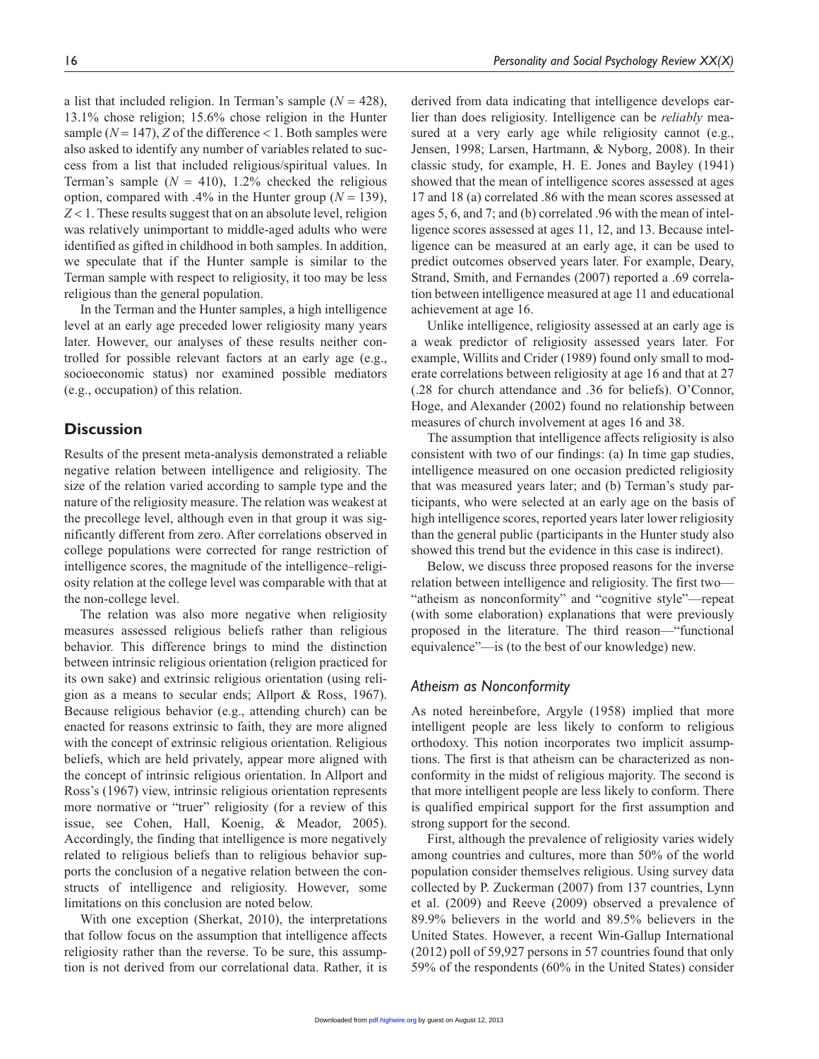a list that included religion. In Terman's sample  $(N = 428)$ , 13.1% chose religion; 15.6% chose religion in the Hunter sample ( $N = 147$ ),  $Z$  of the difference  $< 1$ . Both samples were also asked to identify any number of variables related to success from a list that included religious/spiritual values. In Terman's sample  $(N = 410)$ , 1.2% checked the religious option, compared with .4% in the Hunter group ( $N = 139$ ), *Z* < 1. These results suggest that on an absolute level, religion was relatively unimportant to middle-aged adults who were identified as gifted in childhood in both samples. In addition, we speculate that if the Hunter sample is similar to the Terman sample with respect to religiosity, it too may be less religious than the general population.

In the Terman and the Hunter samples, a high intelligence level at an early age preceded lower religiosity many years later. However, our analyses of these results neither controlled for possible relevant factors at an early age (e.g., socioeconomic status) nor examined possible mediators (e.g., occupation) of this relation.

# **Discussion**

Results of the present meta-analysis demonstrated a reliable negative relation between intelligence and religiosity. The size of the relation varied according to sample type and the nature of the religiosity measure. The relation was weakest at the precollege level, although even in that group it was significantly different from zero. After correlations observed in college populations were corrected for range restriction of intelligence scores, the magnitude of the intelligence–religiosity relation at the college level was comparable with that at the non-college level.

The relation was also more negative when religiosity measures assessed religious beliefs rather than religious behavior. This difference brings to mind the distinction between intrinsic religious orientation (religion practiced for its own sake) and extrinsic religious orientation (using religion as a means to secular ends; Allport & Ross, 1967). Because religious behavior (e.g., attending church) can be enacted for reasons extrinsic to faith, they are more aligned with the concept of extrinsic religious orientation. Religious beliefs, which are held privately, appear more aligned with the concept of intrinsic religious orientation. In Allport and Ross's (1967) view, intrinsic religious orientation represents more normative or "truer" religiosity (for a review of this issue, see Cohen, Hall, Koenig, & Meador, 2005). Accordingly, the finding that intelligence is more negatively related to religious beliefs than to religious behavior supports the conclusion of a negative relation between the constructs of intelligence and religiosity. However, some limitations on this conclusion are noted below.

With one exception (Sherkat, 2010), the interpretations that follow focus on the assumption that intelligence affects religiosity rather than the reverse. To be sure, this assumption is not derived from our correlational data. Rather, it is

derived from data indicating that intelligence develops earlier than does religiosity. Intelligence can be *reliably* measured at a very early age while religiosity cannot (e.g., Jensen, 1998; Larsen, Hartmann, & Nyborg, 2008). In their classic study, for example, H. E. Jones and Bayley (1941) showed that the mean of intelligence scores assessed at ages 17 and 18 (a) correlated .86 with the mean scores assessed at ages 5, 6, and 7; and (b) correlated .96 with the mean of intelligence scores assessed at ages 11, 12, and 13. Because intelligence can be measured at an early age, it can be used to predict outcomes observed years later. For example, Deary, Strand, Smith, and Fernandes (2007) reported a .69 correlation between intelligence measured at age 11 and educational achievement at age 16.

Unlike intelligence, religiosity assessed at an early age is a weak predictor of religiosity assessed years later. For example, Willits and Crider (1989) found only small to moderate correlations between religiosity at age 16 and that at 27 (.28 for church attendance and .36 for beliefs). O'Connor, Hoge, and Alexander (2002) found no relationship between measures of church involvement at ages 16 and 38.

The assumption that intelligence affects religiosity is also consistent with two of our findings: (a) In time gap studies, intelligence measured on one occasion predicted religiosity that was measured years later; and (b) Terman's study participants, who were selected at an early age on the basis of high intelligence scores, reported years later lower religiosity than the general public (participants in the Hunter study also showed this trend but the evidence in this case is indirect).

Below, we discuss three proposed reasons for the inverse relation between intelligence and religiosity. The first two— "atheism as nonconformity" and "cognitive style"—repeat (with some elaboration) explanations that were previously proposed in the literature. The third reason—"functional equivalence"—is (to the best of our knowledge) new.

# *Atheism as Nonconformity*

As noted hereinbefore, Argyle (1958) implied that more intelligent people are less likely to conform to religious orthodoxy. This notion incorporates two implicit assumptions. The first is that atheism can be characterized as nonconformity in the midst of religious majority. The second is that more intelligent people are less likely to conform. There is qualified empirical support for the first assumption and strong support for the second.

First, although the prevalence of religiosity varies widely among countries and cultures, more than 50% of the world population consider themselves religious. Using survey data collected by P. Zuckerman (2007) from 137 countries, Lynn et al. (2009) and Reeve (2009) observed a prevalence of 89.9% believers in the world and 89.5% believers in the United States. However, a recent Win-Gallup International (2012) poll of 59,927 persons in 57 countries found that only 59% of the respondents (60% in the United States) consider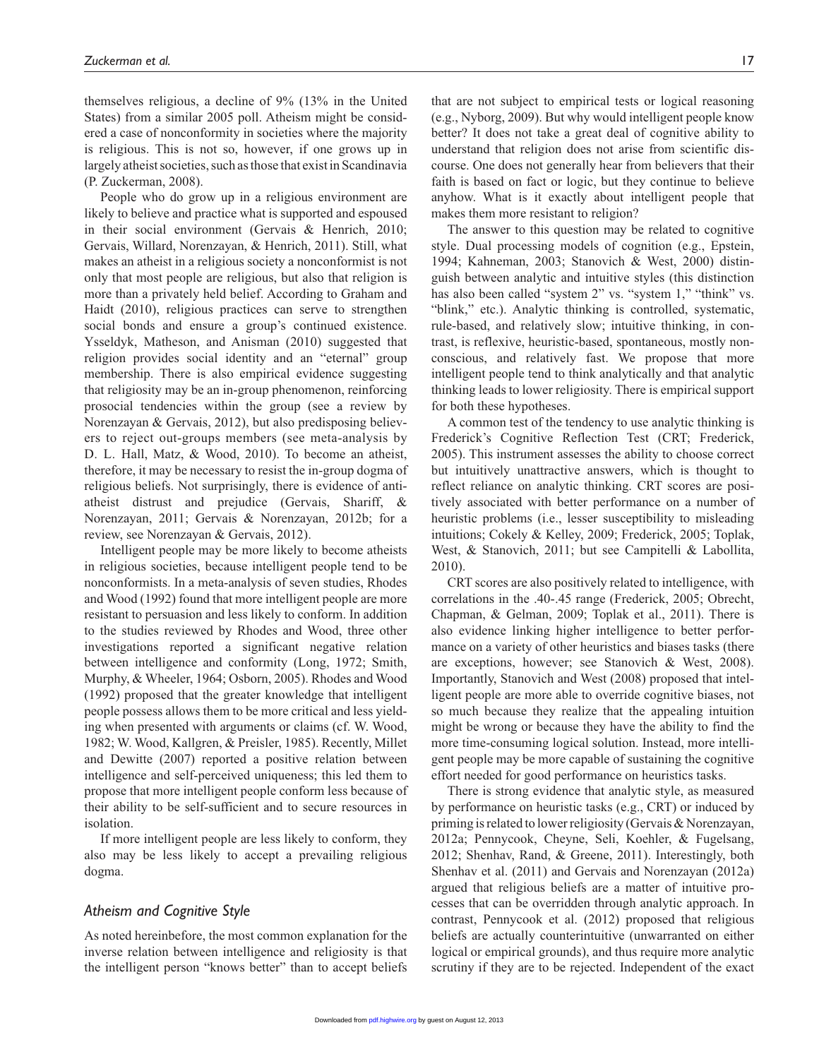themselves religious, a decline of 9% (13% in the United States) from a similar 2005 poll. Atheism might be considered a case of nonconformity in societies where the majority is religious. This is not so, however, if one grows up in largely atheist societies, such as those that exist in Scandinavia (P. Zuckerman, 2008).

People who do grow up in a religious environment are likely to believe and practice what is supported and espoused in their social environment (Gervais & Henrich, 2010; Gervais, Willard, Norenzayan, & Henrich, 2011). Still, what makes an atheist in a religious society a nonconformist is not only that most people are religious, but also that religion is more than a privately held belief. According to Graham and Haidt (2010), religious practices can serve to strengthen social bonds and ensure a group's continued existence. Ysseldyk, Matheson, and Anisman (2010) suggested that religion provides social identity and an "eternal" group membership. There is also empirical evidence suggesting that religiosity may be an in-group phenomenon, reinforcing prosocial tendencies within the group (see a review by Norenzayan & Gervais, 2012), but also predisposing believers to reject out-groups members (see meta-analysis by D. L. Hall, Matz, & Wood, 2010). To become an atheist, therefore, it may be necessary to resist the in-group dogma of religious beliefs. Not surprisingly, there is evidence of antiatheist distrust and prejudice (Gervais, Shariff, & Norenzayan, 2011; Gervais & Norenzayan, 2012b; for a review, see Norenzayan & Gervais, 2012).

Intelligent people may be more likely to become atheists in religious societies, because intelligent people tend to be nonconformists. In a meta-analysis of seven studies, Rhodes and Wood (1992) found that more intelligent people are more resistant to persuasion and less likely to conform. In addition to the studies reviewed by Rhodes and Wood, three other investigations reported a significant negative relation between intelligence and conformity (Long, 1972; Smith, Murphy, & Wheeler, 1964; Osborn, 2005). Rhodes and Wood (1992) proposed that the greater knowledge that intelligent people possess allows them to be more critical and less yielding when presented with arguments or claims (cf. W. Wood, 1982; W. Wood, Kallgren, & Preisler, 1985). Recently, Millet and Dewitte (2007) reported a positive relation between intelligence and self-perceived uniqueness; this led them to propose that more intelligent people conform less because of their ability to be self-sufficient and to secure resources in isolation.

If more intelligent people are less likely to conform, they also may be less likely to accept a prevailing religious dogma.

### *Atheism and Cognitive Style*

As noted hereinbefore, the most common explanation for the inverse relation between intelligence and religiosity is that the intelligent person "knows better" than to accept beliefs

that are not subject to empirical tests or logical reasoning (e.g., Nyborg, 2009). But why would intelligent people know better? It does not take a great deal of cognitive ability to understand that religion does not arise from scientific discourse. One does not generally hear from believers that their faith is based on fact or logic, but they continue to believe anyhow. What is it exactly about intelligent people that makes them more resistant to religion?

The answer to this question may be related to cognitive style. Dual processing models of cognition (e.g., Epstein, 1994; Kahneman, 2003; Stanovich & West, 2000) distinguish between analytic and intuitive styles (this distinction has also been called "system 2" vs. "system 1," "think" vs. "blink," etc.). Analytic thinking is controlled, systematic, rule-based, and relatively slow; intuitive thinking, in contrast, is reflexive, heuristic-based, spontaneous, mostly nonconscious, and relatively fast. We propose that more intelligent people tend to think analytically and that analytic thinking leads to lower religiosity. There is empirical support for both these hypotheses.

A common test of the tendency to use analytic thinking is Frederick's Cognitive Reflection Test (CRT; Frederick, 2005). This instrument assesses the ability to choose correct but intuitively unattractive answers, which is thought to reflect reliance on analytic thinking. CRT scores are positively associated with better performance on a number of heuristic problems (i.e., lesser susceptibility to misleading intuitions; Cokely & Kelley, 2009; Frederick, 2005; Toplak, West, & Stanovich, 2011; but see Campitelli & Labollita, 2010).

CRT scores are also positively related to intelligence, with correlations in the .40-.45 range (Frederick, 2005; Obrecht, Chapman, & Gelman, 2009; Toplak et al., 2011). There is also evidence linking higher intelligence to better performance on a variety of other heuristics and biases tasks (there are exceptions, however; see Stanovich & West, 2008). Importantly, Stanovich and West (2008) proposed that intelligent people are more able to override cognitive biases, not so much because they realize that the appealing intuition might be wrong or because they have the ability to find the more time-consuming logical solution. Instead, more intelligent people may be more capable of sustaining the cognitive effort needed for good performance on heuristics tasks.

There is strong evidence that analytic style, as measured by performance on heuristic tasks (e.g., CRT) or induced by priming is related to lower religiosity (Gervais & Norenzayan, 2012a; Pennycook, Cheyne, Seli, Koehler, & Fugelsang, 2012; Shenhav, Rand, & Greene, 2011). Interestingly, both Shenhav et al. (2011) and Gervais and Norenzayan (2012a) argued that religious beliefs are a matter of intuitive processes that can be overridden through analytic approach. In contrast, Pennycook et al. (2012) proposed that religious beliefs are actually counterintuitive (unwarranted on either logical or empirical grounds), and thus require more analytic scrutiny if they are to be rejected. Independent of the exact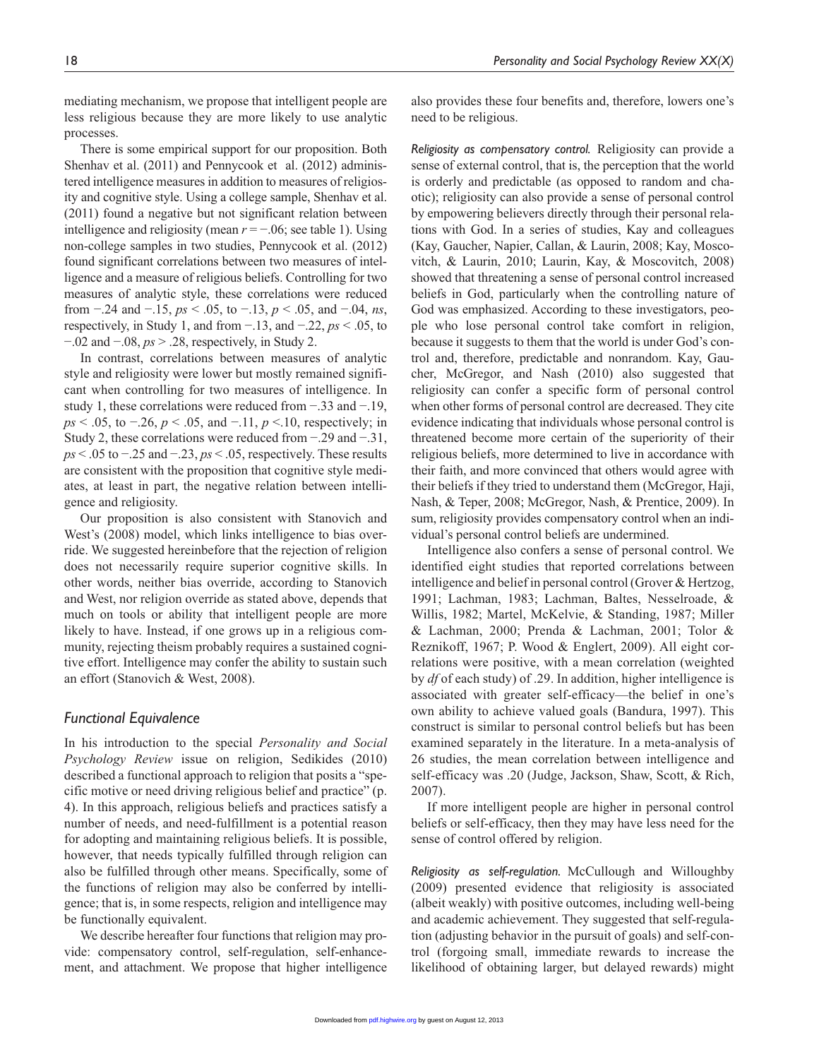mediating mechanism, we propose that intelligent people are less religious because they are more likely to use analytic processes.

There is some empirical support for our proposition. Both Shenhav et al. (2011) and Pennycook et al. (2012) administered intelligence measures in addition to measures of religiosity and cognitive style. Using a college sample, Shenhav et al. (2011) found a negative but not significant relation between intelligence and religiosity (mean  $r = -0.06$ ; see table 1). Using non-college samples in two studies, Pennycook et al. (2012) found significant correlations between two measures of intelligence and a measure of religious beliefs. Controlling for two measures of analytic style, these correlations were reduced from −.24 and −.15, *ps* < .05, to −.13, *p* < .05, and −.04, *ns*, respectively, in Study 1, and from −.13, and −.22, *ps* < .05, to −.02 and −.08, *ps* > .28, respectively, in Study 2.

In contrast, correlations between measures of analytic style and religiosity were lower but mostly remained significant when controlling for two measures of intelligence. In study 1, these correlations were reduced from −.33 and −.19, *ps* < .05, to −.26, *p* < .05, and −.11, *p* <.10, respectively; in Study 2, these correlations were reduced from −.29 and −.31, *ps* < .05 to −.25 and −.23, *ps* < .05, respectively. These results are consistent with the proposition that cognitive style mediates, at least in part, the negative relation between intelligence and religiosity.

Our proposition is also consistent with Stanovich and West's (2008) model, which links intelligence to bias override. We suggested hereinbefore that the rejection of religion does not necessarily require superior cognitive skills. In other words, neither bias override, according to Stanovich and West, nor religion override as stated above, depends that much on tools or ability that intelligent people are more likely to have. Instead, if one grows up in a religious community, rejecting theism probably requires a sustained cognitive effort. Intelligence may confer the ability to sustain such an effort (Stanovich & West, 2008).

#### *Functional Equivalence*

In his introduction to the special *Personality and Social Psychology Review* issue on religion, Sedikides (2010) described a functional approach to religion that posits a "specific motive or need driving religious belief and practice" (p. 4). In this approach, religious beliefs and practices satisfy a number of needs, and need-fulfillment is a potential reason for adopting and maintaining religious beliefs. It is possible, however, that needs typically fulfilled through religion can also be fulfilled through other means. Specifically, some of the functions of religion may also be conferred by intelligence; that is, in some respects, religion and intelligence may be functionally equivalent.

We describe hereafter four functions that religion may provide: compensatory control, self-regulation, self-enhancement, and attachment. We propose that higher intelligence also provides these four benefits and, therefore, lowers one's need to be religious.

*Religiosity as compensatory control.* Religiosity can provide a sense of external control, that is, the perception that the world is orderly and predictable (as opposed to random and chaotic); religiosity can also provide a sense of personal control by empowering believers directly through their personal relations with God. In a series of studies, Kay and colleagues (Kay, Gaucher, Napier, Callan, & Laurin, 2008; Kay, Moscovitch, & Laurin, 2010; Laurin, Kay, & Moscovitch, 2008) showed that threatening a sense of personal control increased beliefs in God, particularly when the controlling nature of God was emphasized. According to these investigators, people who lose personal control take comfort in religion, because it suggests to them that the world is under God's control and, therefore, predictable and nonrandom. Kay, Gaucher, McGregor, and Nash (2010) also suggested that religiosity can confer a specific form of personal control when other forms of personal control are decreased. They cite evidence indicating that individuals whose personal control is threatened become more certain of the superiority of their religious beliefs, more determined to live in accordance with their faith, and more convinced that others would agree with their beliefs if they tried to understand them (McGregor, Haji, Nash, & Teper, 2008; McGregor, Nash, & Prentice, 2009). In sum, religiosity provides compensatory control when an individual's personal control beliefs are undermined.

Intelligence also confers a sense of personal control. We identified eight studies that reported correlations between intelligence and belief in personal control (Grover & Hertzog, 1991; Lachman, 1983; Lachman, Baltes, Nesselroade, & Willis, 1982; Martel, McKelvie, & Standing, 1987; Miller & Lachman, 2000; Prenda & Lachman, 2001; Tolor & Reznikoff, 1967; P. Wood & Englert, 2009). All eight correlations were positive, with a mean correlation (weighted by *df* of each study) of .29. In addition, higher intelligence is associated with greater self-efficacy—the belief in one's own ability to achieve valued goals (Bandura, 1997). This construct is similar to personal control beliefs but has been examined separately in the literature. In a meta-analysis of 26 studies, the mean correlation between intelligence and self-efficacy was .20 (Judge, Jackson, Shaw, Scott, & Rich, 2007).

If more intelligent people are higher in personal control beliefs or self-efficacy, then they may have less need for the sense of control offered by religion.

*Religiosity as self-regulation.* McCullough and Willoughby (2009) presented evidence that religiosity is associated (albeit weakly) with positive outcomes, including well-being and academic achievement. They suggested that self-regulation (adjusting behavior in the pursuit of goals) and self-control (forgoing small, immediate rewards to increase the likelihood of obtaining larger, but delayed rewards) might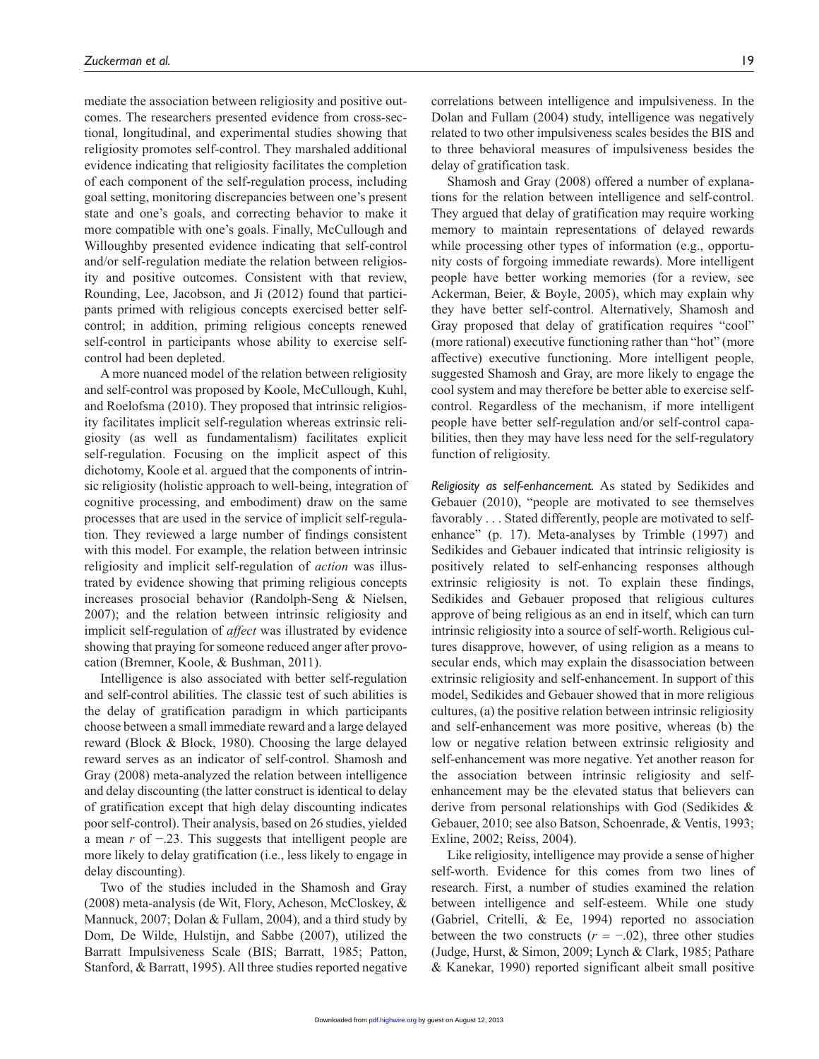mediate the association between religiosity and positive outcomes. The researchers presented evidence from cross-sectional, longitudinal, and experimental studies showing that religiosity promotes self-control. They marshaled additional evidence indicating that religiosity facilitates the completion of each component of the self-regulation process, including goal setting, monitoring discrepancies between one's present state and one's goals, and correcting behavior to make it more compatible with one's goals. Finally, McCullough and Willoughby presented evidence indicating that self-control and/or self-regulation mediate the relation between religiosity and positive outcomes. Consistent with that review, Rounding, Lee, Jacobson, and Ji (2012) found that participants primed with religious concepts exercised better selfcontrol; in addition, priming religious concepts renewed self-control in participants whose ability to exercise selfcontrol had been depleted.

A more nuanced model of the relation between religiosity and self-control was proposed by Koole, McCullough, Kuhl, and Roelofsma (2010). They proposed that intrinsic religiosity facilitates implicit self-regulation whereas extrinsic religiosity (as well as fundamentalism) facilitates explicit self-regulation. Focusing on the implicit aspect of this dichotomy, Koole et al. argued that the components of intrinsic religiosity (holistic approach to well-being, integration of cognitive processing, and embodiment) draw on the same processes that are used in the service of implicit self-regulation. They reviewed a large number of findings consistent with this model. For example, the relation between intrinsic religiosity and implicit self-regulation of *action* was illustrated by evidence showing that priming religious concepts increases prosocial behavior (Randolph-Seng & Nielsen, 2007); and the relation between intrinsic religiosity and implicit self-regulation of *affect* was illustrated by evidence showing that praying for someone reduced anger after provocation (Bremner, Koole, & Bushman, 2011).

Intelligence is also associated with better self-regulation and self-control abilities. The classic test of such abilities is the delay of gratification paradigm in which participants choose between a small immediate reward and a large delayed reward (Block & Block, 1980). Choosing the large delayed reward serves as an indicator of self-control. Shamosh and Gray (2008) meta-analyzed the relation between intelligence and delay discounting (the latter construct is identical to delay of gratification except that high delay discounting indicates poor self-control). Their analysis, based on 26 studies, yielded a mean *r* of −.23. This suggests that intelligent people are more likely to delay gratification (i.e., less likely to engage in delay discounting).

Two of the studies included in the Shamosh and Gray (2008) meta-analysis (de Wit, Flory, Acheson, McCloskey, & Mannuck, 2007; Dolan & Fullam, 2004), and a third study by Dom, De Wilde, Hulstijn, and Sabbe (2007), utilized the Barratt Impulsiveness Scale (BIS; Barratt, 1985; Patton, Stanford, & Barratt, 1995). All three studies reported negative

correlations between intelligence and impulsiveness. In the Dolan and Fullam (2004) study, intelligence was negatively related to two other impulsiveness scales besides the BIS and to three behavioral measures of impulsiveness besides the delay of gratification task.

Shamosh and Gray (2008) offered a number of explanations for the relation between intelligence and self-control. They argued that delay of gratification may require working memory to maintain representations of delayed rewards while processing other types of information (e.g., opportunity costs of forgoing immediate rewards). More intelligent people have better working memories (for a review, see Ackerman, Beier, & Boyle, 2005), which may explain why they have better self-control. Alternatively, Shamosh and Gray proposed that delay of gratification requires "cool" (more rational) executive functioning rather than "hot" (more affective) executive functioning. More intelligent people, suggested Shamosh and Gray, are more likely to engage the cool system and may therefore be better able to exercise selfcontrol. Regardless of the mechanism, if more intelligent people have better self-regulation and/or self-control capabilities, then they may have less need for the self-regulatory function of religiosity.

*Religiosity as self-enhancement.* As stated by Sedikides and Gebauer (2010), "people are motivated to see themselves favorably . . . Stated differently, people are motivated to selfenhance" (p. 17). Meta-analyses by Trimble (1997) and Sedikides and Gebauer indicated that intrinsic religiosity is positively related to self-enhancing responses although extrinsic religiosity is not. To explain these findings, Sedikides and Gebauer proposed that religious cultures approve of being religious as an end in itself, which can turn intrinsic religiosity into a source of self-worth. Religious cultures disapprove, however, of using religion as a means to secular ends, which may explain the disassociation between extrinsic religiosity and self-enhancement. In support of this model, Sedikides and Gebauer showed that in more religious cultures, (a) the positive relation between intrinsic religiosity and self-enhancement was more positive, whereas (b) the low or negative relation between extrinsic religiosity and self-enhancement was more negative. Yet another reason for the association between intrinsic religiosity and selfenhancement may be the elevated status that believers can derive from personal relationships with God (Sedikides & Gebauer, 2010; see also Batson, Schoenrade, & Ventis, 1993; Exline, 2002; Reiss, 2004).

Like religiosity, intelligence may provide a sense of higher self-worth. Evidence for this comes from two lines of research. First, a number of studies examined the relation between intelligence and self-esteem. While one study (Gabriel, Critelli, & Ee, 1994) reported no association between the two constructs  $(r = -.02)$ , three other studies (Judge, Hurst, & Simon, 2009; Lynch & Clark, 1985; Pathare & Kanekar, 1990) reported significant albeit small positive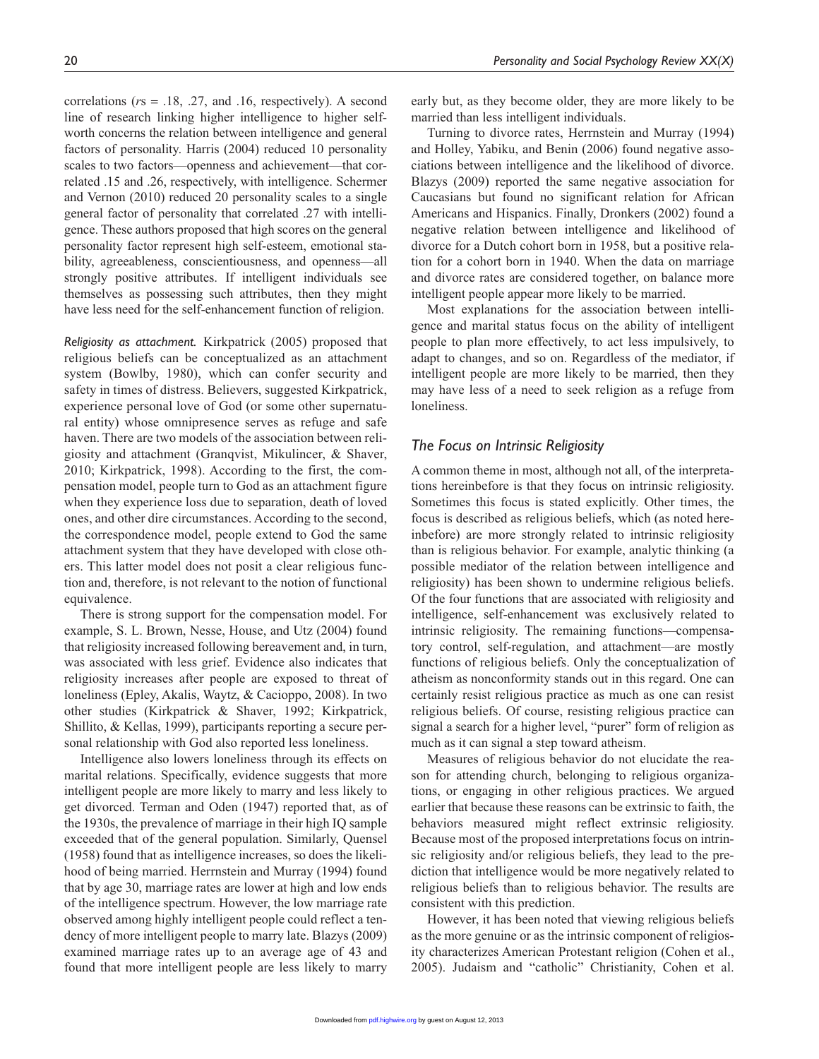correlations (*r*s = .18, .27, and .16, respectively). A second line of research linking higher intelligence to higher selfworth concerns the relation between intelligence and general factors of personality. Harris (2004) reduced 10 personality scales to two factors—openness and achievement—that correlated .15 and .26, respectively, with intelligence. Schermer and Vernon (2010) reduced 20 personality scales to a single general factor of personality that correlated .27 with intelligence. These authors proposed that high scores on the general personality factor represent high self-esteem, emotional stability, agreeableness, conscientiousness, and openness—all strongly positive attributes. If intelligent individuals see themselves as possessing such attributes, then they might have less need for the self-enhancement function of religion.

*Religiosity as attachment.* Kirkpatrick (2005) proposed that religious beliefs can be conceptualized as an attachment system (Bowlby, 1980), which can confer security and safety in times of distress. Believers, suggested Kirkpatrick, experience personal love of God (or some other supernatural entity) whose omnipresence serves as refuge and safe haven. There are two models of the association between religiosity and attachment (Granqvist, Mikulincer, & Shaver, 2010; Kirkpatrick, 1998). According to the first, the compensation model, people turn to God as an attachment figure when they experience loss due to separation, death of loved ones, and other dire circumstances. According to the second, the correspondence model, people extend to God the same attachment system that they have developed with close others. This latter model does not posit a clear religious function and, therefore, is not relevant to the notion of functional equivalence.

There is strong support for the compensation model. For example, S. L. Brown, Nesse, House, and Utz (2004) found that religiosity increased following bereavement and, in turn, was associated with less grief. Evidence also indicates that religiosity increases after people are exposed to threat of loneliness (Epley, Akalis, Waytz, & Cacioppo, 2008). In two other studies (Kirkpatrick & Shaver, 1992; Kirkpatrick, Shillito, & Kellas, 1999), participants reporting a secure personal relationship with God also reported less loneliness.

Intelligence also lowers loneliness through its effects on marital relations. Specifically, evidence suggests that more intelligent people are more likely to marry and less likely to get divorced. Terman and Oden (1947) reported that, as of the 1930s, the prevalence of marriage in their high IQ sample exceeded that of the general population. Similarly, Quensel (1958) found that as intelligence increases, so does the likelihood of being married. Herrnstein and Murray (1994) found that by age 30, marriage rates are lower at high and low ends of the intelligence spectrum. However, the low marriage rate observed among highly intelligent people could reflect a tendency of more intelligent people to marry late. Blazys (2009) examined marriage rates up to an average age of 43 and found that more intelligent people are less likely to marry

early but, as they become older, they are more likely to be married than less intelligent individuals.

Turning to divorce rates, Herrnstein and Murray (1994) and Holley, Yabiku, and Benin (2006) found negative associations between intelligence and the likelihood of divorce. Blazys (2009) reported the same negative association for Caucasians but found no significant relation for African Americans and Hispanics. Finally, Dronkers (2002) found a negative relation between intelligence and likelihood of divorce for a Dutch cohort born in 1958, but a positive relation for a cohort born in 1940. When the data on marriage and divorce rates are considered together, on balance more intelligent people appear more likely to be married.

Most explanations for the association between intelligence and marital status focus on the ability of intelligent people to plan more effectively, to act less impulsively, to adapt to changes, and so on. Regardless of the mediator, if intelligent people are more likely to be married, then they may have less of a need to seek religion as a refuge from loneliness.

#### *The Focus on Intrinsic Religiosity*

A common theme in most, although not all, of the interpretations hereinbefore is that they focus on intrinsic religiosity. Sometimes this focus is stated explicitly. Other times, the focus is described as religious beliefs, which (as noted hereinbefore) are more strongly related to intrinsic religiosity than is religious behavior. For example, analytic thinking (a possible mediator of the relation between intelligence and religiosity) has been shown to undermine religious beliefs. Of the four functions that are associated with religiosity and intelligence, self-enhancement was exclusively related to intrinsic religiosity. The remaining functions—compensatory control, self-regulation, and attachment—are mostly functions of religious beliefs. Only the conceptualization of atheism as nonconformity stands out in this regard. One can certainly resist religious practice as much as one can resist religious beliefs. Of course, resisting religious practice can signal a search for a higher level, "purer" form of religion as much as it can signal a step toward atheism.

Measures of religious behavior do not elucidate the reason for attending church, belonging to religious organizations, or engaging in other religious practices. We argued earlier that because these reasons can be extrinsic to faith, the behaviors measured might reflect extrinsic religiosity. Because most of the proposed interpretations focus on intrinsic religiosity and/or religious beliefs, they lead to the prediction that intelligence would be more negatively related to religious beliefs than to religious behavior. The results are consistent with this prediction.

However, it has been noted that viewing religious beliefs as the more genuine or as the intrinsic component of religiosity characterizes American Protestant religion (Cohen et al., 2005). Judaism and "catholic" Christianity, Cohen et al.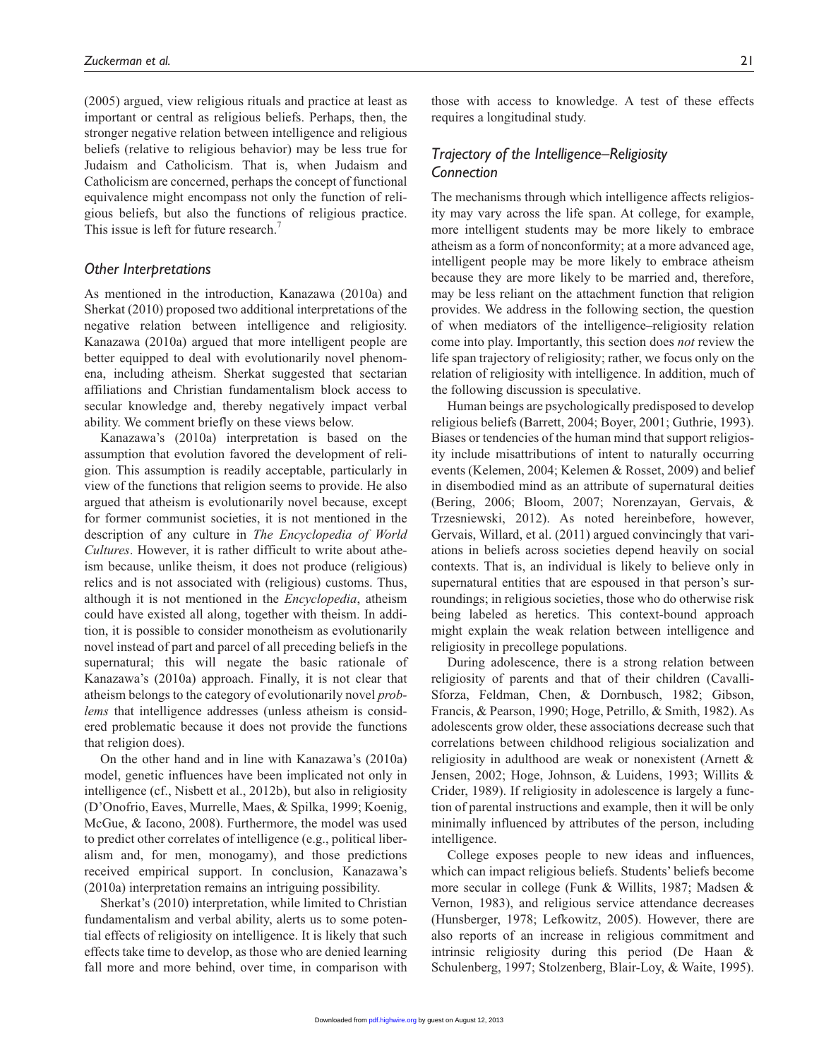(2005) argued, view religious rituals and practice at least as important or central as religious beliefs. Perhaps, then, the stronger negative relation between intelligence and religious beliefs (relative to religious behavior) may be less true for Judaism and Catholicism. That is, when Judaism and Catholicism are concerned, perhaps the concept of functional equivalence might encompass not only the function of religious beliefs, but also the functions of religious practice. This issue is left for future research.<sup>7</sup>

#### *Other Interpretations*

As mentioned in the introduction, Kanazawa (2010a) and Sherkat (2010) proposed two additional interpretations of the negative relation between intelligence and religiosity. Kanazawa (2010a) argued that more intelligent people are better equipped to deal with evolutionarily novel phenomena, including atheism. Sherkat suggested that sectarian affiliations and Christian fundamentalism block access to secular knowledge and, thereby negatively impact verbal ability. We comment briefly on these views below.

Kanazawa's (2010a) interpretation is based on the assumption that evolution favored the development of religion. This assumption is readily acceptable, particularly in view of the functions that religion seems to provide. He also argued that atheism is evolutionarily novel because, except for former communist societies, it is not mentioned in the description of any culture in *The Encyclopedia of World Cultures*. However, it is rather difficult to write about atheism because, unlike theism, it does not produce (religious) relics and is not associated with (religious) customs. Thus, although it is not mentioned in the *Encyclopedia*, atheism could have existed all along, together with theism. In addition, it is possible to consider monotheism as evolutionarily novel instead of part and parcel of all preceding beliefs in the supernatural; this will negate the basic rationale of Kanazawa's (2010a) approach. Finally, it is not clear that atheism belongs to the category of evolutionarily novel *problems* that intelligence addresses (unless atheism is considered problematic because it does not provide the functions that religion does).

On the other hand and in line with Kanazawa's (2010a) model, genetic influences have been implicated not only in intelligence (cf., Nisbett et al., 2012b), but also in religiosity (D'Onofrio, Eaves, Murrelle, Maes, & Spilka, 1999; Koenig, McGue, & Iacono, 2008). Furthermore, the model was used to predict other correlates of intelligence (e.g., political liberalism and, for men, monogamy), and those predictions received empirical support. In conclusion, Kanazawa's (2010a) interpretation remains an intriguing possibility.

Sherkat's (2010) interpretation, while limited to Christian fundamentalism and verbal ability, alerts us to some potential effects of religiosity on intelligence. It is likely that such effects take time to develop, as those who are denied learning fall more and more behind, over time, in comparison with

those with access to knowledge. A test of these effects requires a longitudinal study.

# *Trajectory of the Intelligence–Religiosity Connection*

The mechanisms through which intelligence affects religiosity may vary across the life span. At college, for example, more intelligent students may be more likely to embrace atheism as a form of nonconformity; at a more advanced age, intelligent people may be more likely to embrace atheism because they are more likely to be married and, therefore, may be less reliant on the attachment function that religion provides. We address in the following section, the question of when mediators of the intelligence–religiosity relation come into play. Importantly, this section does *not* review the life span trajectory of religiosity; rather, we focus only on the relation of religiosity with intelligence. In addition, much of the following discussion is speculative.

Human beings are psychologically predisposed to develop religious beliefs (Barrett, 2004; Boyer, 2001; Guthrie, 1993). Biases or tendencies of the human mind that support religiosity include misattributions of intent to naturally occurring events (Kelemen, 2004; Kelemen & Rosset, 2009) and belief in disembodied mind as an attribute of supernatural deities (Bering, 2006; Bloom, 2007; Norenzayan, Gervais, & Trzesniewski, 2012). As noted hereinbefore, however, Gervais, Willard, et al. (2011) argued convincingly that variations in beliefs across societies depend heavily on social contexts. That is, an individual is likely to believe only in supernatural entities that are espoused in that person's surroundings; in religious societies, those who do otherwise risk being labeled as heretics. This context-bound approach might explain the weak relation between intelligence and religiosity in precollege populations.

During adolescence, there is a strong relation between religiosity of parents and that of their children (Cavalli-Sforza, Feldman, Chen, & Dornbusch, 1982; Gibson, Francis, & Pearson, 1990; Hoge, Petrillo, & Smith, 1982). As adolescents grow older, these associations decrease such that correlations between childhood religious socialization and religiosity in adulthood are weak or nonexistent (Arnett & Jensen, 2002; Hoge, Johnson, & Luidens, 1993; Willits & Crider, 1989). If religiosity in adolescence is largely a function of parental instructions and example, then it will be only minimally influenced by attributes of the person, including intelligence.

College exposes people to new ideas and influences, which can impact religious beliefs. Students' beliefs become more secular in college (Funk & Willits, 1987; Madsen & Vernon, 1983), and religious service attendance decreases (Hunsberger, 1978; Lefkowitz, 2005). However, there are also reports of an increase in religious commitment and intrinsic religiosity during this period (De Haan & Schulenberg, 1997; Stolzenberg, Blair-Loy, & Waite, 1995).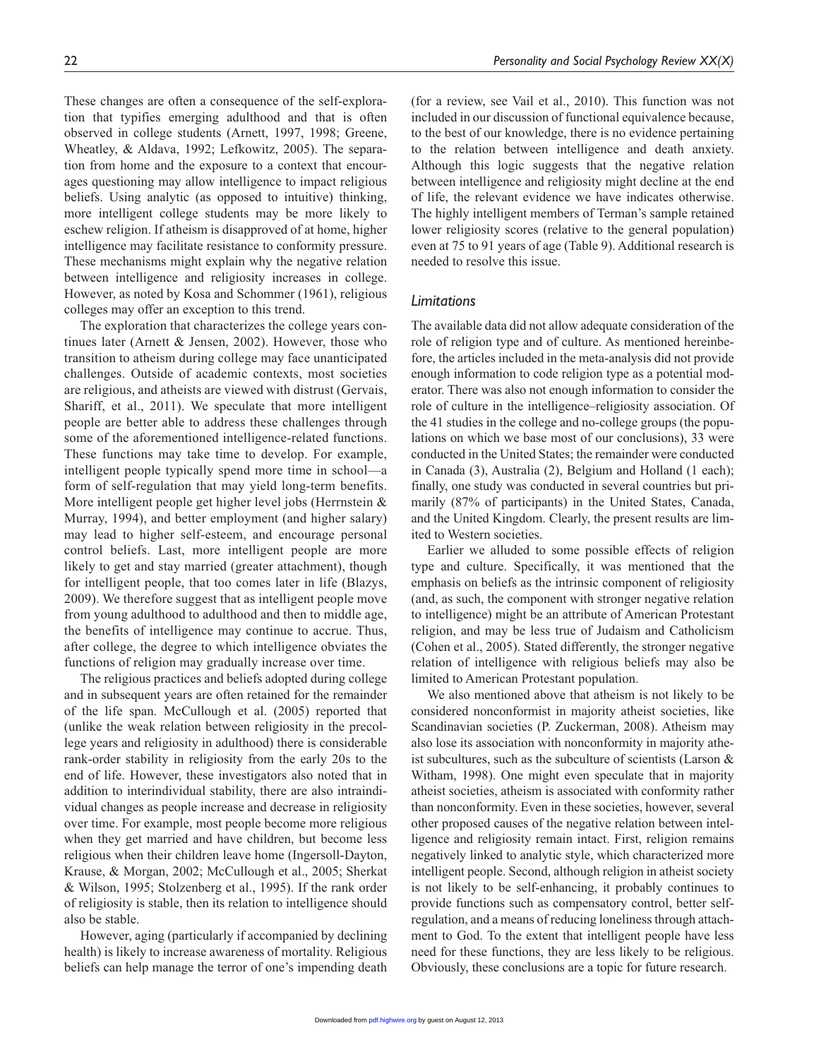These changes are often a consequence of the self-exploration that typifies emerging adulthood and that is often observed in college students (Arnett, 1997, 1998; Greene, Wheatley, & Aldava, 1992; Lefkowitz, 2005). The separation from home and the exposure to a context that encourages questioning may allow intelligence to impact religious beliefs. Using analytic (as opposed to intuitive) thinking, more intelligent college students may be more likely to eschew religion. If atheism is disapproved of at home, higher intelligence may facilitate resistance to conformity pressure. These mechanisms might explain why the negative relation between intelligence and religiosity increases in college. However, as noted by Kosa and Schommer (1961), religious colleges may offer an exception to this trend.

The exploration that characterizes the college years continues later (Arnett & Jensen, 2002). However, those who transition to atheism during college may face unanticipated challenges. Outside of academic contexts, most societies are religious, and atheists are viewed with distrust (Gervais, Shariff, et al., 2011). We speculate that more intelligent people are better able to address these challenges through some of the aforementioned intelligence-related functions. These functions may take time to develop. For example, intelligent people typically spend more time in school—a form of self-regulation that may yield long-term benefits. More intelligent people get higher level jobs (Herrnstein & Murray, 1994), and better employment (and higher salary) may lead to higher self-esteem, and encourage personal control beliefs. Last, more intelligent people are more likely to get and stay married (greater attachment), though for intelligent people, that too comes later in life (Blazys, 2009). We therefore suggest that as intelligent people move from young adulthood to adulthood and then to middle age, the benefits of intelligence may continue to accrue. Thus, after college, the degree to which intelligence obviates the functions of religion may gradually increase over time.

The religious practices and beliefs adopted during college and in subsequent years are often retained for the remainder of the life span. McCullough et al. (2005) reported that (unlike the weak relation between religiosity in the precollege years and religiosity in adulthood) there is considerable rank-order stability in religiosity from the early 20s to the end of life. However, these investigators also noted that in addition to interindividual stability, there are also intraindividual changes as people increase and decrease in religiosity over time. For example, most people become more religious when they get married and have children, but become less religious when their children leave home (Ingersoll-Dayton, Krause, & Morgan, 2002; McCullough et al., 2005; Sherkat & Wilson, 1995; Stolzenberg et al., 1995). If the rank order of religiosity is stable, then its relation to intelligence should also be stable.

However, aging (particularly if accompanied by declining health) is likely to increase awareness of mortality. Religious beliefs can help manage the terror of one's impending death (for a review, see Vail et al., 2010). This function was not included in our discussion of functional equivalence because, to the best of our knowledge, there is no evidence pertaining to the relation between intelligence and death anxiety. Although this logic suggests that the negative relation between intelligence and religiosity might decline at the end of life, the relevant evidence we have indicates otherwise. The highly intelligent members of Terman's sample retained lower religiosity scores (relative to the general population) even at 75 to 91 years of age (Table 9). Additional research is needed to resolve this issue.

#### *Limitations*

The available data did not allow adequate consideration of the role of religion type and of culture. As mentioned hereinbefore, the articles included in the meta-analysis did not provide enough information to code religion type as a potential moderator. There was also not enough information to consider the role of culture in the intelligence–religiosity association. Of the 41 studies in the college and no-college groups (the populations on which we base most of our conclusions), 33 were conducted in the United States; the remainder were conducted in Canada (3), Australia (2), Belgium and Holland (1 each); finally, one study was conducted in several countries but primarily (87% of participants) in the United States, Canada, and the United Kingdom. Clearly, the present results are limited to Western societies.

Earlier we alluded to some possible effects of religion type and culture. Specifically, it was mentioned that the emphasis on beliefs as the intrinsic component of religiosity (and, as such, the component with stronger negative relation to intelligence) might be an attribute of American Protestant religion, and may be less true of Judaism and Catholicism (Cohen et al., 2005). Stated differently, the stronger negative relation of intelligence with religious beliefs may also be limited to American Protestant population.

We also mentioned above that atheism is not likely to be considered nonconformist in majority atheist societies, like Scandinavian societies (P. Zuckerman, 2008). Atheism may also lose its association with nonconformity in majority atheist subcultures, such as the subculture of scientists (Larson & Witham, 1998). One might even speculate that in majority atheist societies, atheism is associated with conformity rather than nonconformity. Even in these societies, however, several other proposed causes of the negative relation between intelligence and religiosity remain intact. First, religion remains negatively linked to analytic style, which characterized more intelligent people. Second, although religion in atheist society is not likely to be self-enhancing, it probably continues to provide functions such as compensatory control, better selfregulation, and a means of reducing loneliness through attachment to God. To the extent that intelligent people have less need for these functions, they are less likely to be religious. Obviously, these conclusions are a topic for future research.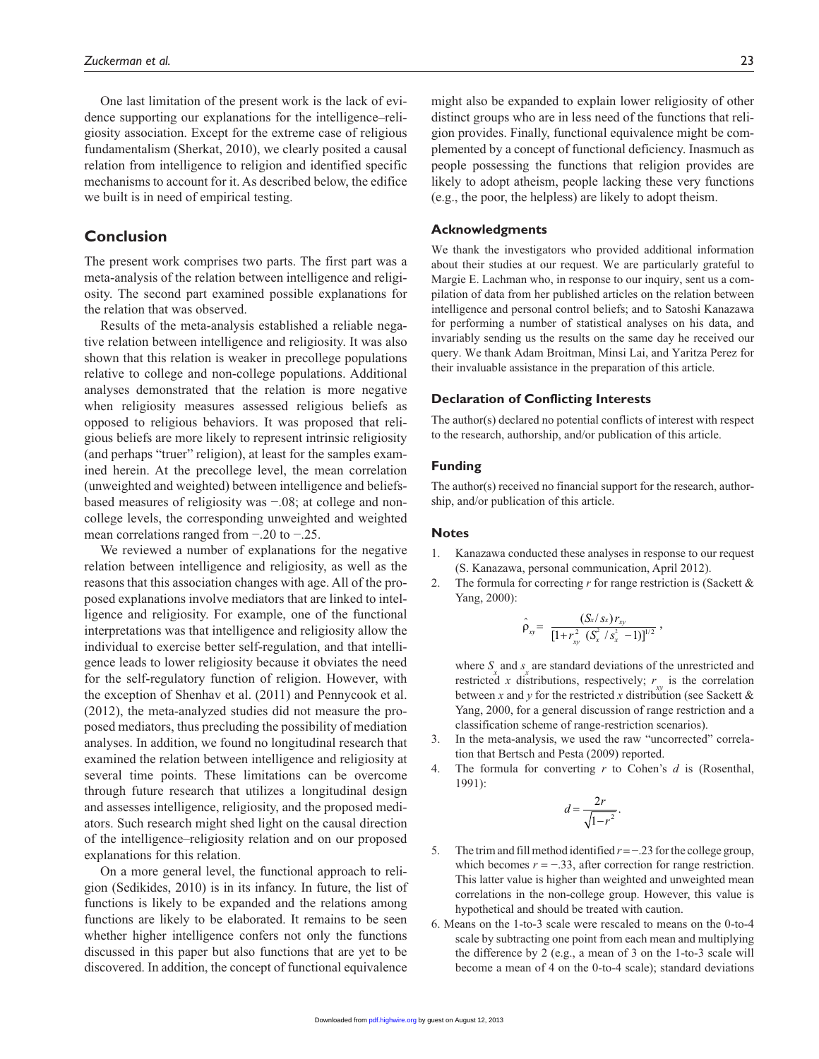One last limitation of the present work is the lack of evidence supporting our explanations for the intelligence–religiosity association. Except for the extreme case of religious fundamentalism (Sherkat, 2010), we clearly posited a causal relation from intelligence to religion and identified specific mechanisms to account for it. As described below, the edifice we built is in need of empirical testing.

# **Conclusion**

The present work comprises two parts. The first part was a meta-analysis of the relation between intelligence and religiosity. The second part examined possible explanations for the relation that was observed.

Results of the meta-analysis established a reliable negative relation between intelligence and religiosity. It was also shown that this relation is weaker in precollege populations relative to college and non-college populations. Additional analyses demonstrated that the relation is more negative when religiosity measures assessed religious beliefs as opposed to religious behaviors. It was proposed that religious beliefs are more likely to represent intrinsic religiosity (and perhaps "truer" religion), at least for the samples examined herein. At the precollege level, the mean correlation (unweighted and weighted) between intelligence and beliefsbased measures of religiosity was −.08; at college and noncollege levels, the corresponding unweighted and weighted mean correlations ranged from −.20 to −.25.

We reviewed a number of explanations for the negative relation between intelligence and religiosity, as well as the reasons that this association changes with age. All of the proposed explanations involve mediators that are linked to intelligence and religiosity. For example, one of the functional interpretations was that intelligence and religiosity allow the individual to exercise better self-regulation, and that intelligence leads to lower religiosity because it obviates the need for the self-regulatory function of religion. However, with the exception of Shenhav et al. (2011) and Pennycook et al. (2012), the meta-analyzed studies did not measure the proposed mediators, thus precluding the possibility of mediation analyses. In addition, we found no longitudinal research that examined the relation between intelligence and religiosity at several time points. These limitations can be overcome through future research that utilizes a longitudinal design and assesses intelligence, religiosity, and the proposed mediators. Such research might shed light on the causal direction of the intelligence–religiosity relation and on our proposed explanations for this relation.

On a more general level, the functional approach to religion (Sedikides, 2010) is in its infancy. In future, the list of functions is likely to be expanded and the relations among functions are likely to be elaborated. It remains to be seen whether higher intelligence confers not only the functions discussed in this paper but also functions that are yet to be discovered. In addition, the concept of functional equivalence

might also be expanded to explain lower religiosity of other distinct groups who are in less need of the functions that religion provides. Finally, functional equivalence might be complemented by a concept of functional deficiency. Inasmuch as people possessing the functions that religion provides are likely to adopt atheism, people lacking these very functions (e.g., the poor, the helpless) are likely to adopt theism.

#### **Acknowledgments**

We thank the investigators who provided additional information about their studies at our request. We are particularly grateful to Margie E. Lachman who, in response to our inquiry, sent us a compilation of data from her published articles on the relation between intelligence and personal control beliefs; and to Satoshi Kanazawa for performing a number of statistical analyses on his data, and invariably sending us the results on the same day he received our query. We thank Adam Broitman, Minsi Lai, and Yaritza Perez for their invaluable assistance in the preparation of this article.

#### **Declaration of Conflicting Interests**

The author(s) declared no potential conflicts of interest with respect to the research, authorship, and/or publication of this article.

#### **Funding**

The author(s) received no financial support for the research, authorship, and/or publication of this article.

#### **Notes**

- 1. Kanazawa conducted these analyses in response to our request (S. Kanazawa, personal communication, April 2012).
- 2. The formula for correcting *r* for range restriction is (Sackett & Yang, 2000):

$$
\hat{\rho}_{xy} = \frac{(S_x / s_x) r_{xy}}{[1 + r_{xy}^2 (S_x^2 / s_x^2 - 1)]^{1/2}},
$$

where  $S$ <sub>x</sub> and  $S$ <sub>x</sub> are standard deviations of the unrestricted and restricted *x* distributions, respectively;  $r_{xy}$  is the correlation between *x* and *y* for the restricted *x* distribution (see Sackett & Yang, 2000, for a general discussion of range restriction and a classification scheme of range-restriction scenarios).

- 3. In the meta-analysis, we used the raw "uncorrected" correlation that Bertsch and Pesta (2009) reported.
- 4. The formula for converting *r* to Cohen's *d* is (Rosenthal, 1991):

$$
d = \frac{2r}{\sqrt{1 - r^2}}.
$$

- 5. The trim and fill method identified *r* = −.23 for the college group, which becomes  $r = -0.33$ , after correction for range restriction. This latter value is higher than weighted and unweighted mean correlations in the non-college group. However, this value is hypothetical and should be treated with caution.
- 6. Means on the 1-to-3 scale were rescaled to means on the 0-to-4 scale by subtracting one point from each mean and multiplying the difference by 2 (e.g., a mean of 3 on the 1-to-3 scale will become a mean of 4 on the 0-to-4 scale); standard deviations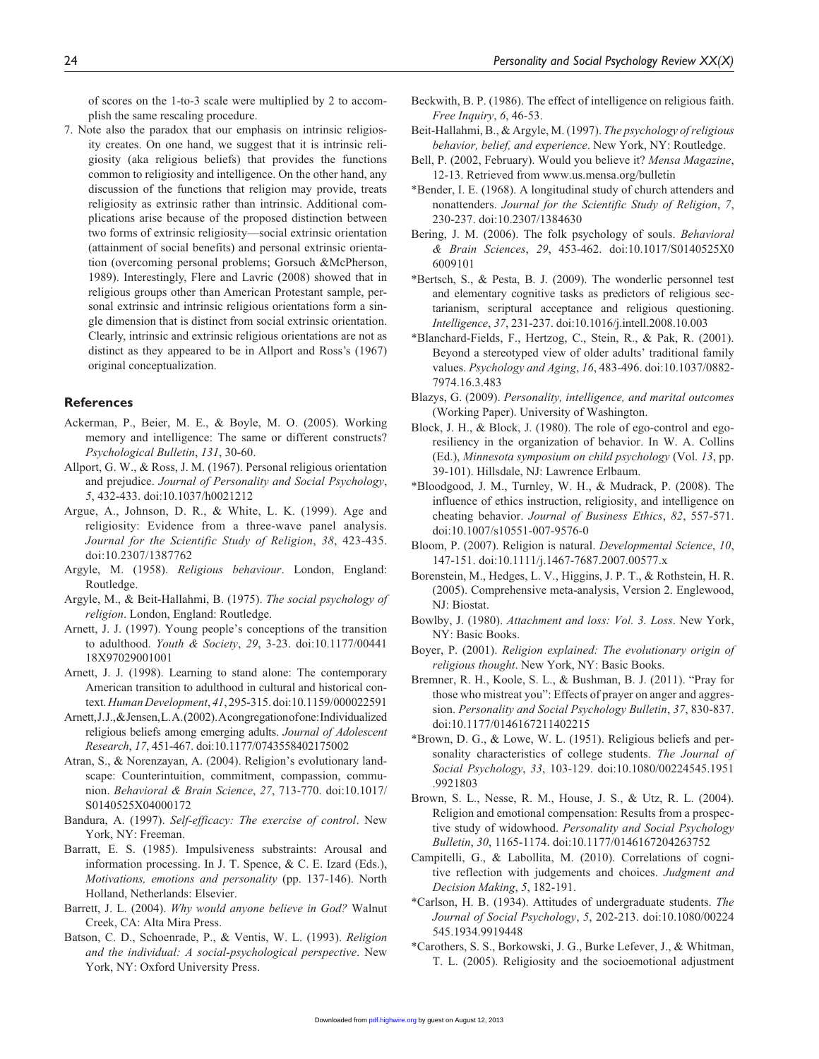of scores on the 1-to-3 scale were multiplied by 2 to accomplish the same rescaling procedure.

7. Note also the paradox that our emphasis on intrinsic religiosity creates. On one hand, we suggest that it is intrinsic religiosity (aka religious beliefs) that provides the functions common to religiosity and intelligence. On the other hand, any discussion of the functions that religion may provide, treats religiosity as extrinsic rather than intrinsic. Additional complications arise because of the proposed distinction between two forms of extrinsic religiosity—social extrinsic orientation (attainment of social benefits) and personal extrinsic orientation (overcoming personal problems; Gorsuch &McPherson, 1989). Interestingly, Flere and Lavric (2008) showed that in religious groups other than American Protestant sample, personal extrinsic and intrinsic religious orientations form a single dimension that is distinct from social extrinsic orientation. Clearly, intrinsic and extrinsic religious orientations are not as distinct as they appeared to be in Allport and Ross's (1967) original conceptualization.

#### **References**

- Ackerman, P., Beier, M. E., & Boyle, M. O. (2005). Working memory and intelligence: The same or different constructs? *Psychological Bulletin*, *131*, 30-60.
- Allport, G. W., & Ross, J. M. (1967). Personal religious orientation and prejudice. *Journal of Personality and Social Psychology*, *5*, 432-433. doi:10.1037/h0021212
- Argue, A., Johnson, D. R., & White, L. K. (1999). Age and religiosity: Evidence from a three-wave panel analysis. *Journal for the Scientific Study of Religion*, *38*, 423-435. doi:10.2307/1387762
- Argyle, M. (1958). *Religious behaviour*. London, England: Routledge.
- Argyle, M., & Beit-Hallahmi, B. (1975). *The social psychology of religion*. London, England: Routledge.
- Arnett, J. J. (1997). Young people's conceptions of the transition to adulthood. *Youth & Society*, *29*, 3-23. doi:10.1177/00441 18X97029001001
- Arnett, J. J. (1998). Learning to stand alone: The contemporary American transition to adulthood in cultural and historical context. *Human Development*, *41*, 295-315. doi:10.1159/000022591
- Arnett, J. J., & Jensen, L. A. (2002). A congregation of one: Individualized religious beliefs among emerging adults. *Journal of Adolescent Research*, *17*, 451-467. doi:10.1177/0743558402175002
- Atran, S., & Norenzayan, A. (2004). Religion's evolutionary landscape: Counterintuition, commitment, compassion, communion. *Behavioral & Brain Science*, *27*, 713-770. doi:10.1017/ S0140525X04000172
- Bandura, A. (1997). *Self-efficacy: The exercise of control*. New York, NY: Freeman.
- Barratt, E. S. (1985). Impulsiveness substraints: Arousal and information processing. In J. T. Spence, & C. E. Izard (Eds.), *Motivations, emotions and personality* (pp. 137-146). North Holland, Netherlands: Elsevier.
- Barrett, J. L. (2004). *Why would anyone believe in God?* Walnut Creek, CA: Alta Mira Press.
- Batson, C. D., Schoenrade, P., & Ventis, W. L. (1993). *Religion and the individual: A social-psychological perspective*. New York, NY: Oxford University Press.
- Beckwith, B. P. (1986). The effect of intelligence on religious faith. *Free Inquiry*, *6*, 46-53.
- Beit-Hallahmi, B., & Argyle, M. (1997). *The psychology of religious behavior, belief, and experience*. New York, NY: Routledge.
- Bell, P. (2002, February). Would you believe it? *Mensa Magazine*, 12-13. Retrieved from www.us.mensa.org/bulletin
- \*Bender, I. E. (1968). A longitudinal study of church attenders and nonattenders. *Journal for the Scientific Study of Religion*, *7*, 230-237. doi:10.2307/1384630
- Bering, J. M. (2006). The folk psychology of souls. *Behavioral & Brain Sciences*, *29*, 453-462. doi:10.1017/S0140525X0 6009101
- \*Bertsch, S., & Pesta, B. J. (2009). The wonderlic personnel test and elementary cognitive tasks as predictors of religious sectarianism, scriptural acceptance and religious questioning. *Intelligence*, *37*, 231-237. doi:10.1016/j.intell.2008.10.003
- \*Blanchard-Fields, F., Hertzog, C., Stein, R., & Pak, R. (2001). Beyond a stereotyped view of older adults' traditional family values. *Psychology and Aging*, *16*, 483-496. doi:10.1037/0882- 7974.16.3.483
- Blazys, G. (2009). *Personality, intelligence, and marital outcomes* (Working Paper). University of Washington.
- Block, J. H., & Block, J. (1980). The role of ego-control and egoresiliency in the organization of behavior. In W. A. Collins (Ed.), *Minnesota symposium on child psychology* (Vol. *13*, pp. 39-101). Hillsdale, NJ: Lawrence Erlbaum.
- \*Bloodgood, J. M., Turnley, W. H., & Mudrack, P. (2008). The influence of ethics instruction, religiosity, and intelligence on cheating behavior. *Journal of Business Ethics*, *82*, 557-571. doi:10.1007/s10551-007-9576-0
- Bloom, P. (2007). Religion is natural. *Developmental Science*, *10*, 147-151. doi:10.1111/j.1467-7687.2007.00577.x
- Borenstein, M., Hedges, L. V., Higgins, J. P. T., & Rothstein, H. R. (2005). Comprehensive meta-analysis, Version 2. Englewood, NJ: Biostat.
- Bowlby, J. (1980). *Attachment and loss: Vol. 3. Loss*. New York, NY: Basic Books.
- Boyer, P. (2001). *Religion explained: The evolutionary origin of religious thought*. New York, NY: Basic Books.
- Bremner, R. H., Koole, S. L., & Bushman, B. J. (2011). "Pray for those who mistreat you": Effects of prayer on anger and aggression. *Personality and Social Psychology Bulletin*, *37*, 830-837. doi:10.1177/0146167211402215
- \*Brown, D. G., & Lowe, W. L. (1951). Religious beliefs and personality characteristics of college students. *The Journal of Social Psychology*, *33*, 103-129. doi:10.1080/00224545.1951 .9921803
- Brown, S. L., Nesse, R. M., House, J. S., & Utz, R. L. (2004). Religion and emotional compensation: Results from a prospective study of widowhood. *Personality and Social Psychology Bulletin*, *30*, 1165-1174. doi:10.1177/0146167204263752
- Campitelli, G., & Labollita, M. (2010). Correlations of cognitive reflection with judgements and choices. *Judgment and Decision Making*, *5*, 182-191.
- \*Carlson, H. B. (1934). Attitudes of undergraduate students. *The Journal of Social Psychology*, *5*, 202-213. doi:10.1080/00224 545.1934.9919448
- \*Carothers, S. S., Borkowski, J. G., Burke Lefever, J., & Whitman, T. L. (2005). Religiosity and the socioemotional adjustment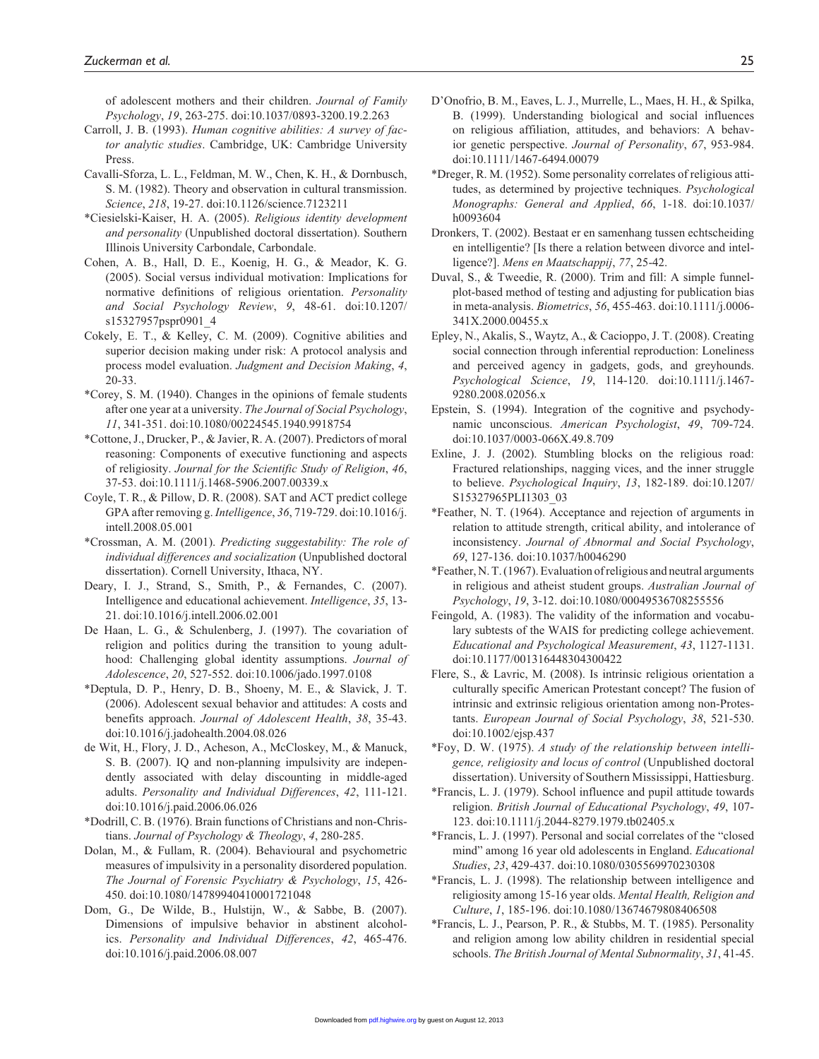of adolescent mothers and their children. *Journal of Family Psychology*, *19*, 263-275. doi:10.1037/0893-3200.19.2.263

- Carroll, J. B. (1993). *Human cognitive abilities: A survey of factor analytic studies*. Cambridge, UK: Cambridge University Press.
- Cavalli-Sforza, L. L., Feldman, M. W., Chen, K. H., & Dornbusch, S. M. (1982). Theory and observation in cultural transmission. *Science*, *218*, 19-27. doi:10.1126/science.7123211
- \*Ciesielski-Kaiser, H. A. (2005). *Religious identity development and personality* (Unpublished doctoral dissertation). Southern Illinois University Carbondale, Carbondale.
- Cohen, A. B., Hall, D. E., Koenig, H. G., & Meador, K. G. (2005). Social versus individual motivation: Implications for normative definitions of religious orientation. *Personality and Social Psychology Review*, *9*, 48-61. doi:10.1207/ s15327957pspr0901\_4
- Cokely, E. T., & Kelley, C. M. (2009). Cognitive abilities and superior decision making under risk: A protocol analysis and process model evaluation. *Judgment and Decision Making*, *4*, 20-33.
- \*Corey, S. M. (1940). Changes in the opinions of female students after one year at a university. *The Journal of Social Psychology*, *11*, 341-351. doi:10.1080/00224545.1940.9918754
- \*Cottone, J., Drucker, P., & Javier, R. A. (2007). Predictors of moral reasoning: Components of executive functioning and aspects of religiosity. *Journal for the Scientific Study of Religion*, *46*, 37-53. doi:10.1111/j.1468-5906.2007.00339.x
- Coyle, T. R., & Pillow, D. R. (2008). SAT and ACT predict college GPA after removing g. *Intelligence*, *36*, 719-729. doi:10.1016/j. intell.2008.05.001
- \*Crossman, A. M. (2001). *Predicting suggestability: The role of individual differences and socialization* (Unpublished doctoral dissertation). Cornell University, Ithaca, NY.
- Deary, I. J., Strand, S., Smith, P., & Fernandes, C. (2007). Intelligence and educational achievement. *Intelligence*, *35*, 13- 21. doi:10.1016/j.intell.2006.02.001
- De Haan, L. G., & Schulenberg, J. (1997). The covariation of religion and politics during the transition to young adulthood: Challenging global identity assumptions. *Journal of Adolescence*, *20*, 527-552. doi:10.1006/jado.1997.0108
- \*Deptula, D. P., Henry, D. B., Shoeny, M. E., & Slavick, J. T. (2006). Adolescent sexual behavior and attitudes: A costs and benefits approach. *Journal of Adolescent Health*, *38*, 35-43. doi:10.1016/j.jadohealth.2004.08.026
- de Wit, H., Flory, J. D., Acheson, A., McCloskey, M., & Manuck, S. B. (2007). IQ and non-planning impulsivity are independently associated with delay discounting in middle-aged adults. *Personality and Individual Differences*, *42*, 111-121. doi:10.1016/j.paid.2006.06.026
- \*Dodrill, C. B. (1976). Brain functions of Christians and non-Christians. *Journal of Psychology & Theology*, *4*, 280-285.
- Dolan, M., & Fullam, R. (2004). Behavioural and psychometric measures of impulsivity in a personality disordered population. *The Journal of Forensic Psychiatry & Psychology*, *15*, 426- 450. doi:10.1080/14789940410001721048
- Dom, G., De Wilde, B., Hulstijn, W., & Sabbe, B. (2007). Dimensions of impulsive behavior in abstinent alcoholics. *Personality and Individual Differences*, *42*, 465-476. doi:10.1016/j.paid.2006.08.007
- D'Onofrio, B. M., Eaves, L. J., Murrelle, L., Maes, H. H., & Spilka, B. (1999). Understanding biological and social influences on religious affiliation, attitudes, and behaviors: A behavior genetic perspective. *Journal of Personality*, *67*, 953-984. doi:10.1111/1467-6494.00079
- \*Dreger, R. M. (1952). Some personality correlates of religious attitudes, as determined by projective techniques. *Psychological Monographs: General and Applied*, *66*, 1-18. doi:10.1037/ h0093604
- Dronkers, T. (2002). Bestaat er en samenhang tussen echtscheiding en intelligentie? [Is there a relation between divorce and intelligence?]. *Mens en Maatschappij*, *77*, 25-42.
- Duval, S., & Tweedie, R. (2000). Trim and fill: A simple funnelplot-based method of testing and adjusting for publication bias in meta-analysis. *Biometrics*, *56*, 455-463. doi:10.1111/j.0006- 341X.2000.00455.x
- Epley, N., Akalis, S., Waytz, A., & Cacioppo, J. T. (2008). Creating social connection through inferential reproduction: Loneliness and perceived agency in gadgets, gods, and greyhounds. *Psychological Science*, *19*, 114-120. doi:10.1111/j.1467- 9280.2008.02056.x
- Epstein, S. (1994). Integration of the cognitive and psychodynamic unconscious. *American Psychologist*, *49*, 709-724. doi:10.1037/0003-066X.49.8.709
- Exline, J. J. (2002). Stumbling blocks on the religious road: Fractured relationships, nagging vices, and the inner struggle to believe. *Psychological Inquiry*, *13*, 182-189. doi:10.1207/ S15327965PLI1303\_03
- \*Feather, N. T. (1964). Acceptance and rejection of arguments in relation to attitude strength, critical ability, and intolerance of inconsistency. *Journal of Abnormal and Social Psychology*, *69*, 127-136. doi:10.1037/h0046290
- \*Feather, N. T. (1967). Evaluation of religious and neutral arguments in religious and atheist student groups. *Australian Journal of Psychology*, *19*, 3-12. doi:10.1080/00049536708255556
- Feingold, A. (1983). The validity of the information and vocabulary subtests of the WAIS for predicting college achievement. *Educational and Psychological Measurement*, *43*, 1127-1131. doi:10.1177/001316448304300422
- Flere, S., & Lavric, M. (2008). Is intrinsic religious orientation a culturally specific American Protestant concept? The fusion of intrinsic and extrinsic religious orientation among non-Protestants. *European Journal of Social Psychology*, *38*, 521-530. doi:10.1002/ejsp.437
- \*Foy, D. W. (1975). *A study of the relationship between intelligence, religiosity and locus of control* (Unpublished doctoral dissertation). University of Southern Mississippi, Hattiesburg.
- \*Francis, L. J. (1979). School influence and pupil attitude towards religion. *British Journal of Educational Psychology*, *49*, 107- 123. doi:10.1111/j.2044-8279.1979.tb02405.x
- \*Francis, L. J. (1997). Personal and social correlates of the "closed mind" among 16 year old adolescents in England. *Educational Studies*, *23*, 429-437. doi:10.1080/0305569970230308
- \*Francis, L. J. (1998). The relationship between intelligence and religiosity among 15-16 year olds. *Mental Health, Religion and Culture*, *1*, 185-196. doi:10.1080/13674679808406508
- \*Francis, L. J., Pearson, P. R., & Stubbs, M. T. (1985). Personality and religion among low ability children in residential special schools. *The British Journal of Mental Subnormality*, *31*, 41-45.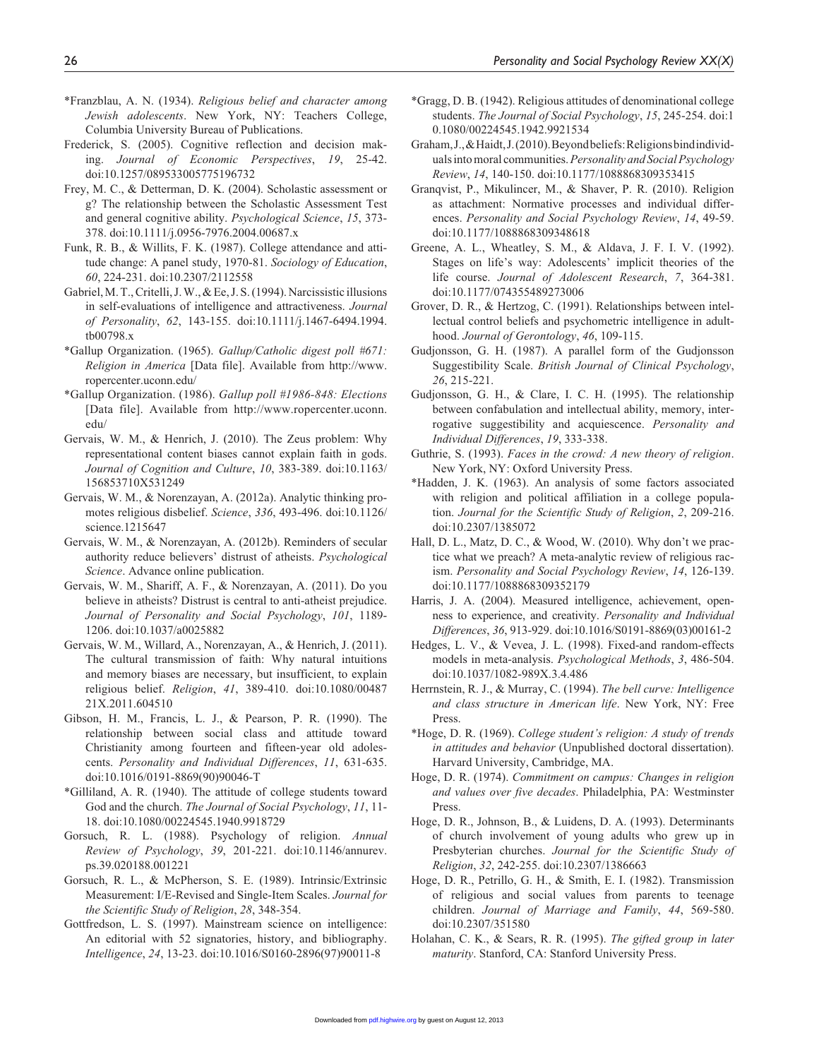- \*Franzblau, A. N. (1934). *Religious belief and character among Jewish adolescents*. New York, NY: Teachers College, Columbia University Bureau of Publications.
- Frederick, S. (2005). Cognitive reflection and decision making. *Journal of Economic Perspectives*, *19*, 25-42. doi:10.1257/089533005775196732
- Frey, M. C., & Detterman, D. K. (2004). Scholastic assessment or g? The relationship between the Scholastic Assessment Test and general cognitive ability. *Psychological Science*, *15*, 373- 378. doi:10.1111/j.0956-7976.2004.00687.x
- Funk, R. B., & Willits, F. K. (1987). College attendance and attitude change: A panel study, 1970-81. *Sociology of Education*, *60*, 224-231. doi:10.2307/2112558
- Gabriel, M. T., Critelli, J. W., & Ee, J. S. (1994). Narcissistic illusions in self-evaluations of intelligence and attractiveness. *Journal of Personality*, *62*, 143-155. doi:10.1111/j.1467-6494.1994. tb00798.x
- \*Gallup Organization. (1965). *Gallup/Catholic digest poll #671: Religion in America* [Data file]. Available from http://www. ropercenter.uconn.edu/
- \*Gallup Organization. (1986). *Gallup poll #1986-848: Elections* [Data file]. Available from http://www.ropercenter.uconn. edu/
- Gervais, W. M., & Henrich, J. (2010). The Zeus problem: Why representational content biases cannot explain faith in gods. *Journal of Cognition and Culture*, *10*, 383-389. doi:10.1163/ 156853710X531249
- Gervais, W. M., & Norenzayan, A. (2012a). Analytic thinking promotes religious disbelief. *Science*, *336*, 493-496. doi:10.1126/ science.1215647
- Gervais, W. M., & Norenzayan, A. (2012b). Reminders of secular authority reduce believers' distrust of atheists. *Psychological Science*. Advance online publication.
- Gervais, W. M., Shariff, A. F., & Norenzayan, A. (2011). Do you believe in atheists? Distrust is central to anti-atheist prejudice. *Journal of Personality and Social Psychology*, *101*, 1189- 1206. doi:10.1037/a0025882
- Gervais, W. M., Willard, A., Norenzayan, A., & Henrich, J. (2011). The cultural transmission of faith: Why natural intuitions and memory biases are necessary, but insufficient, to explain religious belief. *Religion*, *41*, 389-410. doi:10.1080/00487 21X.2011.604510
- Gibson, H. M., Francis, L. J., & Pearson, P. R. (1990). The relationship between social class and attitude toward Christianity among fourteen and fifteen-year old adolescents. *Personality and Individual Differences*, *11*, 631-635. doi:10.1016/0191-8869(90)90046-T
- \*Gilliland, A. R. (1940). The attitude of college students toward God and the church. *The Journal of Social Psychology*, *11*, 11- 18. doi:10.1080/00224545.1940.9918729
- Gorsuch, R. L. (1988). Psychology of religion. *Annual Review of Psychology*, *39*, 201-221. doi:10.1146/annurev. ps.39.020188.001221
- Gorsuch, R. L., & McPherson, S. E. (1989). Intrinsic/Extrinsic Measurement: I/E-Revised and Single-Item Scales. *Journal for the Scientific Study of Religion*, *28*, 348-354.
- Gottfredson, L. S. (1997). Mainstream science on intelligence: An editorial with 52 signatories, history, and bibliography. *Intelligence*, *24*, 13-23. doi:10.1016/S0160-2896(97)90011-8
- \*Gragg, D. B. (1942). Religious attitudes of denominational college students. *The Journal of Social Psychology*, *15*, 245-254. doi:1 0.1080/00224545.1942.9921534
- Graham, J., & Haidt, J. (2010). Beyond beliefs: Religions bind individuals into moral communities. *Personality and Social Psychology Review*, *14*, 140-150. doi:10.1177/1088868309353415
- Granqvist, P., Mikulincer, M., & Shaver, P. R. (2010). Religion as attachment: Normative processes and individual differences. *Personality and Social Psychology Review*, *14*, 49-59. doi:10.1177/1088868309348618
- Greene, A. L., Wheatley, S. M., & Aldava, J. F. I. V. (1992). Stages on life's way: Adolescents' implicit theories of the life course. *Journal of Adolescent Research*, *7*, 364-381. doi:10.1177/074355489273006
- Grover, D. R., & Hertzog, C. (1991). Relationships between intellectual control beliefs and psychometric intelligence in adulthood. *Journal of Gerontology*, *46*, 109-115.
- Gudjonsson, G. H. (1987). A parallel form of the Gudjonsson Suggestibility Scale. *British Journal of Clinical Psychology*, *26*, 215-221.
- Gudjonsson, G. H., & Clare, I. C. H. (1995). The relationship between confabulation and intellectual ability, memory, interrogative suggestibility and acquiescence. *Personality and Individual Differences*, *19*, 333-338.
- Guthrie, S. (1993). *Faces in the crowd: A new theory of religion*. New York, NY: Oxford University Press.
- \*Hadden, J. K. (1963). An analysis of some factors associated with religion and political affiliation in a college population. *Journal for the Scientific Study of Religion*, *2*, 209-216. doi:10.2307/1385072
- Hall, D. L., Matz, D. C., & Wood, W. (2010). Why don't we practice what we preach? A meta-analytic review of religious racism. *Personality and Social Psychology Review*, *14*, 126-139. doi:10.1177/1088868309352179
- Harris, J. A. (2004). Measured intelligence, achievement, openness to experience, and creativity. *Personality and Individual Differences*, *36*, 913-929. doi:10.1016/S0191-8869(03)00161-2
- Hedges, L. V., & Vevea, J. L. (1998). Fixed-and random-effects models in meta-analysis. *Psychological Methods*, *3*, 486-504. doi:10.1037/1082-989X.3.4.486
- Herrnstein, R. J., & Murray, C. (1994). *The bell curve: Intelligence and class structure in American life*. New York, NY: Free Press.
- \*Hoge, D. R. (1969). *College student's religion: A study of trends in attitudes and behavior* (Unpublished doctoral dissertation). Harvard University, Cambridge, MA.
- Hoge, D. R. (1974). *Commitment on campus: Changes in religion and values over five decades*. Philadelphia, PA: Westminster Press.
- Hoge, D. R., Johnson, B., & Luidens, D. A. (1993). Determinants of church involvement of young adults who grew up in Presbyterian churches. *Journal for the Scientific Study of Religion*, *32*, 242-255. doi:10.2307/1386663
- Hoge, D. R., Petrillo, G. H., & Smith, E. I. (1982). Transmission of religious and social values from parents to teenage children. *Journal of Marriage and Family*, *44*, 569-580. doi:10.2307/351580
- Holahan, C. K., & Sears, R. R. (1995). *The gifted group in later maturity*. Stanford, CA: Stanford University Press.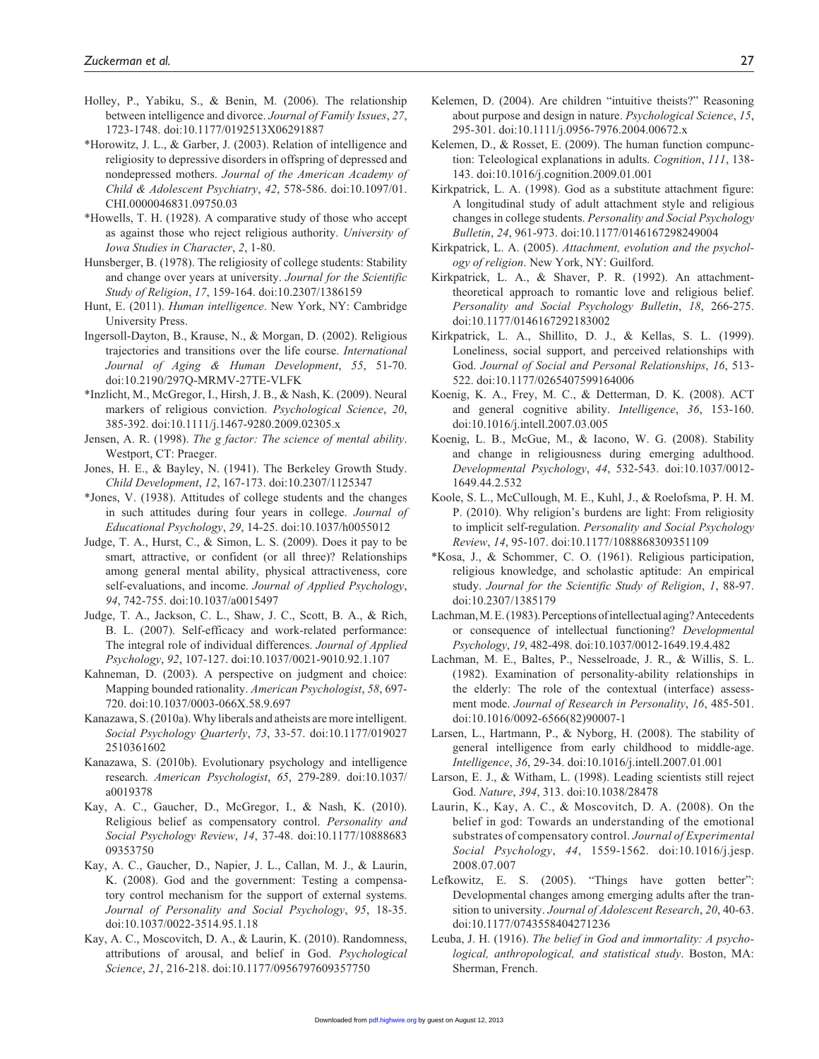- Holley, P., Yabiku, S., & Benin, M. (2006). The relationship between intelligence and divorce. *Journal of Family Issues*, *27*, 1723-1748. doi:10.1177/0192513X06291887
- \*Horowitz, J. L., & Garber, J. (2003). Relation of intelligence and religiosity to depressive disorders in offspring of depressed and nondepressed mothers. *Journal of the American Academy of Child & Adolescent Psychiatry*, *42*, 578-586. doi:10.1097/01. CHI.0000046831.09750.03
- \*Howells, T. H. (1928). A comparative study of those who accept as against those who reject religious authority. *University of Iowa Studies in Character*, *2*, 1-80.
- Hunsberger, B. (1978). The religiosity of college students: Stability and change over years at university. *Journal for the Scientific Study of Religion*, *17*, 159-164. doi:10.2307/1386159
- Hunt, E. (2011). *Human intelligence*. New York, NY: Cambridge University Press.
- Ingersoll-Dayton, B., Krause, N., & Morgan, D. (2002). Religious trajectories and transitions over the life course. *International Journal of Aging & Human Development*, *55*, 51-70. doi:10.2190/297Q-MRMV-27TE-VLFK
- \*Inzlicht, M., McGregor, I., Hirsh, J. B., & Nash, K. (2009). Neural markers of religious conviction. *Psychological Science*, *20*, 385-392. doi:10.1111/j.1467-9280.2009.02305.x
- Jensen, A. R. (1998). *The g factor: The science of mental ability*. Westport, CT: Praeger.
- Jones, H. E., & Bayley, N. (1941). The Berkeley Growth Study. *Child Development*, *12*, 167-173. doi:10.2307/1125347
- \*Jones, V. (1938). Attitudes of college students and the changes in such attitudes during four years in college. *Journal of Educational Psychology*, *29*, 14-25. doi:10.1037/h0055012
- Judge, T. A., Hurst, C., & Simon, L. S. (2009). Does it pay to be smart, attractive, or confident (or all three)? Relationships among general mental ability, physical attractiveness, core self-evaluations, and income. *Journal of Applied Psychology*, *94*, 742-755. doi:10.1037/a0015497
- Judge, T. A., Jackson, C. L., Shaw, J. C., Scott, B. A., & Rich, B. L. (2007). Self-efficacy and work-related performance: The integral role of individual differences. *Journal of Applied Psychology*, *92*, 107-127. doi:10.1037/0021-9010.92.1.107
- Kahneman, D. (2003). A perspective on judgment and choice: Mapping bounded rationality. *American Psychologist*, *58*, 697- 720. doi:10.1037/0003-066X.58.9.697
- Kanazawa, S. (2010a). Why liberals and atheists are more intelligent. *Social Psychology Quarterly*, *73*, 33-57. doi:10.1177/019027 2510361602
- Kanazawa, S. (2010b). Evolutionary psychology and intelligence research. *American Psychologist*, *65*, 279-289. doi:10.1037/ a0019378
- Kay, A. C., Gaucher, D., McGregor, I., & Nash, K. (2010). Religious belief as compensatory control. *Personality and Social Psychology Review*, *14*, 37-48. doi:10.1177/10888683 09353750
- Kay, A. C., Gaucher, D., Napier, J. L., Callan, M. J., & Laurin, K. (2008). God and the government: Testing a compensatory control mechanism for the support of external systems. *Journal of Personality and Social Psychology*, *95*, 18-35. doi:10.1037/0022-3514.95.1.18
- Kay, A. C., Moscovitch, D. A., & Laurin, K. (2010). Randomness, attributions of arousal, and belief in God. *Psychological Science*, *21*, 216-218. doi:10.1177/0956797609357750
- Kelemen, D. (2004). Are children "intuitive theists?" Reasoning about purpose and design in nature. *Psychological Science*, *15*, 295-301. doi:10.1111/j.0956-7976.2004.00672.x
- Kelemen, D., & Rosset, E. (2009). The human function compunction: Teleological explanations in adults. *Cognition*, *111*, 138- 143. doi:10.1016/j.cognition.2009.01.001
- Kirkpatrick, L. A. (1998). God as a substitute attachment figure: A longitudinal study of adult attachment style and religious changes in college students. *Personality and Social Psychology Bulletin*, *24*, 961-973. doi:10.1177/0146167298249004
- Kirkpatrick, L. A. (2005). *Attachment, evolution and the psychology of religion*. New York, NY: Guilford.
- Kirkpatrick, L. A., & Shaver, P. R. (1992). An attachmenttheoretical approach to romantic love and religious belief. *Personality and Social Psychology Bulletin*, *18*, 266-275. doi:10.1177/0146167292183002
- Kirkpatrick, L. A., Shillito, D. J., & Kellas, S. L. (1999). Loneliness, social support, and perceived relationships with God. *Journal of Social and Personal Relationships*, *16*, 513- 522. doi:10.1177/0265407599164006
- Koenig, K. A., Frey, M. C., & Detterman, D. K. (2008). ACT and general cognitive ability. *Intelligence*, *36*, 153-160. doi:10.1016/j.intell.2007.03.005
- Koenig, L. B., McGue, M., & Iacono, W. G. (2008). Stability and change in religiousness during emerging adulthood. *Developmental Psychology*, *44*, 532-543. doi:10.1037/0012- 1649.44.2.532
- Koole, S. L., McCullough, M. E., Kuhl, J., & Roelofsma, P. H. M. P. (2010). Why religion's burdens are light: From religiosity to implicit self-regulation. *Personality and Social Psychology Review*, *14*, 95-107. doi:10.1177/1088868309351109
- \*Kosa, J., & Schommer, C. O. (1961). Religious participation, religious knowledge, and scholastic aptitude: An empirical study. *Journal for the Scientific Study of Religion*, *1*, 88-97. doi:10.2307/1385179
- Lachman, M. E. (1983). Perceptions of intellectual aging? Antecedents or consequence of intellectual functioning? *Developmental Psychology*, *19*, 482-498. doi:10.1037/0012-1649.19.4.482
- Lachman, M. E., Baltes, P., Nesselroade, J. R., & Willis, S. L. (1982). Examination of personality-ability relationships in the elderly: The role of the contextual (interface) assessment mode. *Journal of Research in Personality*, *16*, 485-501. doi:10.1016/0092-6566(82)90007-1
- Larsen, L., Hartmann, P., & Nyborg, H. (2008). The stability of general intelligence from early childhood to middle-age. *Intelligence*, *36*, 29-34. doi:10.1016/j.intell.2007.01.001
- Larson, E. J., & Witham, L. (1998). Leading scientists still reject God. *Nature*, *394*, 313. doi:10.1038/28478
- Laurin, K., Kay, A. C., & Moscovitch, D. A. (2008). On the belief in god: Towards an understanding of the emotional substrates of compensatory control. *Journal of Experimental Social Psychology*, *44*, 1559-1562. doi:10.1016/j.jesp. 2008.07.007
- Lefkowitz, E. S. (2005). "Things have gotten better": Developmental changes among emerging adults after the transition to university. *Journal of Adolescent Research*, *20*, 40-63. doi:10.1177/0743558404271236
- Leuba, J. H. (1916). *The belief in God and immortality: A psychological, anthropological, and statistical study*. Boston, MA: Sherman, French.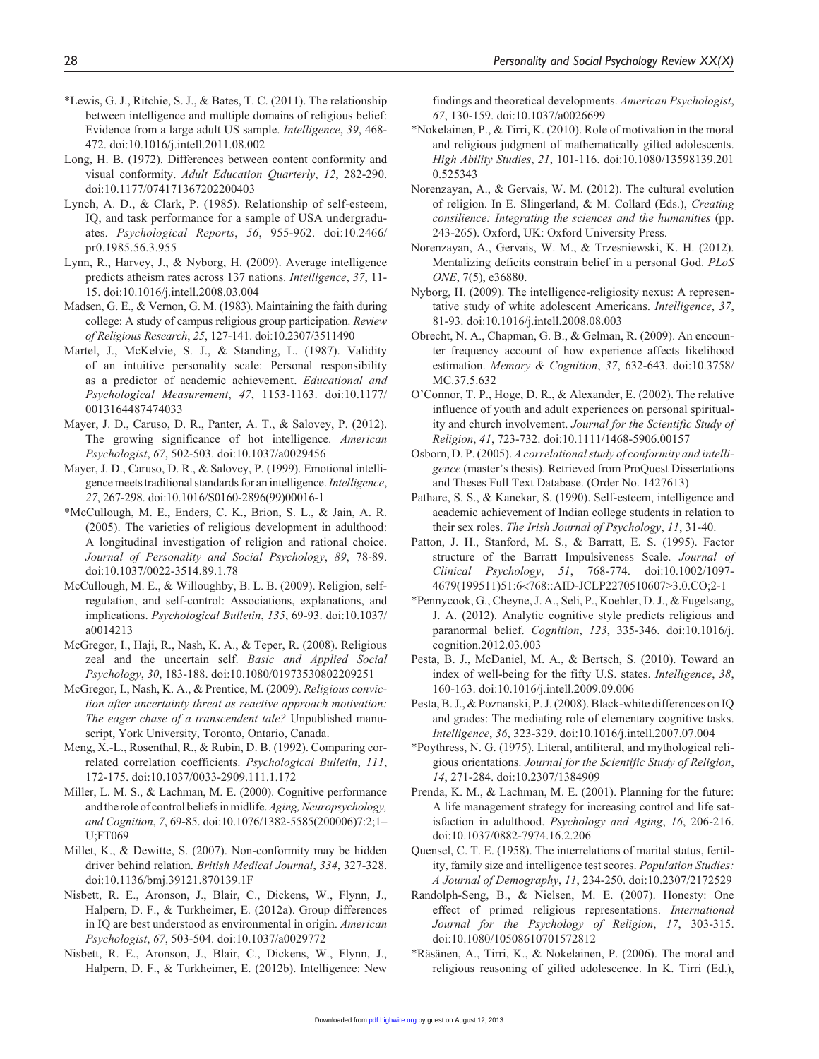- \*Lewis, G. J., Ritchie, S. J., & Bates, T. C. (2011). The relationship between intelligence and multiple domains of religious belief: Evidence from a large adult US sample. *Intelligence*, *39*, 468- 472. doi:10.1016/j.intell.2011.08.002
- Long, H. B. (1972). Differences between content conformity and visual conformity. *Adult Education Quarterly*, *12*, 282-290. doi:10.1177/074171367202200403
- Lynch, A. D., & Clark, P. (1985). Relationship of self-esteem, IQ, and task performance for a sample of USA undergraduates. *Psychological Reports*, *56*, 955-962. doi:10.2466/ pr0.1985.56.3.955
- Lynn, R., Harvey, J., & Nyborg, H. (2009). Average intelligence predicts atheism rates across 137 nations. *Intelligence*, *37*, 11- 15. doi:10.1016/j.intell.2008.03.004
- Madsen, G. E., & Vernon, G. M. (1983). Maintaining the faith during college: A study of campus religious group participation. *Review of Religious Research*, *25*, 127-141. doi:10.2307/3511490
- Martel, J., McKelvie, S. J., & Standing, L. (1987). Validity of an intuitive personality scale: Personal responsibility as a predictor of academic achievement. *Educational and Psychological Measurement*, *47*, 1153-1163. doi:10.1177/ 0013164487474033
- Mayer, J. D., Caruso, D. R., Panter, A. T., & Salovey, P. (2012). The growing significance of hot intelligence. *American Psychologist*, *67*, 502-503. doi:10.1037/a0029456
- Mayer, J. D., Caruso, D. R., & Salovey, P. (1999). Emotional intelligence meets traditional standards for an intelligence. *Intelligence*, *27*, 267-298. doi:10.1016/S0160-2896(99)00016-1
- \*McCullough, M. E., Enders, C. K., Brion, S. L., & Jain, A. R. (2005). The varieties of religious development in adulthood: A longitudinal investigation of religion and rational choice. *Journal of Personality and Social Psychology*, *89*, 78-89. doi:10.1037/0022-3514.89.1.78
- McCullough, M. E., & Willoughby, B. L. B. (2009). Religion, selfregulation, and self-control: Associations, explanations, and implications. *Psychological Bulletin*, *135*, 69-93. doi:10.1037/ a0014213
- McGregor, I., Haji, R., Nash, K. A., & Teper, R. (2008). Religious zeal and the uncertain self. *Basic and Applied Social Psychology*, *30*, 183-188. doi:10.1080/01973530802209251
- McGregor, I., Nash, K. A., & Prentice, M. (2009). *Religious conviction after uncertainty threat as reactive approach motivation: The eager chase of a transcendent tale?* Unpublished manuscript, York University, Toronto, Ontario, Canada.
- Meng, X.-L., Rosenthal, R., & Rubin, D. B. (1992). Comparing correlated correlation coefficients. *Psychological Bulletin*, *111*, 172-175. doi:10.1037/0033-2909.111.1.172
- Miller, L. M. S., & Lachman, M. E. (2000). Cognitive performance and the role of control beliefs in midlife. *Aging, Neuropsychology, and Cognition*, *7*, 69-85. doi:10.1076/1382-5585(200006)7:2;1– U;FT069
- Millet, K., & Dewitte, S. (2007). Non-conformity may be hidden driver behind relation. *British Medical Journal*, *334*, 327-328. doi:10.1136/bmj.39121.870139.1F
- Nisbett, R. E., Aronson, J., Blair, C., Dickens, W., Flynn, J., Halpern, D. F., & Turkheimer, E. (2012a). Group differences in IQ are best understood as environmental in origin. *American Psychologist*, *67*, 503-504. doi:10.1037/a0029772
- Nisbett, R. E., Aronson, J., Blair, C., Dickens, W., Flynn, J., Halpern, D. F., & Turkheimer, E. (2012b). Intelligence: New

findings and theoretical developments. *American Psychologist*, *67*, 130-159. doi:10.1037/a0026699

- \*Nokelainen, P., & Tirri, K. (2010). Role of motivation in the moral and religious judgment of mathematically gifted adolescents. *High Ability Studies*, *21*, 101-116. doi:10.1080/13598139.201 0.525343
- Norenzayan, A., & Gervais, W. M. (2012). The cultural evolution of religion. In E. Slingerland, & M. Collard (Eds.), *Creating consilience: Integrating the sciences and the humanities* (pp. 243-265). Oxford, UK: Oxford University Press.
- Norenzayan, A., Gervais, W. M., & Trzesniewski, K. H. (2012). Mentalizing deficits constrain belief in a personal God. *PLoS ONE*, 7(5), e36880.
- Nyborg, H. (2009). The intelligence-religiosity nexus: A representative study of white adolescent Americans. *Intelligence*, *37*, 81-93. doi:10.1016/j.intell.2008.08.003
- Obrecht, N. A., Chapman, G. B., & Gelman, R. (2009). An encounter frequency account of how experience affects likelihood estimation. *Memory & Cognition*, *37*, 632-643. doi:10.3758/ MC.37.5.632
- O'Connor, T. P., Hoge, D. R., & Alexander, E. (2002). The relative influence of youth and adult experiences on personal spirituality and church involvement. *Journal for the Scientific Study of Religion*, *41*, 723-732. doi:10.1111/1468-5906.00157
- Osborn, D. P. (2005). *A correlational study of conformity and intelligence* (master's thesis). Retrieved from ProQuest Dissertations and Theses Full Text Database. (Order No. 1427613)
- Pathare, S. S., & Kanekar, S. (1990). Self-esteem, intelligence and academic achievement of Indian college students in relation to their sex roles. *The Irish Journal of Psychology*, *11*, 31-40.
- Patton, J. H., Stanford, M. S., & Barratt, E. S. (1995). Factor structure of the Barratt Impulsiveness Scale. *Journal of Clinical Psychology*, *51*, 768-774. doi:10.1002/1097- 4679(199511)51:6<768::AID-JCLP2270510607>3.0.CO;2-1
- \*Pennycook, G., Cheyne, J. A., Seli, P., Koehler, D. J., & Fugelsang, J. A. (2012). Analytic cognitive style predicts religious and paranormal belief. *Cognition*, *123*, 335-346. doi:10.1016/j. cognition.2012.03.003
- Pesta, B. J., McDaniel, M. A., & Bertsch, S. (2010). Toward an index of well-being for the fifty U.S. states. *Intelligence*, *38*, 160-163. doi:10.1016/j.intell.2009.09.006
- Pesta, B. J., & Poznanski, P. J. (2008). Black-white differences on IQ and grades: The mediating role of elementary cognitive tasks. *Intelligence*, *36*, 323-329. doi:10.1016/j.intell.2007.07.004
- \*Poythress, N. G. (1975). Literal, antiliteral, and mythological religious orientations. *Journal for the Scientific Study of Religion*, *14*, 271-284. doi:10.2307/1384909
- Prenda, K. M., & Lachman, M. E. (2001). Planning for the future: A life management strategy for increasing control and life satisfaction in adulthood. *Psychology and Aging*, *16*, 206-216. doi:10.1037/0882-7974.16.2.206
- Quensel, C. T. E. (1958). The interrelations of marital status, fertility, family size and intelligence test scores. *Population Studies: A Journal of Demography*, *11*, 234-250. doi:10.2307/2172529
- Randolph-Seng, B., & Nielsen, M. E. (2007). Honesty: One effect of primed religious representations. *International Journal for the Psychology of Religion*, *17*, 303-315. doi:10.1080/10508610701572812
- \*Räsänen, A., Tirri, K., & Nokelainen, P. (2006). The moral and religious reasoning of gifted adolescence. In K. Tirri (Ed.),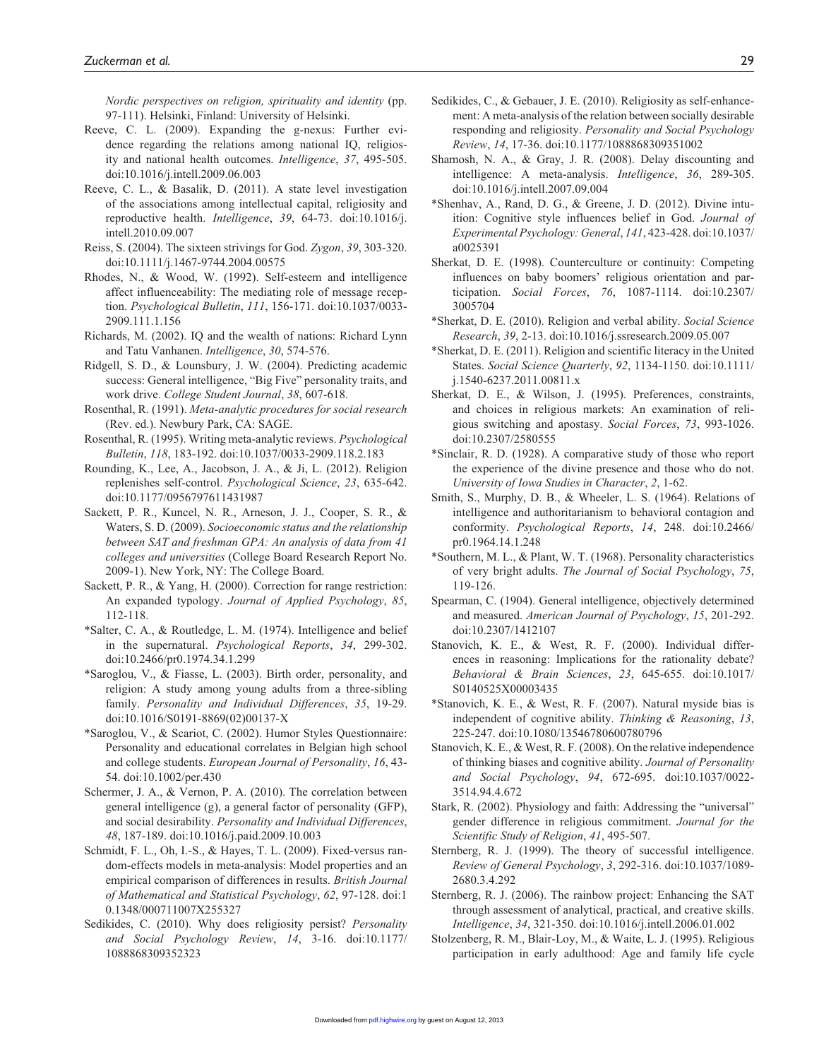*Nordic perspectives on religion, spirituality and identity* (pp. 97-111). Helsinki, Finland: University of Helsinki.

- Reeve, C. L. (2009). Expanding the g-nexus: Further evidence regarding the relations among national IQ, religiosity and national health outcomes. *Intelligence*, *37*, 495-505. doi:10.1016/j.intell.2009.06.003
- Reeve, C. L., & Basalik, D. (2011). A state level investigation of the associations among intellectual capital, religiosity and reproductive health. *Intelligence*, *39*, 64-73. doi:10.1016/j. intell.2010.09.007
- Reiss, S. (2004). The sixteen strivings for God. *Zygon*, *39*, 303-320. doi:10.1111/j.1467-9744.2004.00575
- Rhodes, N., & Wood, W. (1992). Self-esteem and intelligence affect influenceability: The mediating role of message reception. *Psychological Bulletin*, *111*, 156-171. doi:10.1037/0033- 2909.111.1.156
- Richards, M. (2002). IQ and the wealth of nations: Richard Lynn and Tatu Vanhanen. *Intelligence*, *30*, 574-576.
- Ridgell, S. D., & Lounsbury, J. W. (2004). Predicting academic success: General intelligence, "Big Five" personality traits, and work drive. *College Student Journal*, *38*, 607-618.
- Rosenthal, R. (1991). *Meta-analytic procedures for social research* (Rev. ed.). Newbury Park, CA: SAGE.
- Rosenthal, R. (1995). Writing meta-analytic reviews. *Psychological Bulletin*, *118*, 183-192. doi:10.1037/0033-2909.118.2.183
- Rounding, K., Lee, A., Jacobson, J. A., & Ji, L. (2012). Religion replenishes self-control. *Psychological Science*, *23*, 635-642. doi:10.1177/0956797611431987
- Sackett, P. R., Kuncel, N. R., Arneson, J. J., Cooper, S. R., & Waters, S. D. (2009). *Socioeconomic status and the relationship between SAT and freshman GPA: An analysis of data from 41 colleges and universities* (College Board Research Report No. 2009-1). New York, NY: The College Board.
- Sackett, P. R., & Yang, H. (2000). Correction for range restriction: An expanded typology. *Journal of Applied Psychology*, *85*, 112-118.
- \*Salter, C. A., & Routledge, L. M. (1974). Intelligence and belief in the supernatural. *Psychological Reports*, *34*, 299-302. doi:10.2466/pr0.1974.34.1.299
- \*Saroglou, V., & Fiasse, L. (2003). Birth order, personality, and religion: A study among young adults from a three-sibling family. *Personality and Individual Differences*, *35*, 19-29. doi:10.1016/S0191-8869(02)00137-X
- \*Saroglou, V., & Scariot, C. (2002). Humor Styles Questionnaire: Personality and educational correlates in Belgian high school and college students. *European Journal of Personality*, *16*, 43- 54. doi:10.1002/per.430
- Schermer, J. A., & Vernon, P. A. (2010). The correlation between general intelligence (g), a general factor of personality (GFP), and social desirability. *Personality and Individual Differences*, *48*, 187-189. doi:10.1016/j.paid.2009.10.003
- Schmidt, F. L., Oh, I.-S., & Hayes, T. L. (2009). Fixed-versus random-effects models in meta-analysis: Model properties and an empirical comparison of differences in results. *British Journal of Mathematical and Statistical Psychology*, *62*, 97-128. doi:1 0.1348/000711007X255327
- Sedikides, C. (2010). Why does religiosity persist? *Personality and Social Psychology Review*, *14*, 3-16. doi:10.1177/ 1088868309352323
- Sedikides, C., & Gebauer, J. E. (2010). Religiosity as self-enhancement: A meta-analysis of the relation between socially desirable responding and religiosity. *Personality and Social Psychology Review*, *14*, 17-36. doi:10.1177/1088868309351002
- Shamosh, N. A., & Gray, J. R. (2008). Delay discounting and intelligence: A meta-analysis. *Intelligence*, *36*, 289-305. doi:10.1016/j.intell.2007.09.004
- \*Shenhav, A., Rand, D. G., & Greene, J. D. (2012). Divine intuition: Cognitive style influences belief in God. *Journal of Experimental Psychology: General*, *141*, 423-428. doi:10.1037/ a0025391
- Sherkat, D. E. (1998). Counterculture or continuity: Competing influences on baby boomers' religious orientation and participation. *Social Forces*, *76*, 1087-1114. doi:10.2307/ 3005704
- \*Sherkat, D. E. (2010). Religion and verbal ability. *Social Science Research*, *39*, 2-13. doi:10.1016/j.ssresearch.2009.05.007
- \*Sherkat, D. E. (2011). Religion and scientific literacy in the United States. *Social Science Quarterly*, *92*, 1134-1150. doi:10.1111/ j.1540-6237.2011.00811.x
- Sherkat, D. E., & Wilson, J. (1995). Preferences, constraints, and choices in religious markets: An examination of religious switching and apostasy. *Social Forces*, *73*, 993-1026. doi:10.2307/2580555
- \*Sinclair, R. D. (1928). A comparative study of those who report the experience of the divine presence and those who do not. *University of Iowa Studies in Character*, *2*, 1-62.
- Smith, S., Murphy, D. B., & Wheeler, L. S. (1964). Relations of intelligence and authoritarianism to behavioral contagion and conformity. *Psychological Reports*, *14*, 248. doi:10.2466/ pr0.1964.14.1.248
- \*Southern, M. L., & Plant, W. T. (1968). Personality characteristics of very bright adults. *The Journal of Social Psychology*, *75*, 119-126.
- Spearman, C. (1904). General intelligence, objectively determined and measured. *American Journal of Psychology*, *15*, 201-292. doi:10.2307/1412107
- Stanovich, K. E., & West, R. F. (2000). Individual differences in reasoning: Implications for the rationality debate? *Behavioral & Brain Sciences*, *23*, 645-655. doi:10.1017/ S0140525X00003435
- \*Stanovich, K. E., & West, R. F. (2007). Natural myside bias is independent of cognitive ability. *Thinking & Reasoning*, *13*, 225-247. doi:10.1080/13546780600780796
- Stanovich, K. E., & West, R. F. (2008). On the relative independence of thinking biases and cognitive ability. *Journal of Personality and Social Psychology*, *94*, 672-695. doi:10.1037/0022- 3514.94.4.672
- Stark, R. (2002). Physiology and faith: Addressing the "universal" gender difference in religious commitment. *Journal for the Scientific Study of Religion*, *41*, 495-507.
- Sternberg, R. J. (1999). The theory of successful intelligence. *Review of General Psychology*, *3*, 292-316. doi:10.1037/1089- 2680.3.4.292
- Sternberg, R. J. (2006). The rainbow project: Enhancing the SAT through assessment of analytical, practical, and creative skills. *Intelligence*, *34*, 321-350. doi:10.1016/j.intell.2006.01.002
- Stolzenberg, R. M., Blair-Loy, M., & Waite, L. J. (1995). Religious participation in early adulthood: Age and family life cycle